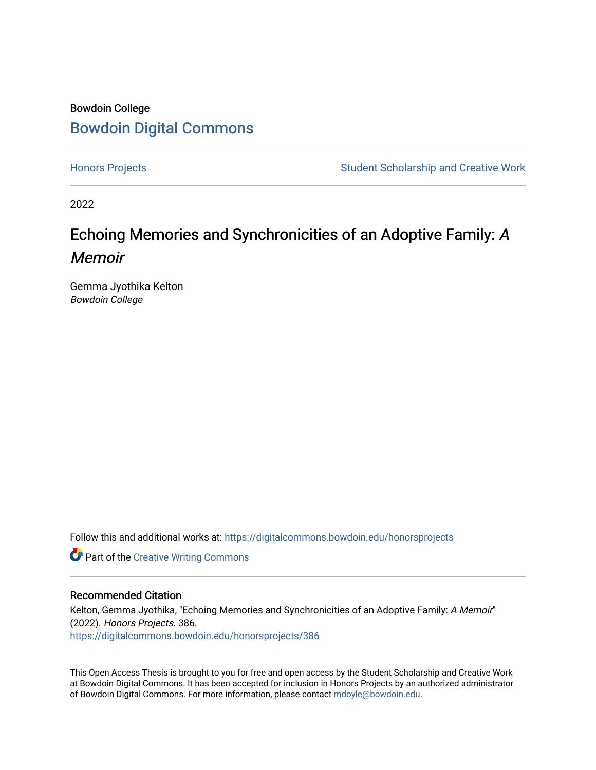## Bowdoin College [Bowdoin Digital Commons](https://digitalcommons.bowdoin.edu/)

[Honors Projects](https://digitalcommons.bowdoin.edu/honorsprojects) **Student Scholarship and Creative Work** Student Scholarship and Creative Work

2022

# Echoing Memories and Synchronicities of an Adoptive Family: A Memoir

Gemma Jyothika Kelton Bowdoin College

Follow this and additional works at: [https://digitalcommons.bowdoin.edu/honorsprojects](https://digitalcommons.bowdoin.edu/honorsprojects?utm_source=digitalcommons.bowdoin.edu%2Fhonorsprojects%2F386&utm_medium=PDF&utm_campaign=PDFCoverPages)

**Part of the Creative Writing Commons** 

### Recommended Citation

Kelton, Gemma Jyothika, "Echoing Memories and Synchronicities of an Adoptive Family: A Memoir" (2022). Honors Projects. 386. [https://digitalcommons.bowdoin.edu/honorsprojects/386](https://digitalcommons.bowdoin.edu/honorsprojects/386?utm_source=digitalcommons.bowdoin.edu%2Fhonorsprojects%2F386&utm_medium=PDF&utm_campaign=PDFCoverPages)

This Open Access Thesis is brought to you for free and open access by the Student Scholarship and Creative Work at Bowdoin Digital Commons. It has been accepted for inclusion in Honors Projects by an authorized administrator of Bowdoin Digital Commons. For more information, please contact [mdoyle@bowdoin.edu.](mailto:mdoyle@bowdoin.edu)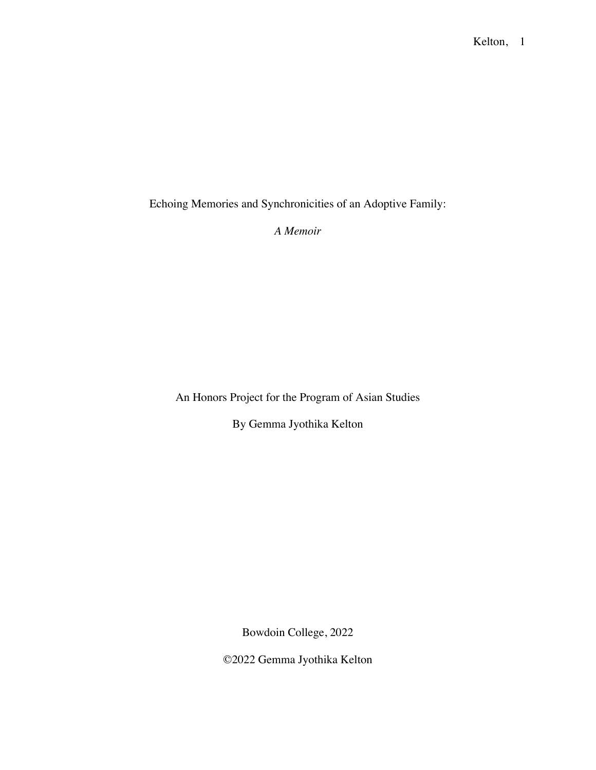Echoing Memories and Synchronicities of an Adoptive Family:

*A Memoir*

An Honors Project for the Program of Asian Studies

By Gemma Jyothika Kelton

Bowdoin College, 2022

©2022 Gemma Jyothika Kelton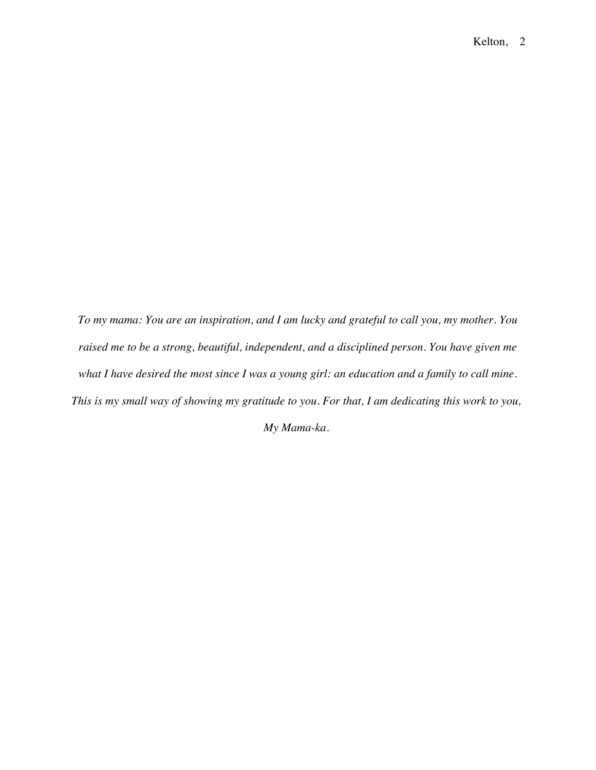*To my mama: You are an inspiration, and I am lucky and grateful to call you, my mother. You raised me to be a strong, beautiful, independent, and a disciplined person. You have given me what I have desired the most since I was a young girl: an education and a family to call mine. This is my small way of showing my gratitude to you. For that, I am dedicating this work to you,*

*My Mama-ka.*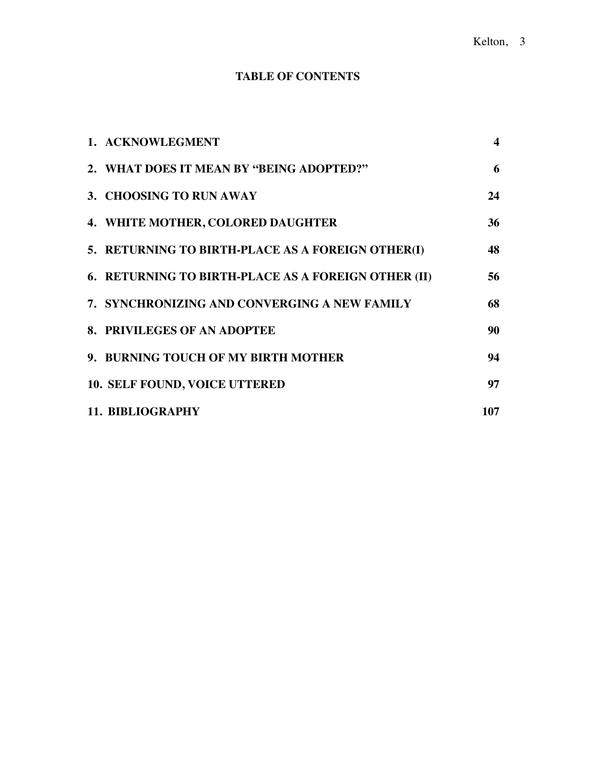### **TABLE OF CONTENTS**

| 1. ACKNOWLEGMENT                                    | $\blacktriangleleft$ |
|-----------------------------------------------------|----------------------|
| 2. WHAT DOES IT MEAN BY "BEING ADOPTED?"            | 6                    |
| 3. CHOOSING TO RUN AWAY                             | 24                   |
| 4. WHITE MOTHER, COLORED DAUGHTER                   | 36                   |
| 5. RETURNING TO BIRTH-PLACE AS A FOREIGN OTHER(I)   | 48                   |
| 6. RETURNING TO BIRTH-PLACE AS A FOREIGN OTHER (II) | 56                   |
| 7. SYNCHRONIZING AND CONVERGING A NEW FAMILY        | 68                   |
| 8. PRIVILEGES OF AN ADOPTEE                         | 90                   |
| 9. BURNING TOUCH OF MY BIRTH MOTHER                 | 94                   |
| 10. SELF FOUND, VOICE UTTERED                       | 97                   |
| <b>11. BIBLIOGRAPHY</b>                             | 107                  |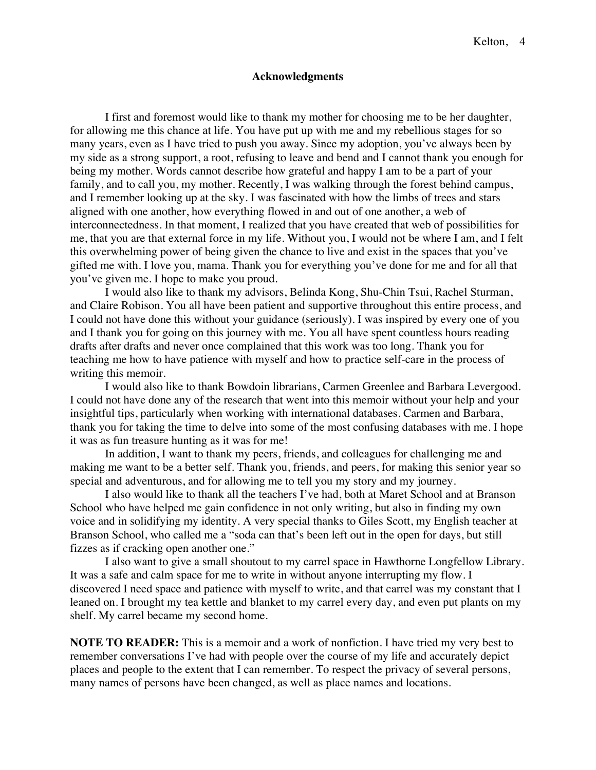### **Acknowledgments**

I first and foremost would like to thank my mother for choosing me to be her daughter, for allowing me this chance at life. You have put up with me and my rebellious stages for so many years, even as I have tried to push you away. Since my adoption, you've always been by my side as a strong support, a root, refusing to leave and bend and I cannot thank you enough for being my mother. Words cannot describe how grateful and happy I am to be a part of your family, and to call you, my mother. Recently, I was walking through the forest behind campus, and I remember looking up at the sky. I was fascinated with how the limbs of trees and stars aligned with one another, how everything flowed in and out of one another, a web of interconnectedness. In that moment, I realized that you have created that web of possibilities for me, that you are that external force in my life. Without you, I would not be where I am, and I felt this overwhelming power of being given the chance to live and exist in the spaces that you've gifted me with. I love you, mama. Thank you for everything you've done for me and for all that you've given me. I hope to make you proud.

I would also like to thank my advisors, Belinda Kong, Shu-Chin Tsui, Rachel Sturman, and Claire Robison. You all have been patient and supportive throughout this entire process, and I could not have done this without your guidance (seriously). I was inspired by every one of you and I thank you for going on this journey with me. You all have spent countless hours reading drafts after drafts and never once complained that this work was too long. Thank you for teaching me how to have patience with myself and how to practice self-care in the process of writing this memoir.

I would also like to thank Bowdoin librarians, Carmen Greenlee and Barbara Levergood. I could not have done any of the research that went into this memoir without your help and your insightful tips, particularly when working with international databases. Carmen and Barbara, thank you for taking the time to delve into some of the most confusing databases with me. I hope it was as fun treasure hunting as it was for me!

In addition, I want to thank my peers, friends, and colleagues for challenging me and making me want to be a better self. Thank you, friends, and peers, for making this senior year so special and adventurous, and for allowing me to tell you my story and my journey.

I also would like to thank all the teachers I've had, both at Maret School and at Branson School who have helped me gain confidence in not only writing, but also in finding my own voice and in solidifying my identity. A very special thanks to Giles Scott, my English teacher at Branson School, who called me a "soda can that's been left out in the open for days, but still fizzes as if cracking open another one."

I also want to give a small shoutout to my carrel space in Hawthorne Longfellow Library. It was a safe and calm space for me to write in without anyone interrupting my flow. I discovered I need space and patience with myself to write, and that carrel was my constant that I leaned on. I brought my tea kettle and blanket to my carrel every day, and even put plants on my shelf. My carrel became my second home.

**NOTE TO READER:** This is a memoir and a work of nonfiction. I have tried my very best to remember conversations I've had with people over the course of my life and accurately depict places and people to the extent that I can remember. To respect the privacy of several persons, many names of persons have been changed, as well as place names and locations.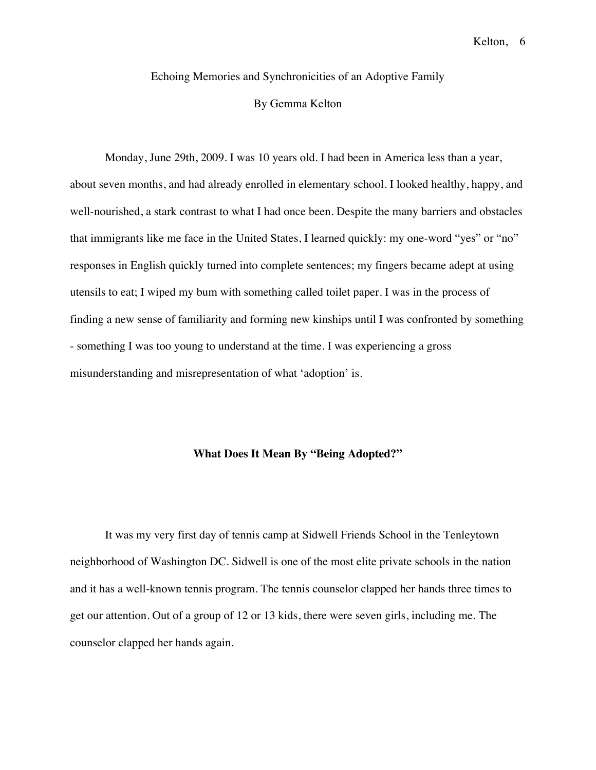### Echoing Memories and Synchronicities of an Adoptive Family

### By Gemma Kelton

Monday, June 29th, 2009. I was 10 years old. I had been in America less than a year, about seven months, and had already enrolled in elementary school. I looked healthy, happy, and well-nourished, a stark contrast to what I had once been. Despite the many barriers and obstacles that immigrants like me face in the United States, I learned quickly: my one-word "yes" or "no" responses in English quickly turned into complete sentences; my fingers became adept at using utensils to eat; I wiped my bum with something called toilet paper. I was in the process of finding a new sense of familiarity and forming new kinships until I was confronted by something - something I was too young to understand at the time. I was experiencing a gross misunderstanding and misrepresentation of what 'adoption' is.

#### **What Does It Mean By "Being Adopted?"**

It was my very first day of tennis camp at Sidwell Friends School in the Tenleytown neighborhood of Washington DC. Sidwell is one of the most elite private schools in the nation and it has a well-known tennis program. The tennis counselor clapped her hands three times to get our attention. Out of a group of 12 or 13 kids, there were seven girls, including me. The counselor clapped her hands again.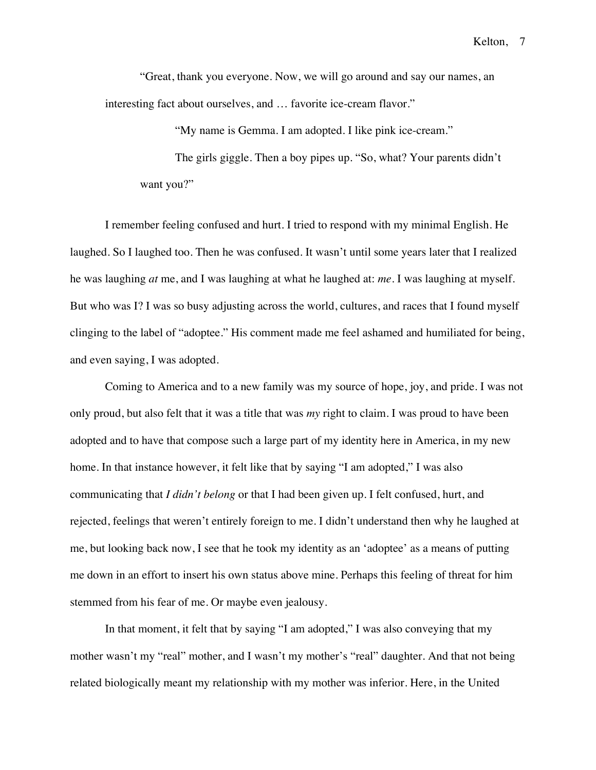"Great, thank you everyone. Now, we will go around and say our names, an interesting fact about ourselves, and … favorite ice-cream flavor."

"My name is Gemma. I am adopted. I like pink ice-cream."

The girls giggle. Then a boy pipes up. "So, what? Your parents didn't want you?"

I remember feeling confused and hurt. I tried to respond with my minimal English. He laughed. So I laughed too. Then he was confused. It wasn't until some years later that I realized he was laughing *at* me, and I was laughing at what he laughed at: *me*. I was laughing at myself. But who was I? I was so busy adjusting across the world, cultures, and races that I found myself clinging to the label of "adoptee." His comment made me feel ashamed and humiliated for being, and even saying, I was adopted.

Coming to America and to a new family was my source of hope, joy, and pride. I was not only proud, but also felt that it was a title that was *my* right to claim. I was proud to have been adopted and to have that compose such a large part of my identity here in America, in my new home. In that instance however, it felt like that by saying "I am adopted," I was also communicating that *I didn't belong* or that I had been given up. I felt confused, hurt, and rejected, feelings that weren't entirely foreign to me. I didn't understand then why he laughed at me, but looking back now, I see that he took my identity as an 'adoptee' as a means of putting me down in an effort to insert his own status above mine. Perhaps this feeling of threat for him stemmed from his fear of me. Or maybe even jealousy.

In that moment, it felt that by saying "I am adopted," I was also conveying that my mother wasn't my "real" mother, and I wasn't my mother's "real" daughter. And that not being related biologically meant my relationship with my mother was inferior. Here, in the United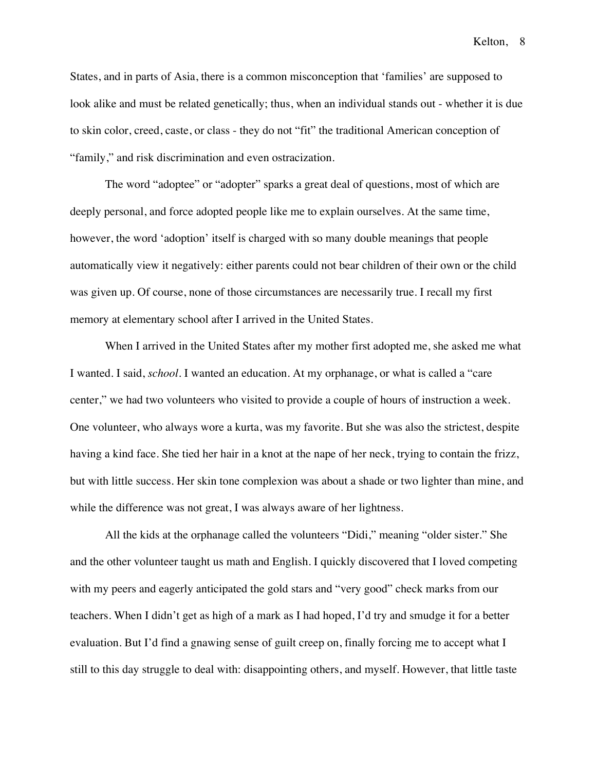States, and in parts of Asia, there is a common misconception that 'families' are supposed to look alike and must be related genetically; thus, when an individual stands out - whether it is due to skin color, creed, caste, or class - they do not "fit" the traditional American conception of "family," and risk discrimination and even ostracization.

The word "adoptee" or "adopter" sparks a great deal of questions, most of which are deeply personal, and force adopted people like me to explain ourselves. At the same time, however, the word 'adoption' itself is charged with so many double meanings that people automatically view it negatively: either parents could not bear children of their own or the child was given up. Of course, none of those circumstances are necessarily true. I recall my first memory at elementary school after I arrived in the United States.

When I arrived in the United States after my mother first adopted me, she asked me what I wanted. I said, *school*. I wanted an education. At my orphanage, or what is called a "care center," we had two volunteers who visited to provide a couple of hours of instruction a week. One volunteer, who always wore a kurta, was my favorite. But she was also the strictest, despite having a kind face. She tied her hair in a knot at the nape of her neck, trying to contain the frizz, but with little success. Her skin tone complexion was about a shade or two lighter than mine, and while the difference was not great, I was always aware of her lightness.

All the kids at the orphanage called the volunteers "Didi," meaning "older sister." She and the other volunteer taught us math and English. I quickly discovered that I loved competing with my peers and eagerly anticipated the gold stars and "very good" check marks from our teachers. When I didn't get as high of a mark as I had hoped, I'd try and smudge it for a better evaluation. But I'd find a gnawing sense of guilt creep on, finally forcing me to accept what I still to this day struggle to deal with: disappointing others, and myself. However, that little taste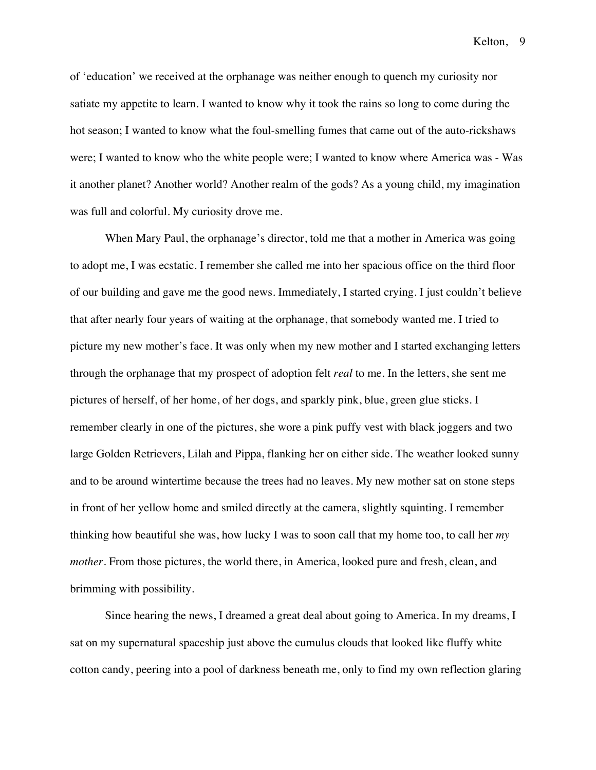of 'education' we received at the orphanage was neither enough to quench my curiosity nor satiate my appetite to learn. I wanted to know why it took the rains so long to come during the hot season; I wanted to know what the foul-smelling fumes that came out of the auto-rickshaws were; I wanted to know who the white people were; I wanted to know where America was - Was it another planet? Another world? Another realm of the gods? As a young child, my imagination was full and colorful. My curiosity drove me.

When Mary Paul, the orphanage's director, told me that a mother in America was going to adopt me, I was ecstatic. I remember she called me into her spacious office on the third floor of our building and gave me the good news. Immediately, I started crying. I just couldn't believe that after nearly four years of waiting at the orphanage, that somebody wanted me. I tried to picture my new mother's face. It was only when my new mother and I started exchanging letters through the orphanage that my prospect of adoption felt *real* to me. In the letters, she sent me pictures of herself, of her home, of her dogs, and sparkly pink, blue, green glue sticks. I remember clearly in one of the pictures, she wore a pink puffy vest with black joggers and two large Golden Retrievers, Lilah and Pippa, flanking her on either side. The weather looked sunny and to be around wintertime because the trees had no leaves. My new mother sat on stone steps in front of her yellow home and smiled directly at the camera, slightly squinting. I remember thinking how beautiful she was, how lucky I was to soon call that my home too, to call her *my mother*. From those pictures, the world there, in America, looked pure and fresh, clean, and brimming with possibility.

Since hearing the news, I dreamed a great deal about going to America. In my dreams, I sat on my supernatural spaceship just above the cumulus clouds that looked like fluffy white cotton candy, peering into a pool of darkness beneath me, only to find my own reflection glaring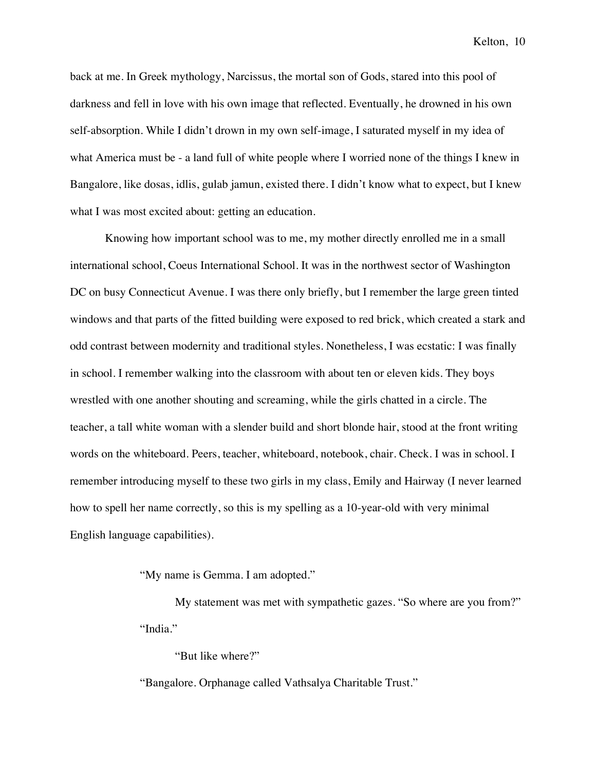back at me. In Greek mythology, Narcissus, the mortal son of Gods, stared into this pool of darkness and fell in love with his own image that reflected. Eventually, he drowned in his own self-absorption. While I didn't drown in my own self-image, I saturated myself in my idea of what America must be - a land full of white people where I worried none of the things I knew in Bangalore, like dosas, idlis, gulab jamun, existed there. I didn't know what to expect, but I knew what I was most excited about: getting an education.

Knowing how important school was to me, my mother directly enrolled me in a small international school, Coeus International School. It was in the northwest sector of Washington DC on busy Connecticut Avenue. I was there only briefly, but I remember the large green tinted windows and that parts of the fitted building were exposed to red brick, which created a stark and odd contrast between modernity and traditional styles. Nonetheless, I was ecstatic: I was finally in school. I remember walking into the classroom with about ten or eleven kids. They boys wrestled with one another shouting and screaming, while the girls chatted in a circle. The teacher, a tall white woman with a slender build and short blonde hair, stood at the front writing words on the whiteboard. Peers, teacher, whiteboard, notebook, chair. Check. I was in school. I remember introducing myself to these two girls in my class, Emily and Hairway (I never learned how to spell her name correctly, so this is my spelling as a 10-year-old with very minimal English language capabilities).

"My name is Gemma. I am adopted."

My statement was met with sympathetic gazes. "So where are you from?" "India."

"But like where?"

"Bangalore. Orphanage called Vathsalya Charitable Trust."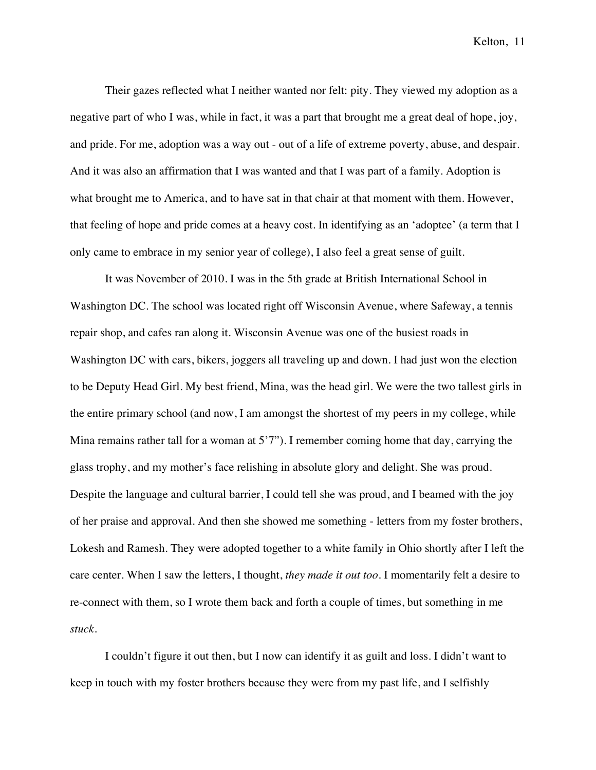Their gazes reflected what I neither wanted nor felt: pity. They viewed my adoption as a negative part of who I was, while in fact, it was a part that brought me a great deal of hope, joy, and pride. For me, adoption was a way out - out of a life of extreme poverty, abuse, and despair. And it was also an affirmation that I was wanted and that I was part of a family. Adoption is what brought me to America, and to have sat in that chair at that moment with them. However, that feeling of hope and pride comes at a heavy cost. In identifying as an 'adoptee' (a term that I only came to embrace in my senior year of college), I also feel a great sense of guilt.

It was November of 2010. I was in the 5th grade at British International School in Washington DC. The school was located right off Wisconsin Avenue, where Safeway, a tennis repair shop, and cafes ran along it. Wisconsin Avenue was one of the busiest roads in Washington DC with cars, bikers, joggers all traveling up and down. I had just won the election to be Deputy Head Girl. My best friend, Mina, was the head girl. We were the two tallest girls in the entire primary school (and now, I am amongst the shortest of my peers in my college, while Mina remains rather tall for a woman at 5'7"). I remember coming home that day, carrying the glass trophy, and my mother's face relishing in absolute glory and delight. She was proud. Despite the language and cultural barrier, I could tell she was proud, and I beamed with the joy of her praise and approval. And then she showed me something - letters from my foster brothers, Lokesh and Ramesh. They were adopted together to a white family in Ohio shortly after I left the care center. When I saw the letters, I thought, *they made it out too*. I momentarily felt a desire to re-connect with them, so I wrote them back and forth a couple of times, but something in me *stuck*.

I couldn't figure it out then, but I now can identify it as guilt and loss. I didn't want to keep in touch with my foster brothers because they were from my past life, and I selfishly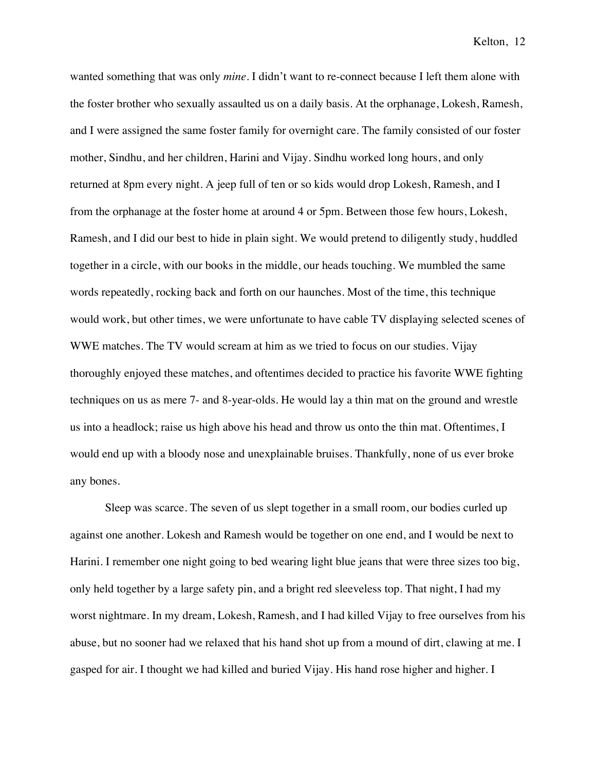wanted something that was only *mine*. I didn't want to re-connect because I left them alone with the foster brother who sexually assaulted us on a daily basis. At the orphanage, Lokesh, Ramesh, and I were assigned the same foster family for overnight care. The family consisted of our foster mother, Sindhu, and her children, Harini and Vijay. Sindhu worked long hours, and only returned at 8pm every night. A jeep full of ten or so kids would drop Lokesh, Ramesh, and I from the orphanage at the foster home at around 4 or 5pm. Between those few hours, Lokesh, Ramesh, and I did our best to hide in plain sight. We would pretend to diligently study, huddled together in a circle, with our books in the middle, our heads touching. We mumbled the same words repeatedly, rocking back and forth on our haunches. Most of the time, this technique would work, but other times, we were unfortunate to have cable TV displaying selected scenes of WWE matches. The TV would scream at him as we tried to focus on our studies. Vijay thoroughly enjoyed these matches, and oftentimes decided to practice his favorite WWE fighting techniques on us as mere 7- and 8-year-olds. He would lay a thin mat on the ground and wrestle us into a headlock; raise us high above his head and throw us onto the thin mat. Oftentimes, I would end up with a bloody nose and unexplainable bruises. Thankfully, none of us ever broke any bones.

Sleep was scarce. The seven of us slept together in a small room, our bodies curled up against one another. Lokesh and Ramesh would be together on one end, and I would be next to Harini. I remember one night going to bed wearing light blue jeans that were three sizes too big, only held together by a large safety pin, and a bright red sleeveless top. That night, I had my worst nightmare. In my dream, Lokesh, Ramesh, and I had killed Vijay to free ourselves from his abuse, but no sooner had we relaxed that his hand shot up from a mound of dirt, clawing at me. I gasped for air. I thought we had killed and buried Vijay. His hand rose higher and higher. I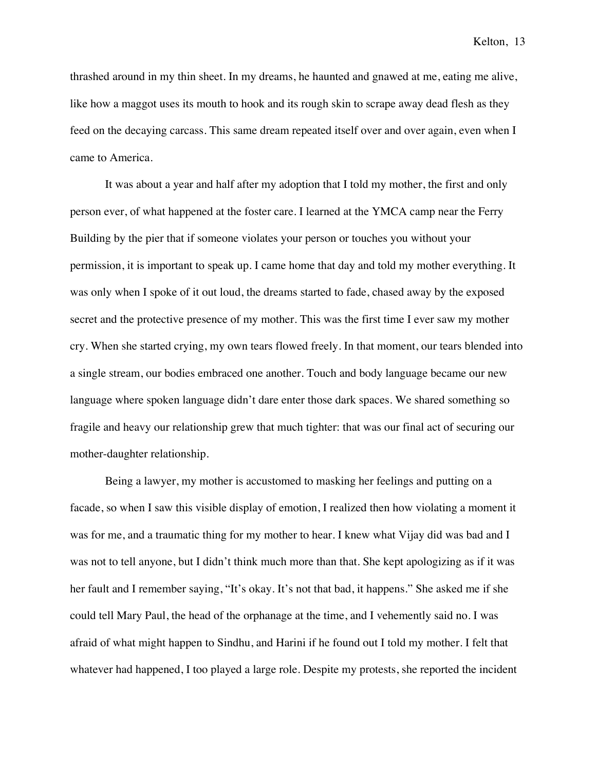thrashed around in my thin sheet. In my dreams, he haunted and gnawed at me, eating me alive, like how a maggot uses its mouth to hook and its rough skin to scrape away dead flesh as they feed on the decaying carcass. This same dream repeated itself over and over again, even when I came to America.

It was about a year and half after my adoption that I told my mother, the first and only person ever, of what happened at the foster care. I learned at the YMCA camp near the Ferry Building by the pier that if someone violates your person or touches you without your permission, it is important to speak up. I came home that day and told my mother everything. It was only when I spoke of it out loud, the dreams started to fade, chased away by the exposed secret and the protective presence of my mother. This was the first time I ever saw my mother cry. When she started crying, my own tears flowed freely. In that moment, our tears blended into a single stream, our bodies embraced one another. Touch and body language became our new language where spoken language didn't dare enter those dark spaces. We shared something so fragile and heavy our relationship grew that much tighter: that was our final act of securing our mother-daughter relationship.

Being a lawyer, my mother is accustomed to masking her feelings and putting on a facade, so when I saw this visible display of emotion, I realized then how violating a moment it was for me, and a traumatic thing for my mother to hear. I knew what Vijay did was bad and I was not to tell anyone, but I didn't think much more than that. She kept apologizing as if it was her fault and I remember saying, "It's okay. It's not that bad, it happens." She asked me if she could tell Mary Paul, the head of the orphanage at the time, and I vehemently said no. I was afraid of what might happen to Sindhu, and Harini if he found out I told my mother. I felt that whatever had happened, I too played a large role. Despite my protests, she reported the incident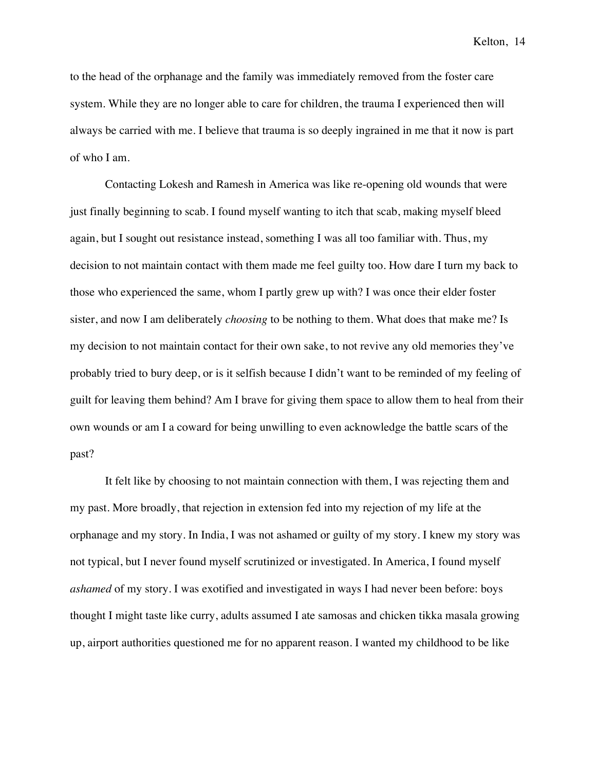to the head of the orphanage and the family was immediately removed from the foster care system. While they are no longer able to care for children, the trauma I experienced then will always be carried with me. I believe that trauma is so deeply ingrained in me that it now is part of who I am.

Contacting Lokesh and Ramesh in America was like re-opening old wounds that were just finally beginning to scab. I found myself wanting to itch that scab, making myself bleed again, but I sought out resistance instead, something I was all too familiar with. Thus, my decision to not maintain contact with them made me feel guilty too. How dare I turn my back to those who experienced the same, whom I partly grew up with? I was once their elder foster sister, and now I am deliberately *choosing* to be nothing to them. What does that make me? Is my decision to not maintain contact for their own sake, to not revive any old memories they've probably tried to bury deep, or is it selfish because I didn't want to be reminded of my feeling of guilt for leaving them behind? Am I brave for giving them space to allow them to heal from their own wounds or am I a coward for being unwilling to even acknowledge the battle scars of the past?

It felt like by choosing to not maintain connection with them, I was rejecting them and my past. More broadly, that rejection in extension fed into my rejection of my life at the orphanage and my story. In India, I was not ashamed or guilty of my story. I knew my story was not typical, but I never found myself scrutinized or investigated. In America, I found myself *ashamed* of my story. I was exotified and investigated in ways I had never been before: boys thought I might taste like curry, adults assumed I ate samosas and chicken tikka masala growing up, airport authorities questioned me for no apparent reason. I wanted my childhood to be like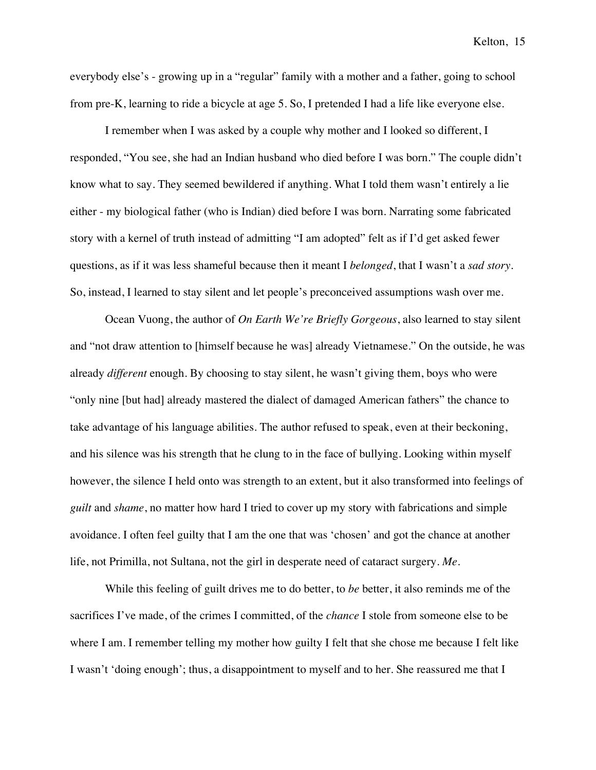everybody else's - growing up in a "regular" family with a mother and a father, going to school from pre-K, learning to ride a bicycle at age 5. So, I pretended I had a life like everyone else.

I remember when I was asked by a couple why mother and I looked so different, I responded, "You see, she had an Indian husband who died before I was born." The couple didn't know what to say. They seemed bewildered if anything. What I told them wasn't entirely a lie either - my biological father (who is Indian) died before I was born. Narrating some fabricated story with a kernel of truth instead of admitting "I am adopted" felt as if I'd get asked fewer questions, as if it was less shameful because then it meant I *belonged*, that I wasn't a *sad story*. So, instead, I learned to stay silent and let people's preconceived assumptions wash over me.

Ocean Vuong, the author of *On Earth We're Briefly Gorgeous*, also learned to stay silent and "not draw attention to [himself because he was] already Vietnamese." On the outside, he was already *different* enough. By choosing to stay silent, he wasn't giving them, boys who were "only nine [but had] already mastered the dialect of damaged American fathers" the chance to take advantage of his language abilities. The author refused to speak, even at their beckoning, and his silence was his strength that he clung to in the face of bullying. Looking within myself however, the silence I held onto was strength to an extent, but it also transformed into feelings of *guilt* and *shame*, no matter how hard I tried to cover up my story with fabrications and simple avoidance. I often feel guilty that I am the one that was 'chosen' and got the chance at another life, not Primilla, not Sultana, not the girl in desperate need of cataract surgery. *Me*.

While this feeling of guilt drives me to do better, to *be* better, it also reminds me of the sacrifices I've made, of the crimes I committed, of the *chance* I stole from someone else to be where I am. I remember telling my mother how guilty I felt that she chose me because I felt like I wasn't 'doing enough'; thus, a disappointment to myself and to her. She reassured me that I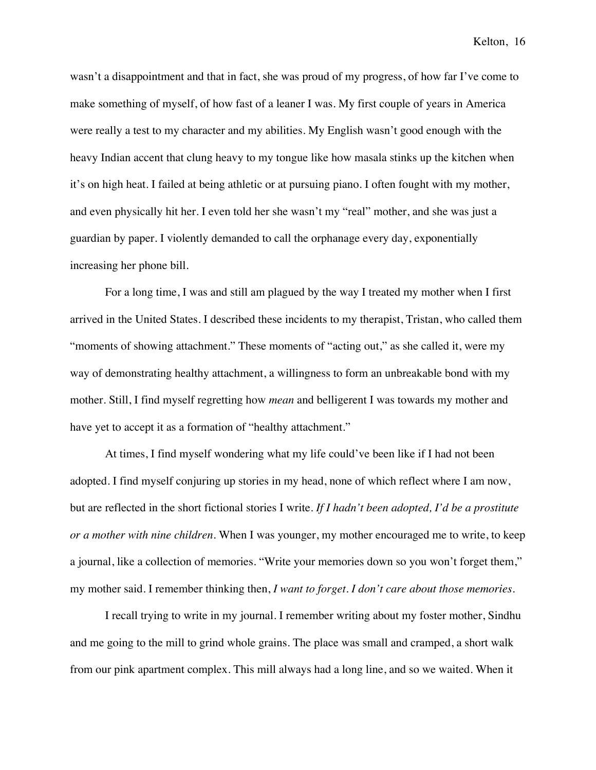wasn't a disappointment and that in fact, she was proud of my progress, of how far I've come to make something of myself, of how fast of a leaner I was. My first couple of years in America were really a test to my character and my abilities. My English wasn't good enough with the heavy Indian accent that clung heavy to my tongue like how masala stinks up the kitchen when it's on high heat. I failed at being athletic or at pursuing piano. I often fought with my mother, and even physically hit her. I even told her she wasn't my "real" mother, and she was just a guardian by paper. I violently demanded to call the orphanage every day, exponentially increasing her phone bill.

For a long time, I was and still am plagued by the way I treated my mother when I first arrived in the United States. I described these incidents to my therapist, Tristan, who called them "moments of showing attachment." These moments of "acting out," as she called it, were my way of demonstrating healthy attachment, a willingness to form an unbreakable bond with my mother. Still, I find myself regretting how *mean* and belligerent I was towards my mother and have yet to accept it as a formation of "healthy attachment."

At times, I find myself wondering what my life could've been like if I had not been adopted. I find myself conjuring up stories in my head, none of which reflect where I am now, but are reflected in the short fictional stories I write. *If I hadn't been adopted, I'd be a prostitute or a mother with nine children.* When I was younger, my mother encouraged me to write, to keep a journal, like a collection of memories. "Write your memories down so you won't forget them," my mother said. I remember thinking then, *I want to forget. I don't care about those memories*.

I recall trying to write in my journal. I remember writing about my foster mother, Sindhu and me going to the mill to grind whole grains. The place was small and cramped, a short walk from our pink apartment complex. This mill always had a long line, and so we waited. When it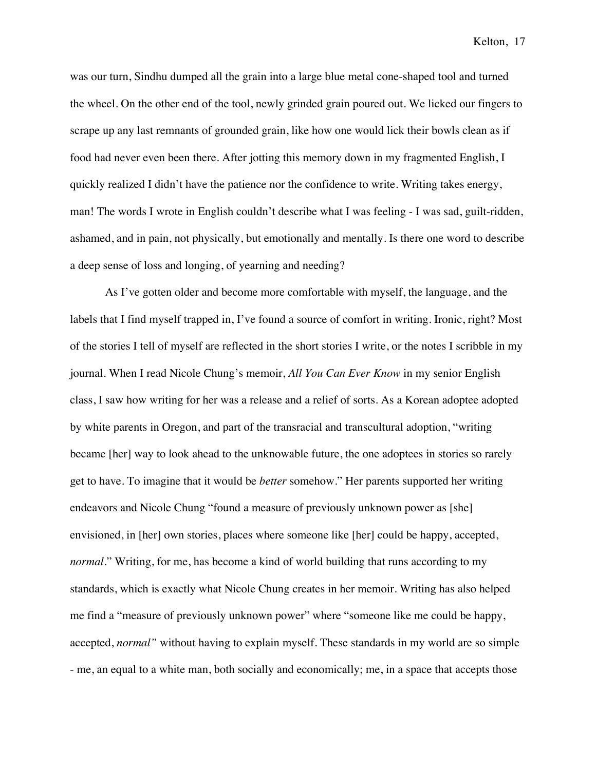was our turn, Sindhu dumped all the grain into a large blue metal cone-shaped tool and turned the wheel. On the other end of the tool, newly grinded grain poured out. We licked our fingers to scrape up any last remnants of grounded grain, like how one would lick their bowls clean as if food had never even been there. After jotting this memory down in my fragmented English, I quickly realized I didn't have the patience nor the confidence to write. Writing takes energy, man! The words I wrote in English couldn't describe what I was feeling - I was sad, guilt-ridden, ashamed, and in pain, not physically, but emotionally and mentally. Is there one word to describe a deep sense of loss and longing, of yearning and needing?

As I've gotten older and become more comfortable with myself, the language, and the labels that I find myself trapped in, I've found a source of comfort in writing. Ironic, right? Most of the stories I tell of myself are reflected in the short stories I write, or the notes I scribble in my journal. When I read Nicole Chung's memoir, *All You Can Ever Know* in my senior English class, I saw how writing for her was a release and a relief of sorts. As a Korean adoptee adopted by white parents in Oregon, and part of the transracial and transcultural adoption, "writing became [her] way to look ahead to the unknowable future, the one adoptees in stories so rarely get to have. To imagine that it would be *better* somehow." Her parents supported her writing endeavors and Nicole Chung "found a measure of previously unknown power as [she] envisioned, in [her] own stories, places where someone like [her] could be happy, accepted, *normal*." Writing, for me, has become a kind of world building that runs according to my standards, which is exactly what Nicole Chung creates in her memoir. Writing has also helped me find a "measure of previously unknown power" where "someone like me could be happy, accepted, *normal"* without having to explain myself. These standards in my world are so simple - me, an equal to a white man, both socially and economically; me, in a space that accepts those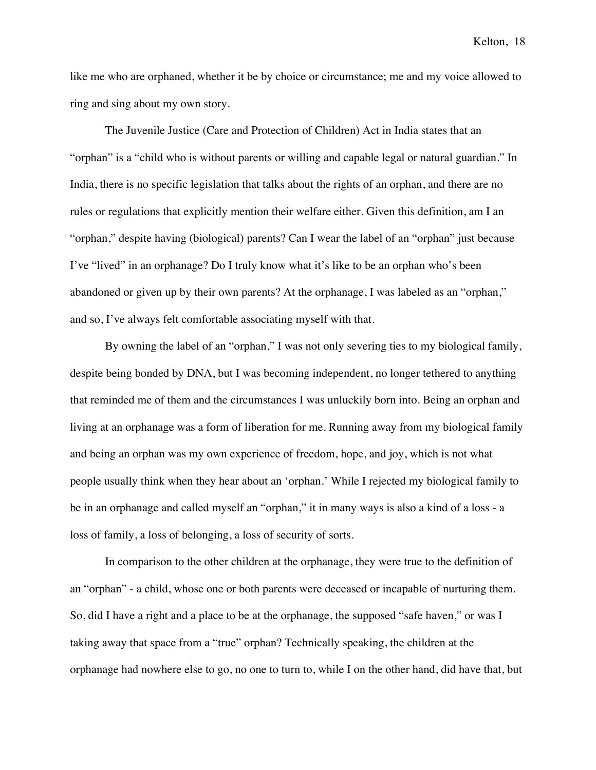like me who are orphaned, whether it be by choice or circumstance; me and my voice allowed to ring and sing about my own story.

The Juvenile Justice (Care and Protection of Children) Act in India states that an "orphan" is a "child who is without parents or willing and capable legal or natural guardian." In India, there is no specific legislation that talks about the rights of an orphan, and there are no rules or regulations that explicitly mention their welfare either. Given this definition, am I an "orphan," despite having (biological) parents? Can I wear the label of an "orphan" just because I've "lived" in an orphanage? Do I truly know what it's like to be an orphan who's been abandoned or given up by their own parents? At the orphanage, I was labeled as an "orphan," and so, I've always felt comfortable associating myself with that.

By owning the label of an "orphan," I was not only severing ties to my biological family, despite being bonded by DNA, but I was becoming independent, no longer tethered to anything that reminded me of them and the circumstances I was unluckily born into. Being an orphan and living at an orphanage was a form of liberation for me. Running away from my biological family and being an orphan was my own experience of freedom, hope, and joy, which is not what people usually think when they hear about an 'orphan.' While I rejected my biological family to be in an orphanage and called myself an "orphan," it in many ways is also a kind of a loss - a loss of family, a loss of belonging, a loss of security of sorts.

In comparison to the other children at the orphanage, they were true to the definition of an "orphan" - a child, whose one or both parents were deceased or incapable of nurturing them. So, did I have a right and a place to be at the orphanage, the supposed "safe haven," or was I taking away that space from a "true" orphan? Technically speaking, the children at the orphanage had nowhere else to go, no one to turn to, while I on the other hand, did have that, but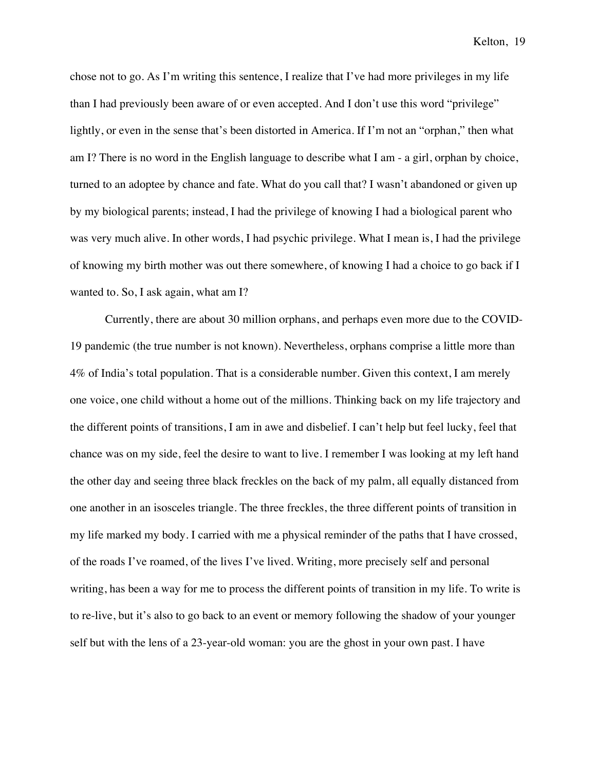chose not to go. As I'm writing this sentence, I realize that I've had more privileges in my life than I had previously been aware of or even accepted. And I don't use this word "privilege" lightly, or even in the sense that's been distorted in America. If I'm not an "orphan," then what am I? There is no word in the English language to describe what I am - a girl, orphan by choice, turned to an adoptee by chance and fate. What do you call that? I wasn't abandoned or given up by my biological parents; instead, I had the privilege of knowing I had a biological parent who was very much alive. In other words, I had psychic privilege. What I mean is, I had the privilege of knowing my birth mother was out there somewhere, of knowing I had a choice to go back if I wanted to. So, I ask again, what am I?

Currently, there are about 30 million orphans, and perhaps even more due to the COVID-19 pandemic (the true number is not known). Nevertheless, orphans comprise a little more than 4% of India's total population. That is a considerable number. Given this context, I am merely one voice, one child without a home out of the millions. Thinking back on my life trajectory and the different points of transitions, I am in awe and disbelief. I can't help but feel lucky, feel that chance was on my side, feel the desire to want to live. I remember I was looking at my left hand the other day and seeing three black freckles on the back of my palm, all equally distanced from one another in an isosceles triangle. The three freckles, the three different points of transition in my life marked my body. I carried with me a physical reminder of the paths that I have crossed, of the roads I've roamed, of the lives I've lived. Writing, more precisely self and personal writing, has been a way for me to process the different points of transition in my life. To write is to re-live, but it's also to go back to an event or memory following the shadow of your younger self but with the lens of a 23-year-old woman: you are the ghost in your own past. I have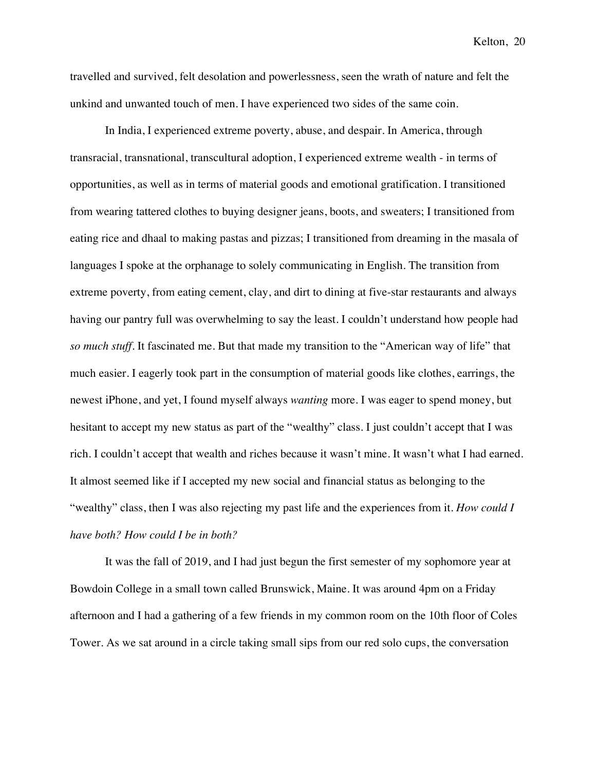travelled and survived, felt desolation and powerlessness, seen the wrath of nature and felt the unkind and unwanted touch of men. I have experienced two sides of the same coin.

In India, I experienced extreme poverty, abuse, and despair. In America, through transracial, transnational, transcultural adoption, I experienced extreme wealth - in terms of opportunities, as well as in terms of material goods and emotional gratification. I transitioned from wearing tattered clothes to buying designer jeans, boots, and sweaters; I transitioned from eating rice and dhaal to making pastas and pizzas; I transitioned from dreaming in the masala of languages I spoke at the orphanage to solely communicating in English. The transition from extreme poverty, from eating cement, clay, and dirt to dining at five-star restaurants and always having our pantry full was overwhelming to say the least. I couldn't understand how people had *so much stuff*. It fascinated me. But that made my transition to the "American way of life" that much easier. I eagerly took part in the consumption of material goods like clothes, earrings, the newest iPhone, and yet, I found myself always *wanting* more. I was eager to spend money, but hesitant to accept my new status as part of the "wealthy" class. I just couldn't accept that I was rich. I couldn't accept that wealth and riches because it wasn't mine. It wasn't what I had earned. It almost seemed like if I accepted my new social and financial status as belonging to the "wealthy" class, then I was also rejecting my past life and the experiences from it. *How could I have both? How could I be in both?*

It was the fall of 2019, and I had just begun the first semester of my sophomore year at Bowdoin College in a small town called Brunswick, Maine. It was around 4pm on a Friday afternoon and I had a gathering of a few friends in my common room on the 10th floor of Coles Tower. As we sat around in a circle taking small sips from our red solo cups, the conversation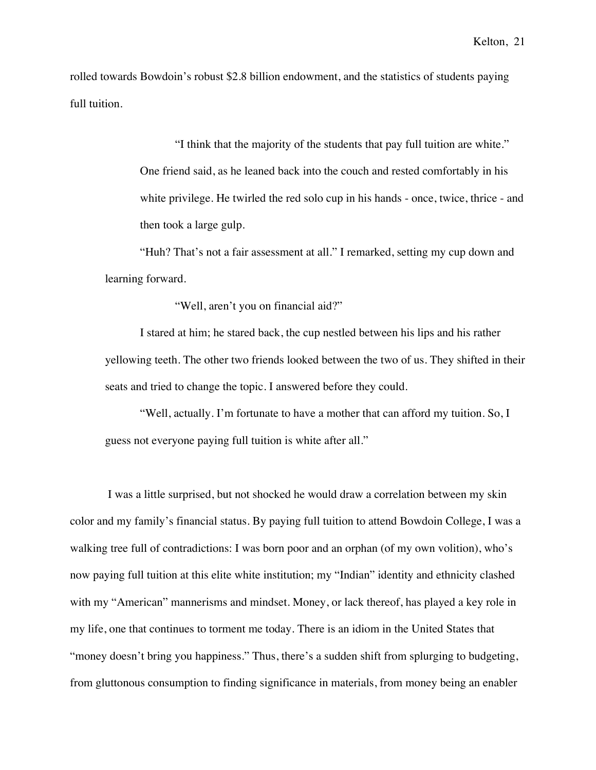rolled towards Bowdoin's robust \$2.8 billion endowment, and the statistics of students paying full tuition.

> "I think that the majority of the students that pay full tuition are white." One friend said, as he leaned back into the couch and rested comfortably in his white privilege. He twirled the red solo cup in his hands - once, twice, thrice - and then took a large gulp.

"Huh? That's not a fair assessment at all." I remarked, setting my cup down and learning forward.

"Well, aren't you on financial aid?"

I stared at him; he stared back, the cup nestled between his lips and his rather yellowing teeth. The other two friends looked between the two of us. They shifted in their seats and tried to change the topic. I answered before they could.

"Well, actually. I'm fortunate to have a mother that can afford my tuition. So, I guess not everyone paying full tuition is white after all."

I was a little surprised, but not shocked he would draw a correlation between my skin color and my family's financial status. By paying full tuition to attend Bowdoin College, I was a walking tree full of contradictions: I was born poor and an orphan (of my own volition), who's now paying full tuition at this elite white institution; my "Indian" identity and ethnicity clashed with my "American" mannerisms and mindset. Money, or lack thereof, has played a key role in my life, one that continues to torment me today. There is an idiom in the United States that "money doesn't bring you happiness." Thus, there's a sudden shift from splurging to budgeting, from gluttonous consumption to finding significance in materials, from money being an enabler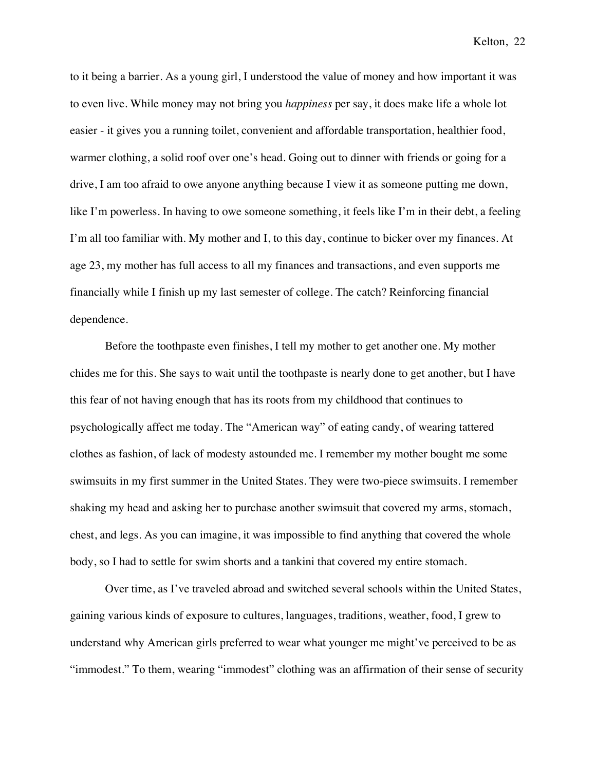to it being a barrier. As a young girl, I understood the value of money and how important it was to even live. While money may not bring you *happiness* per say, it does make life a whole lot easier - it gives you a running toilet, convenient and affordable transportation, healthier food, warmer clothing, a solid roof over one's head. Going out to dinner with friends or going for a drive, I am too afraid to owe anyone anything because I view it as someone putting me down, like I'm powerless. In having to owe someone something, it feels like I'm in their debt, a feeling I'm all too familiar with. My mother and I, to this day, continue to bicker over my finances. At age 23, my mother has full access to all my finances and transactions, and even supports me financially while I finish up my last semester of college. The catch? Reinforcing financial dependence.

Before the toothpaste even finishes, I tell my mother to get another one. My mother chides me for this. She says to wait until the toothpaste is nearly done to get another, but I have this fear of not having enough that has its roots from my childhood that continues to psychologically affect me today. The "American way" of eating candy, of wearing tattered clothes as fashion, of lack of modesty astounded me. I remember my mother bought me some swimsuits in my first summer in the United States. They were two-piece swimsuits. I remember shaking my head and asking her to purchase another swimsuit that covered my arms, stomach, chest, and legs. As you can imagine, it was impossible to find anything that covered the whole body, so I had to settle for swim shorts and a tankini that covered my entire stomach.

Over time, as I've traveled abroad and switched several schools within the United States, gaining various kinds of exposure to cultures, languages, traditions, weather, food, I grew to understand why American girls preferred to wear what younger me might've perceived to be as "immodest." To them, wearing "immodest" clothing was an affirmation of their sense of security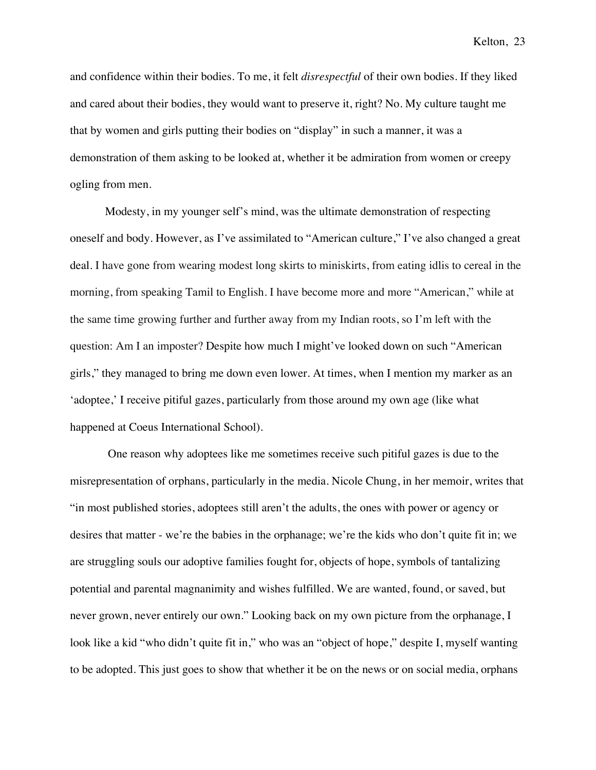and confidence within their bodies. To me, it felt *disrespectful* of their own bodies. If they liked and cared about their bodies, they would want to preserve it, right? No. My culture taught me that by women and girls putting their bodies on "display" in such a manner, it was a demonstration of them asking to be looked at, whether it be admiration from women or creepy ogling from men.

Modesty, in my younger self's mind, was the ultimate demonstration of respecting oneself and body. However, as I've assimilated to "American culture," I've also changed a great deal. I have gone from wearing modest long skirts to miniskirts, from eating idlis to cereal in the morning, from speaking Tamil to English. I have become more and more "American," while at the same time growing further and further away from my Indian roots, so I'm left with the question: Am I an imposter? Despite how much I might've looked down on such "American girls," they managed to bring me down even lower. At times, when I mention my marker as an 'adoptee,' I receive pitiful gazes, particularly from those around my own age (like what happened at Coeus International School).

One reason why adoptees like me sometimes receive such pitiful gazes is due to the misrepresentation of orphans, particularly in the media. Nicole Chung, in her memoir, writes that "in most published stories, adoptees still aren't the adults, the ones with power or agency or desires that matter - we're the babies in the orphanage; we're the kids who don't quite fit in; we are struggling souls our adoptive families fought for, objects of hope, symbols of tantalizing potential and parental magnanimity and wishes fulfilled. We are wanted, found, or saved, but never grown, never entirely our own." Looking back on my own picture from the orphanage, I look like a kid "who didn't quite fit in," who was an "object of hope," despite I, myself wanting to be adopted. This just goes to show that whether it be on the news or on social media, orphans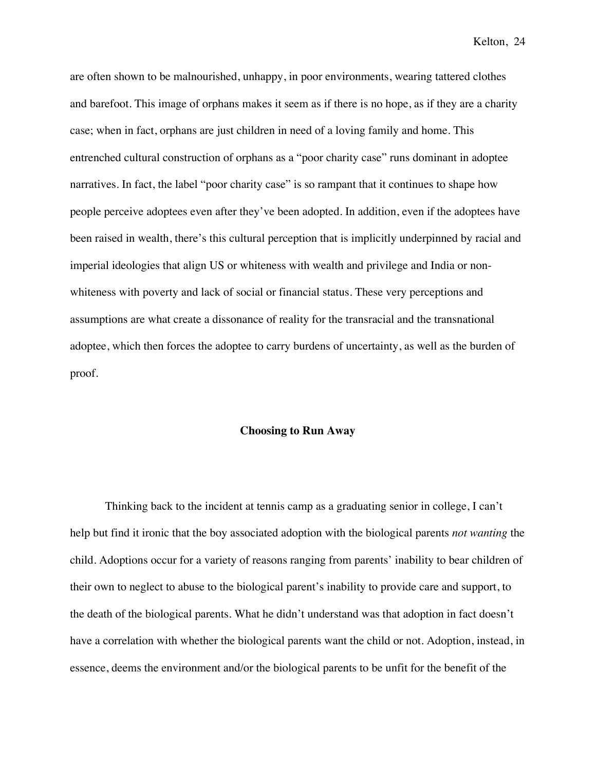are often shown to be malnourished, unhappy, in poor environments, wearing tattered clothes and barefoot. This image of orphans makes it seem as if there is no hope, as if they are a charity case; when in fact, orphans are just children in need of a loving family and home. This entrenched cultural construction of orphans as a "poor charity case" runs dominant in adoptee narratives. In fact, the label "poor charity case" is so rampant that it continues to shape how people perceive adoptees even after they've been adopted. In addition, even if the adoptees have been raised in wealth, there's this cultural perception that is implicitly underpinned by racial and imperial ideologies that align US or whiteness with wealth and privilege and India or nonwhiteness with poverty and lack of social or financial status. These very perceptions and assumptions are what create a dissonance of reality for the transracial and the transnational adoptee, which then forces the adoptee to carry burdens of uncertainty, as well as the burden of proof.

#### **Choosing to Run Away**

Thinking back to the incident at tennis camp as a graduating senior in college, I can't help but find it ironic that the boy associated adoption with the biological parents *not wanting* the child. Adoptions occur for a variety of reasons ranging from parents' inability to bear children of their own to neglect to abuse to the biological parent's inability to provide care and support, to the death of the biological parents. What he didn't understand was that adoption in fact doesn't have a correlation with whether the biological parents want the child or not. Adoption, instead, in essence, deems the environment and/or the biological parents to be unfit for the benefit of the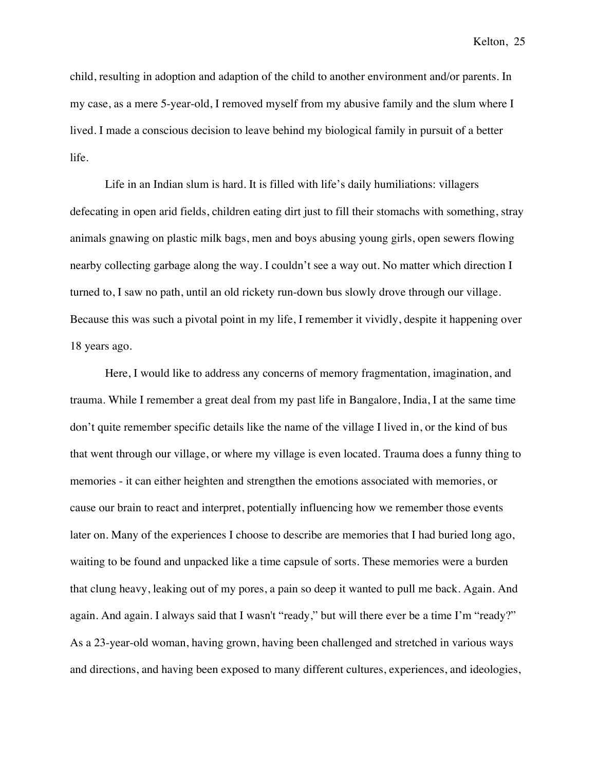child, resulting in adoption and adaption of the child to another environment and/or parents. In my case, as a mere 5-year-old, I removed myself from my abusive family and the slum where I lived. I made a conscious decision to leave behind my biological family in pursuit of a better life.

Life in an Indian slum is hard. It is filled with life's daily humiliations: villagers defecating in open arid fields, children eating dirt just to fill their stomachs with something, stray animals gnawing on plastic milk bags, men and boys abusing young girls, open sewers flowing nearby collecting garbage along the way. I couldn't see a way out. No matter which direction I turned to, I saw no path, until an old rickety run-down bus slowly drove through our village. Because this was such a pivotal point in my life, I remember it vividly, despite it happening over 18 years ago.

Here, I would like to address any concerns of memory fragmentation, imagination, and trauma. While I remember a great deal from my past life in Bangalore, India, I at the same time don't quite remember specific details like the name of the village I lived in, or the kind of bus that went through our village, or where my village is even located. Trauma does a funny thing to memories - it can either heighten and strengthen the emotions associated with memories, or cause our brain to react and interpret, potentially influencing how we remember those events later on. Many of the experiences I choose to describe are memories that I had buried long ago, waiting to be found and unpacked like a time capsule of sorts. These memories were a burden that clung heavy, leaking out of my pores, a pain so deep it wanted to pull me back. Again. And again. And again. I always said that I wasn't "ready," but will there ever be a time I'm "ready?" As a 23-year-old woman, having grown, having been challenged and stretched in various ways and directions, and having been exposed to many different cultures, experiences, and ideologies,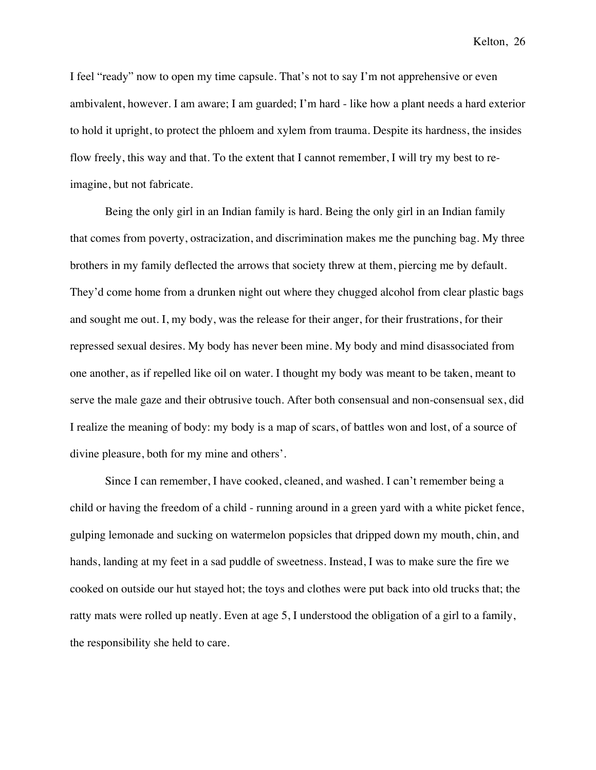I feel "ready" now to open my time capsule. That's not to say I'm not apprehensive or even ambivalent, however. I am aware; I am guarded; I'm hard - like how a plant needs a hard exterior to hold it upright, to protect the phloem and xylem from trauma. Despite its hardness, the insides flow freely, this way and that. To the extent that I cannot remember, I will try my best to reimagine, but not fabricate.

Being the only girl in an Indian family is hard. Being the only girl in an Indian family that comes from poverty, ostracization, and discrimination makes me the punching bag. My three brothers in my family deflected the arrows that society threw at them, piercing me by default. They'd come home from a drunken night out where they chugged alcohol from clear plastic bags and sought me out. I, my body, was the release for their anger, for their frustrations, for their repressed sexual desires. My body has never been mine. My body and mind disassociated from one another, as if repelled like oil on water. I thought my body was meant to be taken, meant to serve the male gaze and their obtrusive touch. After both consensual and non-consensual sex, did I realize the meaning of body: my body is a map of scars, of battles won and lost, of a source of divine pleasure, both for my mine and others'.

Since I can remember, I have cooked, cleaned, and washed. I can't remember being a child or having the freedom of a child - running around in a green yard with a white picket fence, gulping lemonade and sucking on watermelon popsicles that dripped down my mouth, chin, and hands, landing at my feet in a sad puddle of sweetness. Instead, I was to make sure the fire we cooked on outside our hut stayed hot; the toys and clothes were put back into old trucks that; the ratty mats were rolled up neatly. Even at age 5, I understood the obligation of a girl to a family, the responsibility she held to care.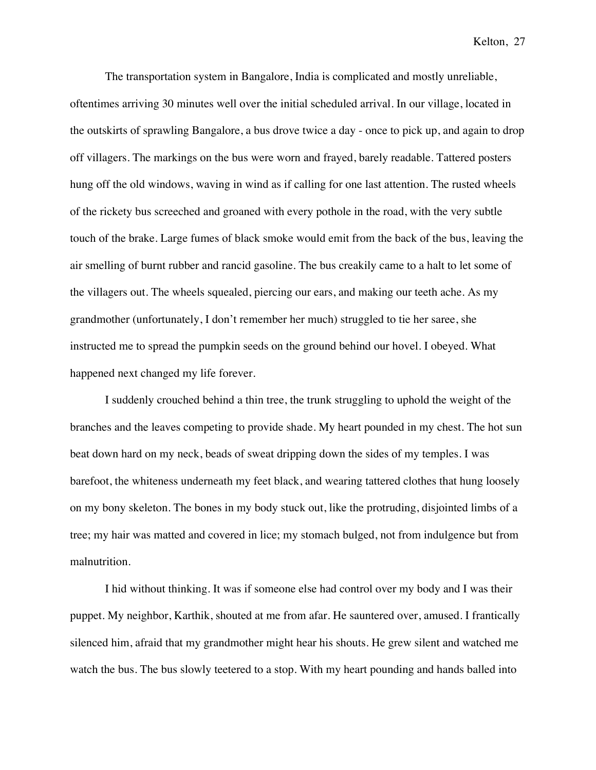The transportation system in Bangalore, India is complicated and mostly unreliable, oftentimes arriving 30 minutes well over the initial scheduled arrival. In our village, located in the outskirts of sprawling Bangalore, a bus drove twice a day - once to pick up, and again to drop off villagers. The markings on the bus were worn and frayed, barely readable. Tattered posters hung off the old windows, waving in wind as if calling for one last attention. The rusted wheels of the rickety bus screeched and groaned with every pothole in the road, with the very subtle touch of the brake. Large fumes of black smoke would emit from the back of the bus, leaving the air smelling of burnt rubber and rancid gasoline. The bus creakily came to a halt to let some of the villagers out. The wheels squealed, piercing our ears, and making our teeth ache. As my grandmother (unfortunately, I don't remember her much) struggled to tie her saree, she instructed me to spread the pumpkin seeds on the ground behind our hovel. I obeyed. What happened next changed my life forever.

I suddenly crouched behind a thin tree, the trunk struggling to uphold the weight of the branches and the leaves competing to provide shade. My heart pounded in my chest. The hot sun beat down hard on my neck, beads of sweat dripping down the sides of my temples. I was barefoot, the whiteness underneath my feet black, and wearing tattered clothes that hung loosely on my bony skeleton. The bones in my body stuck out, like the protruding, disjointed limbs of a tree; my hair was matted and covered in lice; my stomach bulged, not from indulgence but from malnutrition.

I hid without thinking. It was if someone else had control over my body and I was their puppet. My neighbor, Karthik, shouted at me from afar. He sauntered over, amused. I frantically silenced him, afraid that my grandmother might hear his shouts. He grew silent and watched me watch the bus. The bus slowly teetered to a stop. With my heart pounding and hands balled into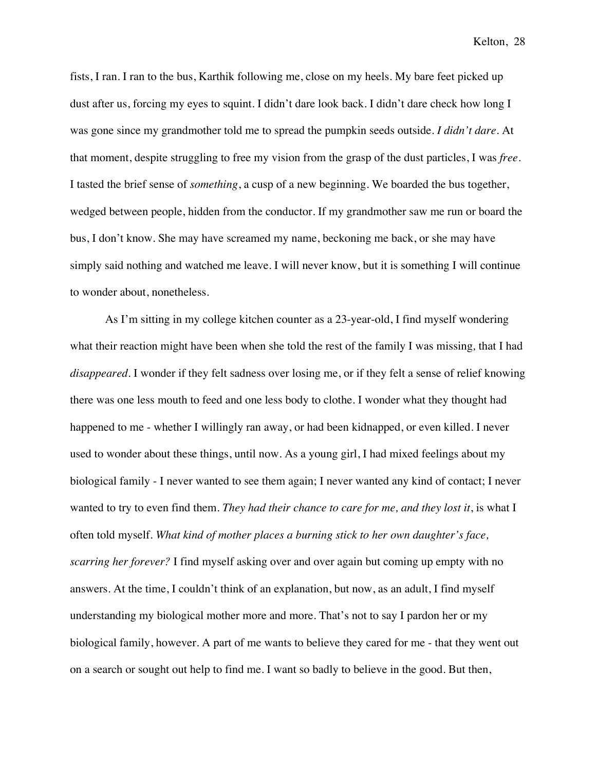fists, I ran. I ran to the bus, Karthik following me, close on my heels. My bare feet picked up dust after us, forcing my eyes to squint. I didn't dare look back. I didn't dare check how long I was gone since my grandmother told me to spread the pumpkin seeds outside. *I didn't dare*. At that moment, despite struggling to free my vision from the grasp of the dust particles, I was *free*. I tasted the brief sense of *something*, a cusp of a new beginning. We boarded the bus together, wedged between people, hidden from the conductor. If my grandmother saw me run or board the bus, I don't know. She may have screamed my name, beckoning me back, or she may have simply said nothing and watched me leave. I will never know, but it is something I will continue to wonder about, nonetheless.

As I'm sitting in my college kitchen counter as a 23-year-old, I find myself wondering what their reaction might have been when she told the rest of the family I was missing*,* that I had *disappeared.* I wonder if they felt sadness over losing me, or if they felt a sense of relief knowing there was one less mouth to feed and one less body to clothe. I wonder what they thought had happened to me - whether I willingly ran away, or had been kidnapped, or even killed. I never used to wonder about these things, until now. As a young girl, I had mixed feelings about my biological family - I never wanted to see them again; I never wanted any kind of contact; I never wanted to try to even find them. *They had their chance to care for me, and they lost it*, is what I often told myself. *What kind of mother places a burning stick to her own daughter's face, scarring her forever?* I find myself asking over and over again but coming up empty with no answers. At the time, I couldn't think of an explanation, but now, as an adult, I find myself understanding my biological mother more and more. That's not to say I pardon her or my biological family, however. A part of me wants to believe they cared for me - that they went out on a search or sought out help to find me. I want so badly to believe in the good. But then,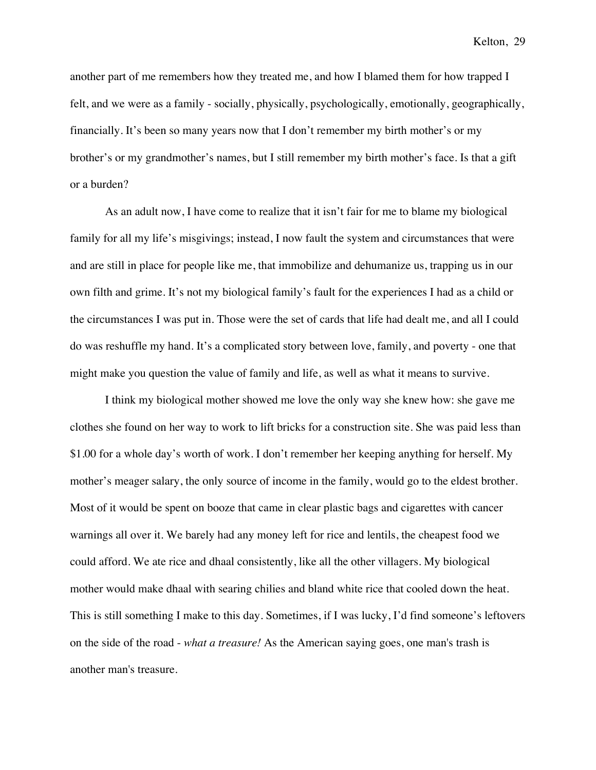another part of me remembers how they treated me, and how I blamed them for how trapped I felt, and we were as a family - socially, physically, psychologically, emotionally, geographically, financially. It's been so many years now that I don't remember my birth mother's or my brother's or my grandmother's names, but I still remember my birth mother's face. Is that a gift or a burden?

As an adult now, I have come to realize that it isn't fair for me to blame my biological family for all my life's misgivings; instead, I now fault the system and circumstances that were and are still in place for people like me, that immobilize and dehumanize us, trapping us in our own filth and grime. It's not my biological family's fault for the experiences I had as a child or the circumstances I was put in. Those were the set of cards that life had dealt me, and all I could do was reshuffle my hand. It's a complicated story between love, family, and poverty - one that might make you question the value of family and life, as well as what it means to survive.

I think my biological mother showed me love the only way she knew how: she gave me clothes she found on her way to work to lift bricks for a construction site. She was paid less than \$1.00 for a whole day's worth of work. I don't remember her keeping anything for herself. My mother's meager salary, the only source of income in the family, would go to the eldest brother. Most of it would be spent on booze that came in clear plastic bags and cigarettes with cancer warnings all over it. We barely had any money left for rice and lentils, the cheapest food we could afford. We ate rice and dhaal consistently, like all the other villagers. My biological mother would make dhaal with searing chilies and bland white rice that cooled down the heat. This is still something I make to this day. Sometimes, if I was lucky, I'd find someone's leftovers on the side of the road - *what a treasure!* As the American saying goes, one man's trash is another man's treasure.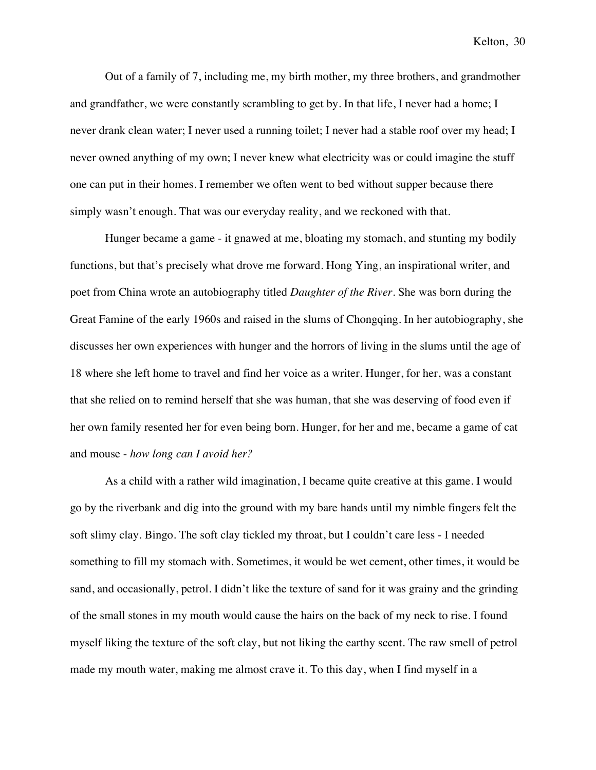Out of a family of 7, including me, my birth mother, my three brothers, and grandmother and grandfather, we were constantly scrambling to get by. In that life, I never had a home; I never drank clean water; I never used a running toilet; I never had a stable roof over my head; I never owned anything of my own; I never knew what electricity was or could imagine the stuff one can put in their homes. I remember we often went to bed without supper because there simply wasn't enough. That was our everyday reality, and we reckoned with that.

Hunger became a game - it gnawed at me, bloating my stomach, and stunting my bodily functions, but that's precisely what drove me forward. Hong Ying, an inspirational writer, and poet from China wrote an autobiography titled *Daughter of the River*. She was born during the Great Famine of the early 1960s and raised in the slums of Chongqing. In her autobiography, she discusses her own experiences with hunger and the horrors of living in the slums until the age of 18 where she left home to travel and find her voice as a writer. Hunger, for her, was a constant that she relied on to remind herself that she was human, that she was deserving of food even if her own family resented her for even being born. Hunger, for her and me, became a game of cat and mouse - *how long can I avoid her?*

As a child with a rather wild imagination, I became quite creative at this game. I would go by the riverbank and dig into the ground with my bare hands until my nimble fingers felt the soft slimy clay. Bingo. The soft clay tickled my throat, but I couldn't care less - I needed something to fill my stomach with. Sometimes, it would be wet cement, other times, it would be sand, and occasionally, petrol. I didn't like the texture of sand for it was grainy and the grinding of the small stones in my mouth would cause the hairs on the back of my neck to rise. I found myself liking the texture of the soft clay, but not liking the earthy scent. The raw smell of petrol made my mouth water, making me almost crave it. To this day, when I find myself in a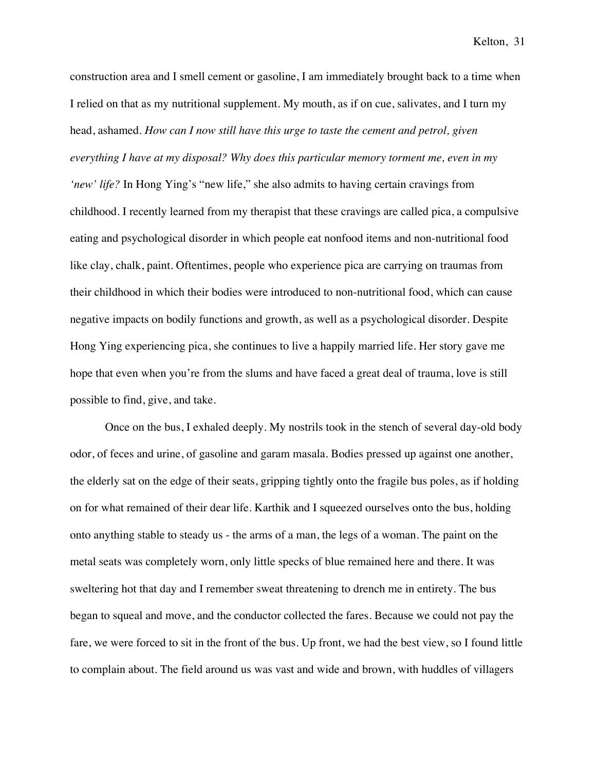construction area and I smell cement or gasoline, I am immediately brought back to a time when I relied on that as my nutritional supplement. My mouth, as if on cue, salivates, and I turn my head, ashamed. *How can I now still have this urge to taste the cement and petrol, given everything I have at my disposal? Why does this particular memory torment me, even in my 'new' life?* In Hong Ying's "new life," she also admits to having certain cravings from childhood. I recently learned from my therapist that these cravings are called pica, a compulsive eating and psychological disorder in which people eat nonfood items and non-nutritional food like clay, chalk, paint. Oftentimes, people who experience pica are carrying on traumas from their childhood in which their bodies were introduced to non-nutritional food, which can cause negative impacts on bodily functions and growth, as well as a psychological disorder. Despite Hong Ying experiencing pica, she continues to live a happily married life. Her story gave me hope that even when you're from the slums and have faced a great deal of trauma, love is still possible to find, give, and take.

Once on the bus, I exhaled deeply. My nostrils took in the stench of several day-old body odor, of feces and urine, of gasoline and garam masala. Bodies pressed up against one another, the elderly sat on the edge of their seats, gripping tightly onto the fragile bus poles, as if holding on for what remained of their dear life. Karthik and I squeezed ourselves onto the bus, holding onto anything stable to steady us - the arms of a man, the legs of a woman. The paint on the metal seats was completely worn, only little specks of blue remained here and there. It was sweltering hot that day and I remember sweat threatening to drench me in entirety. The bus began to squeal and move, and the conductor collected the fares. Because we could not pay the fare, we were forced to sit in the front of the bus. Up front, we had the best view, so I found little to complain about. The field around us was vast and wide and brown, with huddles of villagers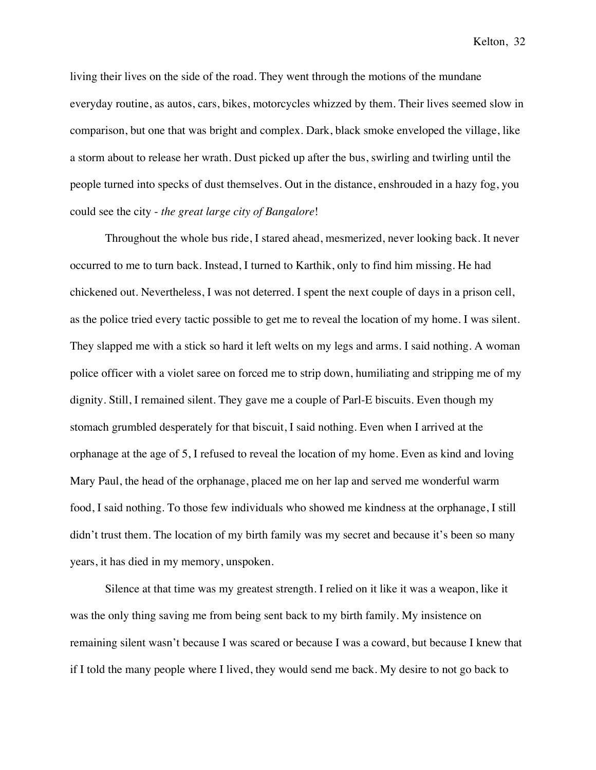living their lives on the side of the road. They went through the motions of the mundane everyday routine, as autos, cars, bikes, motorcycles whizzed by them. Their lives seemed slow in comparison, but one that was bright and complex. Dark, black smoke enveloped the village, like a storm about to release her wrath. Dust picked up after the bus, swirling and twirling until the people turned into specks of dust themselves. Out in the distance, enshrouded in a hazy fog, you could see the city - *the great large city of Bangalore*!

Throughout the whole bus ride, I stared ahead, mesmerized, never looking back. It never occurred to me to turn back. Instead, I turned to Karthik, only to find him missing. He had chickened out. Nevertheless, I was not deterred. I spent the next couple of days in a prison cell, as the police tried every tactic possible to get me to reveal the location of my home. I was silent. They slapped me with a stick so hard it left welts on my legs and arms. I said nothing. A woman police officer with a violet saree on forced me to strip down, humiliating and stripping me of my dignity. Still, I remained silent. They gave me a couple of Parl-E biscuits. Even though my stomach grumbled desperately for that biscuit, I said nothing. Even when I arrived at the orphanage at the age of 5, I refused to reveal the location of my home. Even as kind and loving Mary Paul, the head of the orphanage, placed me on her lap and served me wonderful warm food, I said nothing. To those few individuals who showed me kindness at the orphanage, I still didn't trust them. The location of my birth family was my secret and because it's been so many years, it has died in my memory, unspoken.

Silence at that time was my greatest strength. I relied on it like it was a weapon, like it was the only thing saving me from being sent back to my birth family. My insistence on remaining silent wasn't because I was scared or because I was a coward, but because I knew that if I told the many people where I lived, they would send me back. My desire to not go back to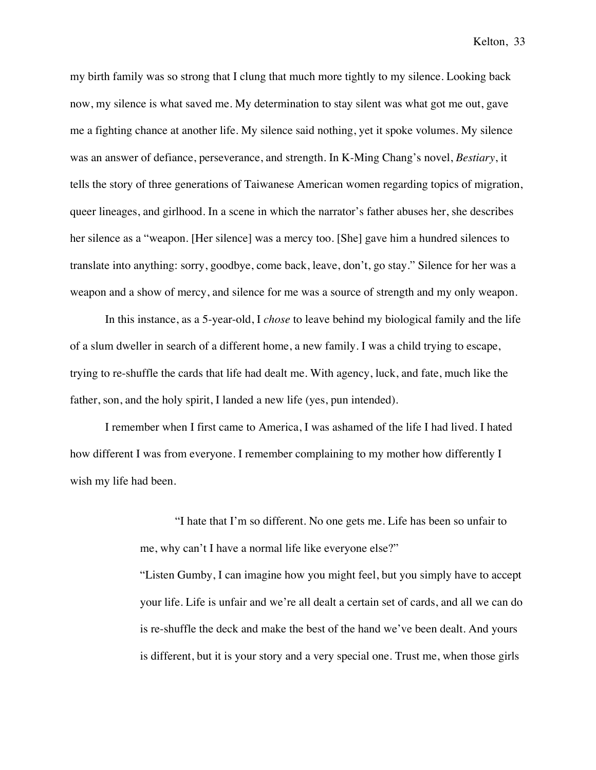my birth family was so strong that I clung that much more tightly to my silence. Looking back now, my silence is what saved me. My determination to stay silent was what got me out, gave me a fighting chance at another life. My silence said nothing, yet it spoke volumes. My silence was an answer of defiance, perseverance, and strength. In K-Ming Chang's novel, *Bestiary*, it tells the story of three generations of Taiwanese American women regarding topics of migration, queer lineages, and girlhood. In a scene in which the narrator's father abuses her, she describes her silence as a "weapon. [Her silence] was a mercy too. [She] gave him a hundred silences to translate into anything: sorry, goodbye, come back, leave, don't, go stay." Silence for her was a weapon and a show of mercy, and silence for me was a source of strength and my only weapon.

In this instance, as a 5-year-old, I *chose* to leave behind my biological family and the life of a slum dweller in search of a different home, a new family. I was a child trying to escape, trying to re-shuffle the cards that life had dealt me. With agency, luck, and fate, much like the father, son, and the holy spirit, I landed a new life (yes, pun intended).

I remember when I first came to America, I was ashamed of the life I had lived. I hated how different I was from everyone. I remember complaining to my mother how differently I wish my life had been.

> "I hate that I'm so different. No one gets me. Life has been so unfair to me, why can't I have a normal life like everyone else?"

"Listen Gumby, I can imagine how you might feel, but you simply have to accept your life. Life is unfair and we're all dealt a certain set of cards, and all we can do is re-shuffle the deck and make the best of the hand we've been dealt. And yours is different, but it is your story and a very special one. Trust me, when those girls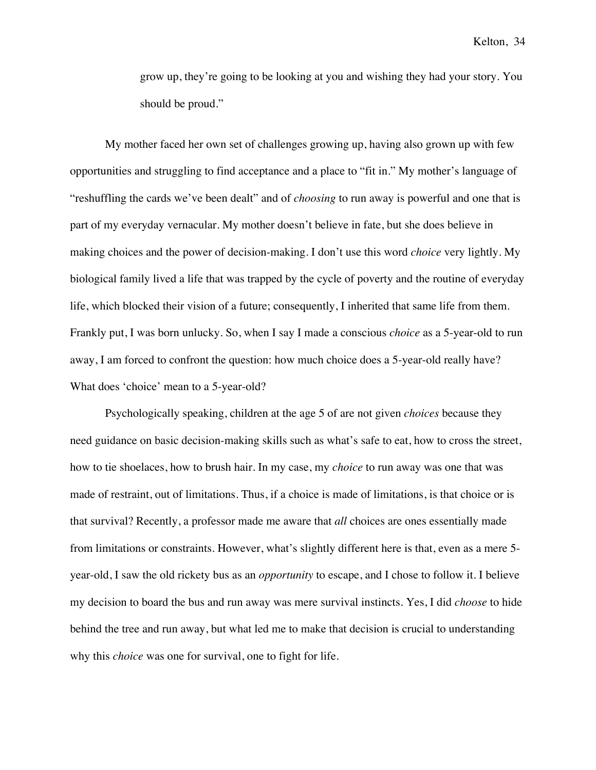grow up, they're going to be looking at you and wishing they had your story. You should be proud."

My mother faced her own set of challenges growing up, having also grown up with few opportunities and struggling to find acceptance and a place to "fit in." My mother's language of "reshuffling the cards we've been dealt" and of *choosing* to run away is powerful and one that is part of my everyday vernacular. My mother doesn't believe in fate, but she does believe in making choices and the power of decision-making. I don't use this word *choice* very lightly. My biological family lived a life that was trapped by the cycle of poverty and the routine of everyday life, which blocked their vision of a future; consequently, I inherited that same life from them. Frankly put, I was born unlucky. So, when I say I made a conscious *choice* as a 5-year-old to run away, I am forced to confront the question: how much choice does a 5-year-old really have? What does 'choice' mean to a 5-year-old?

Psychologically speaking, children at the age 5 of are not given *choices* because they need guidance on basic decision-making skills such as what's safe to eat, how to cross the street, how to tie shoelaces, how to brush hair. In my case, my *choice* to run away was one that was made of restraint, out of limitations. Thus, if a choice is made of limitations, is that choice or is that survival? Recently, a professor made me aware that *all* choices are ones essentially made from limitations or constraints. However, what's slightly different here is that, even as a mere 5 year-old, I saw the old rickety bus as an *opportunity* to escape, and I chose to follow it. I believe my decision to board the bus and run away was mere survival instincts. Yes, I did *choose* to hide behind the tree and run away, but what led me to make that decision is crucial to understanding why this *choice* was one for survival, one to fight for life.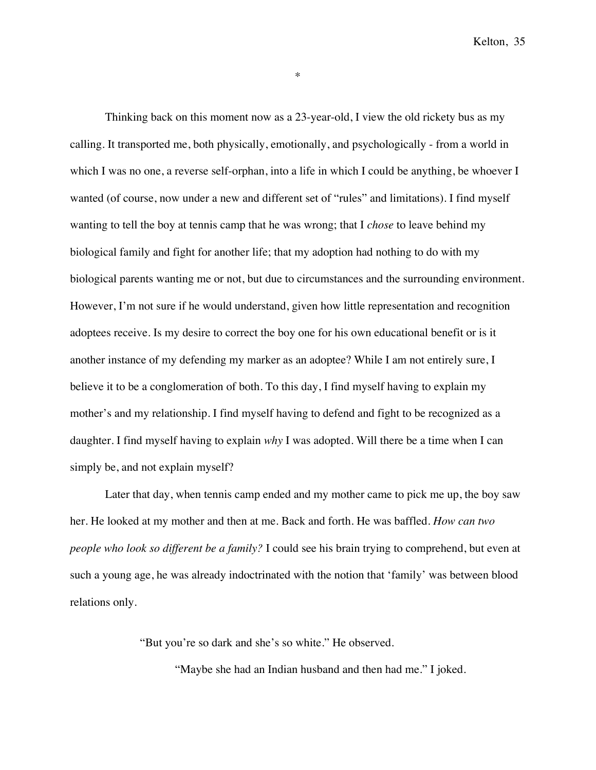\*

Thinking back on this moment now as a 23-year-old, I view the old rickety bus as my calling. It transported me, both physically, emotionally, and psychologically - from a world in which I was no one, a reverse self-orphan, into a life in which I could be anything, be whoever I wanted (of course, now under a new and different set of "rules" and limitations). I find myself wanting to tell the boy at tennis camp that he was wrong; that I *chose* to leave behind my biological family and fight for another life; that my adoption had nothing to do with my biological parents wanting me or not, but due to circumstances and the surrounding environment. However, I'm not sure if he would understand, given how little representation and recognition adoptees receive. Is my desire to correct the boy one for his own educational benefit or is it another instance of my defending my marker as an adoptee? While I am not entirely sure, I believe it to be a conglomeration of both. To this day, I find myself having to explain my mother's and my relationship. I find myself having to defend and fight to be recognized as a daughter. I find myself having to explain *why* I was adopted. Will there be a time when I can simply be, and not explain myself?

Later that day, when tennis camp ended and my mother came to pick me up, the boy saw her. He looked at my mother and then at me. Back and forth. He was baffled. *How can two people who look so different be a family?* I could see his brain trying to comprehend, but even at such a young age, he was already indoctrinated with the notion that 'family' was between blood relations only.

"But you're so dark and she's so white." He observed.

"Maybe she had an Indian husband and then had me." I joked.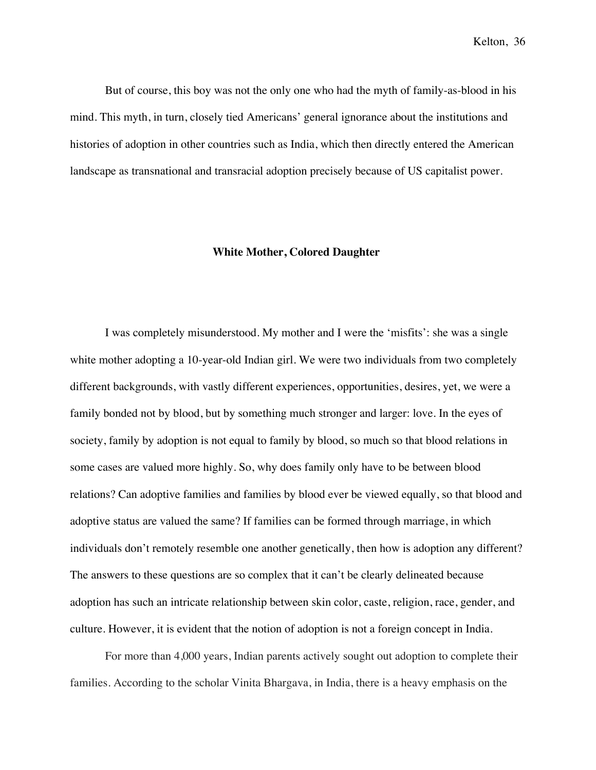But of course, this boy was not the only one who had the myth of family-as-blood in his mind. This myth, in turn, closely tied Americans' general ignorance about the institutions and histories of adoption in other countries such as India, which then directly entered the American landscape as transnational and transracial adoption precisely because of US capitalist power.

## **White Mother, Colored Daughter**

I was completely misunderstood. My mother and I were the 'misfits': she was a single white mother adopting a 10-year-old Indian girl. We were two individuals from two completely different backgrounds, with vastly different experiences, opportunities, desires, yet, we were a family bonded not by blood, but by something much stronger and larger: love. In the eyes of society, family by adoption is not equal to family by blood, so much so that blood relations in some cases are valued more highly. So, why does family only have to be between blood relations? Can adoptive families and families by blood ever be viewed equally, so that blood and adoptive status are valued the same? If families can be formed through marriage, in which individuals don't remotely resemble one another genetically, then how is adoption any different? The answers to these questions are so complex that it can't be clearly delineated because adoption has such an intricate relationship between skin color, caste, religion, race, gender, and culture. However, it is evident that the notion of adoption is not a foreign concept in India.

For more than 4,000 years, Indian parents actively sought out adoption to complete their families. According to the scholar Vinita Bhargava, in India, there is a heavy emphasis on the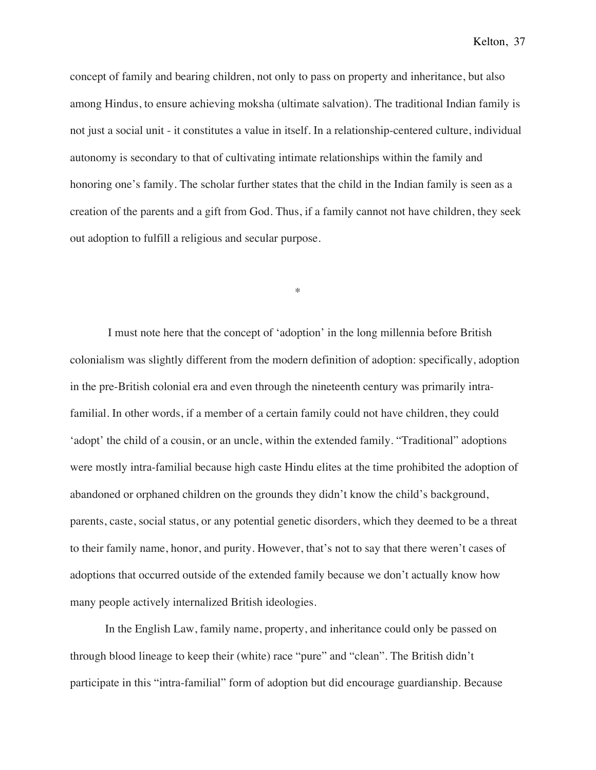concept of family and bearing children, not only to pass on property and inheritance, but also among Hindus, to ensure achieving moksha (ultimate salvation). The traditional Indian family is not just a social unit - it constitutes a value in itself. In a relationship-centered culture, individual autonomy is secondary to that of cultivating intimate relationships within the family and honoring one's family. The scholar further states that the child in the Indian family is seen as a creation of the parents and a gift from God. Thus, if a family cannot not have children, they seek out adoption to fulfill a religious and secular purpose.

\*

I must note here that the concept of 'adoption' in the long millennia before British colonialism was slightly different from the modern definition of adoption: specifically, adoption in the pre-British colonial era and even through the nineteenth century was primarily intrafamilial. In other words, if a member of a certain family could not have children, they could 'adopt' the child of a cousin, or an uncle, within the extended family. "Traditional" adoptions were mostly intra-familial because high caste Hindu elites at the time prohibited the adoption of abandoned or orphaned children on the grounds they didn't know the child's background, parents, caste, social status, or any potential genetic disorders, which they deemed to be a threat to their family name, honor, and purity. However, that's not to say that there weren't cases of adoptions that occurred outside of the extended family because we don't actually know how many people actively internalized British ideologies.

In the English Law, family name, property, and inheritance could only be passed on through blood lineage to keep their (white) race "pure" and "clean". The British didn't participate in this "intra-familial" form of adoption but did encourage guardianship. Because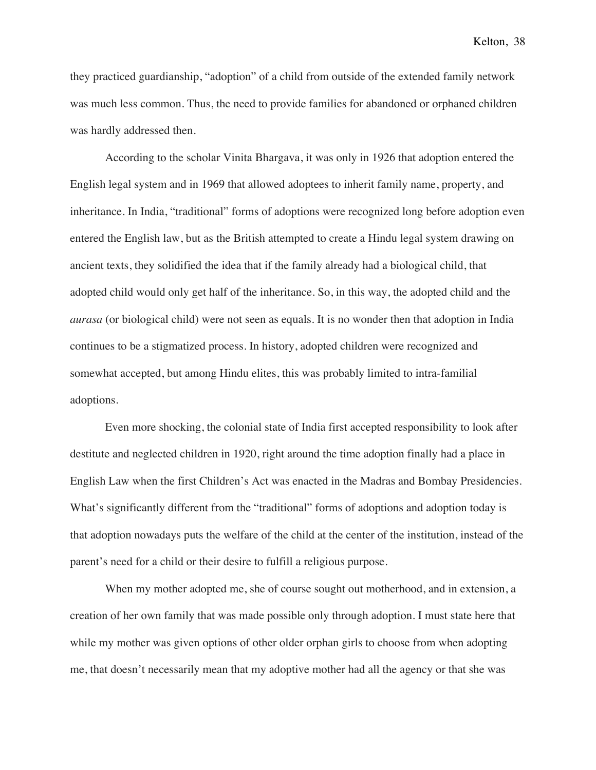they practiced guardianship, "adoption" of a child from outside of the extended family network was much less common. Thus, the need to provide families for abandoned or orphaned children was hardly addressed then.

According to the scholar Vinita Bhargava, it was only in 1926 that adoption entered the English legal system and in 1969 that allowed adoptees to inherit family name, property, and inheritance. In India, "traditional" forms of adoptions were recognized long before adoption even entered the English law, but as the British attempted to create a Hindu legal system drawing on ancient texts, they solidified the idea that if the family already had a biological child, that adopted child would only get half of the inheritance. So, in this way, the adopted child and the *aurasa* (or biological child) were not seen as equals. It is no wonder then that adoption in India continues to be a stigmatized process. In history, adopted children were recognized and somewhat accepted, but among Hindu elites, this was probably limited to intra-familial adoptions.

Even more shocking, the colonial state of India first accepted responsibility to look after destitute and neglected children in 1920, right around the time adoption finally had a place in English Law when the first Children's Act was enacted in the Madras and Bombay Presidencies. What's significantly different from the "traditional" forms of adoptions and adoption today is that adoption nowadays puts the welfare of the child at the center of the institution, instead of the parent's need for a child or their desire to fulfill a religious purpose.

When my mother adopted me, she of course sought out motherhood, and in extension, a creation of her own family that was made possible only through adoption. I must state here that while my mother was given options of other older orphan girls to choose from when adopting me, that doesn't necessarily mean that my adoptive mother had all the agency or that she was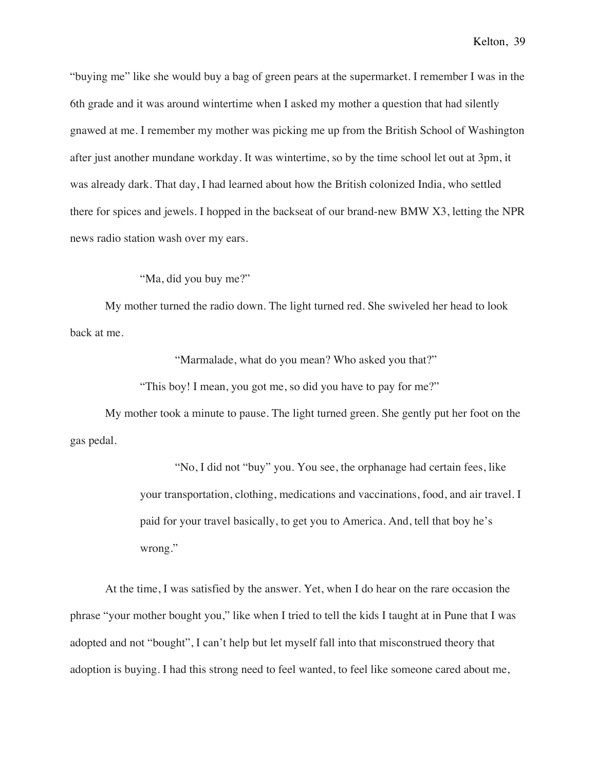"buying me" like she would buy a bag of green pears at the supermarket. I remember I was in the 6th grade and it was around wintertime when I asked my mother a question that had silently gnawed at me. I remember my mother was picking me up from the British School of Washington after just another mundane workday. It was wintertime, so by the time school let out at 3pm, it was already dark. That day, I had learned about how the British colonized India, who settled there for spices and jewels. I hopped in the backseat of our brand-new BMW X3, letting the NPR news radio station wash over my ears.

"Ma, did you buy me?"

My mother turned the radio down. The light turned red. She swiveled her head to look back at me.

"Marmalade, what do you mean? Who asked you that?"

"This boy! I mean, you got me, so did you have to pay for me?"

My mother took a minute to pause. The light turned green. She gently put her foot on the gas pedal.

> "No, I did not "buy" you. You see, the orphanage had certain fees, like your transportation, clothing, medications and vaccinations, food, and air travel. I paid for your travel basically, to get you to America. And, tell that boy he's wrong."

At the time, I was satisfied by the answer. Yet, when I do hear on the rare occasion the phrase "your mother bought you," like when I tried to tell the kids I taught at in Pune that I was adopted and not "bought", I can't help but let myself fall into that misconstrued theory that adoption is buying. I had this strong need to feel wanted, to feel like someone cared about me,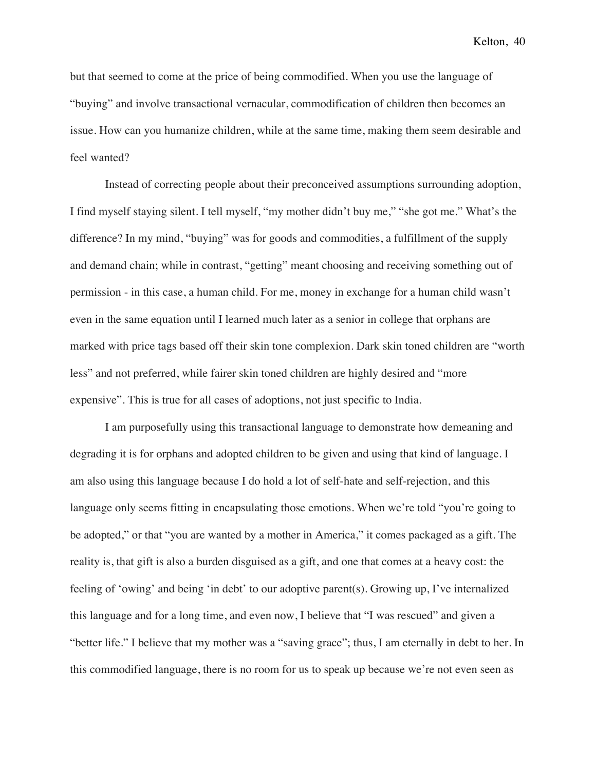but that seemed to come at the price of being commodified. When you use the language of "buying" and involve transactional vernacular, commodification of children then becomes an issue. How can you humanize children, while at the same time, making them seem desirable and feel wanted?

Instead of correcting people about their preconceived assumptions surrounding adoption, I find myself staying silent. I tell myself, "my mother didn't buy me," "she got me." What's the difference? In my mind, "buying" was for goods and commodities, a fulfillment of the supply and demand chain; while in contrast, "getting" meant choosing and receiving something out of permission - in this case, a human child. For me, money in exchange for a human child wasn't even in the same equation until I learned much later as a senior in college that orphans are marked with price tags based off their skin tone complexion. Dark skin toned children are "worth less" and not preferred, while fairer skin toned children are highly desired and "more expensive". This is true for all cases of adoptions, not just specific to India.

I am purposefully using this transactional language to demonstrate how demeaning and degrading it is for orphans and adopted children to be given and using that kind of language. I am also using this language because I do hold a lot of self-hate and self-rejection, and this language only seems fitting in encapsulating those emotions. When we're told "you're going to be adopted," or that "you are wanted by a mother in America," it comes packaged as a gift. The reality is, that gift is also a burden disguised as a gift, and one that comes at a heavy cost: the feeling of 'owing' and being 'in debt' to our adoptive parent(s). Growing up, I've internalized this language and for a long time, and even now, I believe that "I was rescued" and given a "better life." I believe that my mother was a "saving grace"; thus, I am eternally in debt to her. In this commodified language, there is no room for us to speak up because we're not even seen as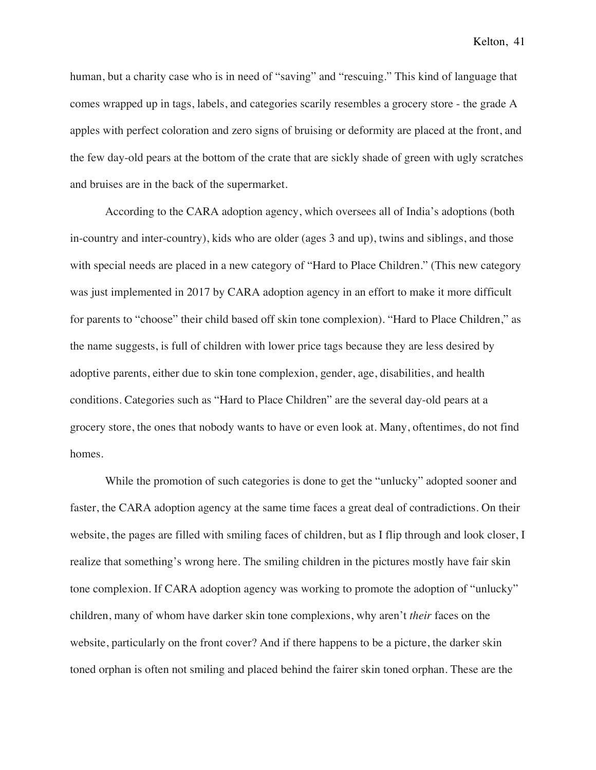human, but a charity case who is in need of "saving" and "rescuing." This kind of language that comes wrapped up in tags, labels, and categories scarily resembles a grocery store - the grade A apples with perfect coloration and zero signs of bruising or deformity are placed at the front, and the few day-old pears at the bottom of the crate that are sickly shade of green with ugly scratches and bruises are in the back of the supermarket.

According to the CARA adoption agency, which oversees all of India's adoptions (both in-country and inter-country), kids who are older (ages 3 and up), twins and siblings, and those with special needs are placed in a new category of "Hard to Place Children." (This new category was just implemented in 2017 by CARA adoption agency in an effort to make it more difficult for parents to "choose" their child based off skin tone complexion). "Hard to Place Children," as the name suggests, is full of children with lower price tags because they are less desired by adoptive parents, either due to skin tone complexion, gender, age, disabilities, and health conditions. Categories such as "Hard to Place Children" are the several day-old pears at a grocery store, the ones that nobody wants to have or even look at. Many, oftentimes, do not find homes.

While the promotion of such categories is done to get the "unlucky" adopted sooner and faster, the CARA adoption agency at the same time faces a great deal of contradictions. On their website, the pages are filled with smiling faces of children, but as I flip through and look closer, I realize that something's wrong here. The smiling children in the pictures mostly have fair skin tone complexion. If CARA adoption agency was working to promote the adoption of "unlucky" children, many of whom have darker skin tone complexions, why aren't *their* faces on the website, particularly on the front cover? And if there happens to be a picture, the darker skin toned orphan is often not smiling and placed behind the fairer skin toned orphan. These are the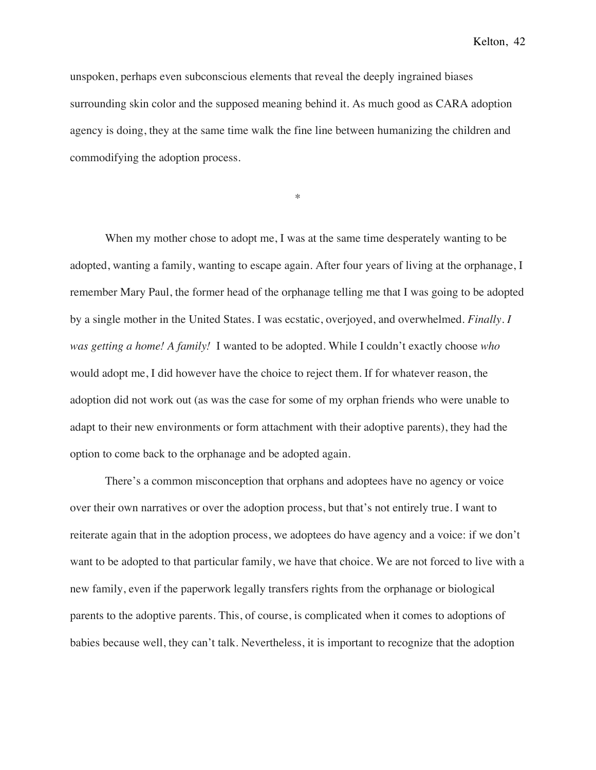unspoken, perhaps even subconscious elements that reveal the deeply ingrained biases surrounding skin color and the supposed meaning behind it. As much good as CARA adoption agency is doing, they at the same time walk the fine line between humanizing the children and commodifying the adoption process.

\*

When my mother chose to adopt me, I was at the same time desperately wanting to be adopted, wanting a family, wanting to escape again. After four years of living at the orphanage, I remember Mary Paul, the former head of the orphanage telling me that I was going to be adopted by a single mother in the United States. I was ecstatic, overjoyed, and overwhelmed. *Finally. I was getting a home! A family!* I wanted to be adopted. While I couldn't exactly choose *who* would adopt me, I did however have the choice to reject them. If for whatever reason, the adoption did not work out (as was the case for some of my orphan friends who were unable to adapt to their new environments or form attachment with their adoptive parents), they had the option to come back to the orphanage and be adopted again.

There's a common misconception that orphans and adoptees have no agency or voice over their own narratives or over the adoption process, but that's not entirely true. I want to reiterate again that in the adoption process, we adoptees do have agency and a voice: if we don't want to be adopted to that particular family, we have that choice. We are not forced to live with a new family, even if the paperwork legally transfers rights from the orphanage or biological parents to the adoptive parents. This, of course, is complicated when it comes to adoptions of babies because well, they can't talk. Nevertheless, it is important to recognize that the adoption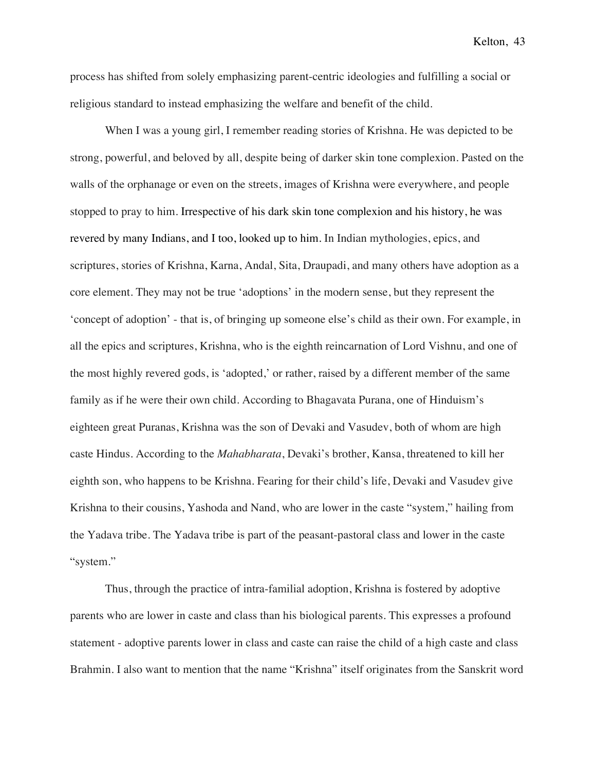process has shifted from solely emphasizing parent-centric ideologies and fulfilling a social or religious standard to instead emphasizing the welfare and benefit of the child.

When I was a young girl, I remember reading stories of Krishna. He was depicted to be strong, powerful, and beloved by all, despite being of darker skin tone complexion. Pasted on the walls of the orphanage or even on the streets, images of Krishna were everywhere, and people stopped to pray to him. Irrespective of his dark skin tone complexion and his history, he was revered by many Indians, and I too, looked up to him. In Indian mythologies, epics, and scriptures, stories of Krishna, Karna, Andal, Sita, Draupadi, and many others have adoption as a core element. They may not be true 'adoptions' in the modern sense, but they represent the 'concept of adoption' - that is, of bringing up someone else's child as their own. For example, in all the epics and scriptures, Krishna, who is the eighth reincarnation of Lord Vishnu, and one of the most highly revered gods, is 'adopted,' or rather, raised by a different member of the same family as if he were their own child. According to Bhagavata Purana, one of Hinduism's eighteen great Puranas, Krishna was the son of Devaki and Vasudev, both of whom are high caste Hindus. According to the *Mahabharata*, Devaki's brother, Kansa, threatened to kill her eighth son, who happens to be Krishna. Fearing for their child's life, Devaki and Vasudev give Krishna to their cousins, Yashoda and Nand, who are lower in the caste "system," hailing from the Yadava tribe. The Yadava tribe is part of the peasant-pastoral class and lower in the caste "system."

Thus, through the practice of intra-familial adoption, Krishna is fostered by adoptive parents who are lower in caste and class than his biological parents. This expresses a profound statement - adoptive parents lower in class and caste can raise the child of a high caste and class Brahmin. I also want to mention that the name "Krishna" itself originates from the Sanskrit word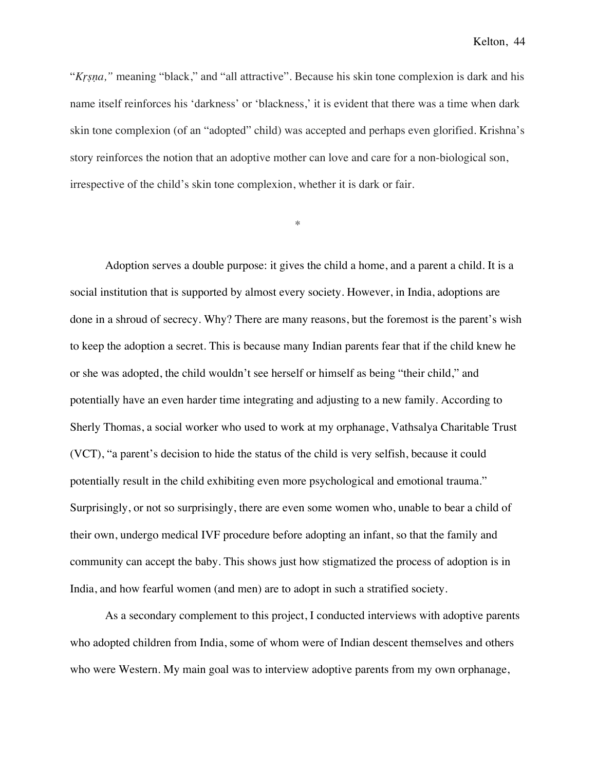"*Kṛṣṇa,"* meaning "black," and "all attractive". Because his skin tone complexion is dark and his name itself reinforces his 'darkness' or 'blackness,' it is evident that there was a time when dark skin tone complexion (of an "adopted" child) was accepted and perhaps even glorified. Krishna's story reinforces the notion that an adoptive mother can love and care for a non-biological son, irrespective of the child's skin tone complexion, whether it is dark or fair.

\*

Adoption serves a double purpose: it gives the child a home, and a parent a child. It is a social institution that is supported by almost every society. However, in India, adoptions are done in a shroud of secrecy. Why? There are many reasons, but the foremost is the parent's wish to keep the adoption a secret. This is because many Indian parents fear that if the child knew he or she was adopted, the child wouldn't see herself or himself as being "their child," and potentially have an even harder time integrating and adjusting to a new family. According to Sherly Thomas, a social worker who used to work at my orphanage, Vathsalya Charitable Trust (VCT), "a parent's decision to hide the status of the child is very selfish, because it could potentially result in the child exhibiting even more psychological and emotional trauma." Surprisingly, or not so surprisingly, there are even some women who, unable to bear a child of their own, undergo medical IVF procedure before adopting an infant, so that the family and community can accept the baby. This shows just how stigmatized the process of adoption is in India, and how fearful women (and men) are to adopt in such a stratified society.

As a secondary complement to this project, I conducted interviews with adoptive parents who adopted children from India, some of whom were of Indian descent themselves and others who were Western. My main goal was to interview adoptive parents from my own orphanage,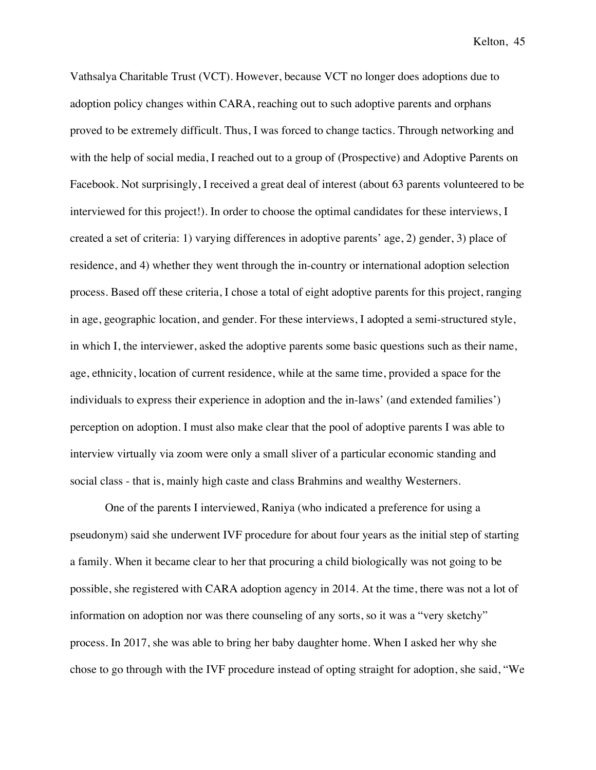Vathsalya Charitable Trust (VCT). However, because VCT no longer does adoptions due to adoption policy changes within CARA, reaching out to such adoptive parents and orphans proved to be extremely difficult. Thus, I was forced to change tactics. Through networking and with the help of social media, I reached out to a group of (Prospective) and Adoptive Parents on Facebook. Not surprisingly, I received a great deal of interest (about 63 parents volunteered to be interviewed for this project!). In order to choose the optimal candidates for these interviews, I created a set of criteria: 1) varying differences in adoptive parents' age, 2) gender, 3) place of residence, and 4) whether they went through the in-country or international adoption selection process. Based off these criteria, I chose a total of eight adoptive parents for this project, ranging in age, geographic location, and gender. For these interviews, I adopted a semi-structured style, in which I, the interviewer, asked the adoptive parents some basic questions such as their name, age, ethnicity, location of current residence, while at the same time, provided a space for the individuals to express their experience in adoption and the in-laws' (and extended families') perception on adoption. I must also make clear that the pool of adoptive parents I was able to interview virtually via zoom were only a small sliver of a particular economic standing and social class - that is, mainly high caste and class Brahmins and wealthy Westerners.

One of the parents I interviewed, Raniya (who indicated a preference for using a pseudonym) said she underwent IVF procedure for about four years as the initial step of starting a family. When it became clear to her that procuring a child biologically was not going to be possible, she registered with CARA adoption agency in 2014. At the time, there was not a lot of information on adoption nor was there counseling of any sorts, so it was a "very sketchy" process. In 2017, she was able to bring her baby daughter home. When I asked her why she chose to go through with the IVF procedure instead of opting straight for adoption, she said, "We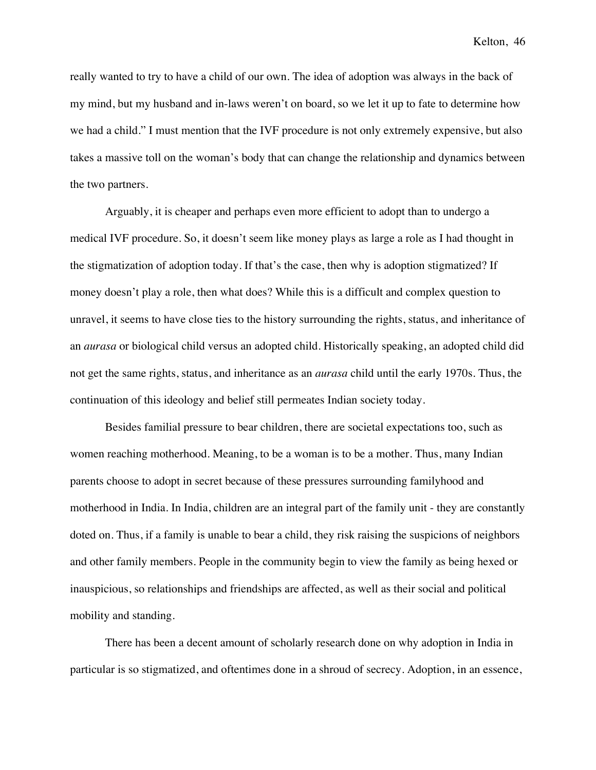really wanted to try to have a child of our own. The idea of adoption was always in the back of my mind, but my husband and in-laws weren't on board, so we let it up to fate to determine how we had a child." I must mention that the IVF procedure is not only extremely expensive, but also takes a massive toll on the woman's body that can change the relationship and dynamics between the two partners.

Arguably, it is cheaper and perhaps even more efficient to adopt than to undergo a medical IVF procedure. So, it doesn't seem like money plays as large a role as I had thought in the stigmatization of adoption today. If that's the case, then why is adoption stigmatized? If money doesn't play a role, then what does? While this is a difficult and complex question to unravel, it seems to have close ties to the history surrounding the rights, status, and inheritance of an *aurasa* or biological child versus an adopted child. Historically speaking, an adopted child did not get the same rights, status, and inheritance as an *aurasa* child until the early 1970s. Thus, the continuation of this ideology and belief still permeates Indian society today.

Besides familial pressure to bear children, there are societal expectations too, such as women reaching motherhood. Meaning, to be a woman is to be a mother. Thus, many Indian parents choose to adopt in secret because of these pressures surrounding familyhood and motherhood in India. In India, children are an integral part of the family unit - they are constantly doted on. Thus, if a family is unable to bear a child, they risk raising the suspicions of neighbors and other family members. People in the community begin to view the family as being hexed or inauspicious, so relationships and friendships are affected, as well as their social and political mobility and standing.

There has been a decent amount of scholarly research done on why adoption in India in particular is so stigmatized, and oftentimes done in a shroud of secrecy. Adoption, in an essence,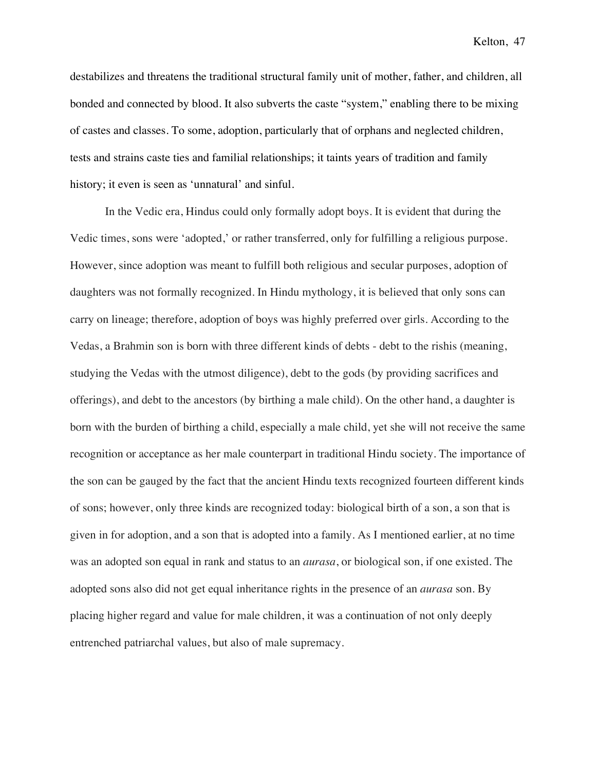destabilizes and threatens the traditional structural family unit of mother, father, and children, all bonded and connected by blood. It also subverts the caste "system," enabling there to be mixing of castes and classes. To some, adoption, particularly that of orphans and neglected children, tests and strains caste ties and familial relationships; it taints years of tradition and family history; it even is seen as 'unnatural' and sinful.

In the Vedic era, Hindus could only formally adopt boys. It is evident that during the Vedic times, sons were 'adopted,' or rather transferred, only for fulfilling a religious purpose. However, since adoption was meant to fulfill both religious and secular purposes, adoption of daughters was not formally recognized. In Hindu mythology, it is believed that only sons can carry on lineage; therefore, adoption of boys was highly preferred over girls. According to the Vedas, a Brahmin son is born with three different kinds of debts - debt to the rishis (meaning, studying the Vedas with the utmost diligence), debt to the gods (by providing sacrifices and offerings), and debt to the ancestors (by birthing a male child). On the other hand, a daughter is born with the burden of birthing a child, especially a male child, yet she will not receive the same recognition or acceptance as her male counterpart in traditional Hindu society. The importance of the son can be gauged by the fact that the ancient Hindu texts recognized fourteen different kinds of sons; however, only three kinds are recognized today: biological birth of a son, a son that is given in for adoption, and a son that is adopted into a family. As I mentioned earlier, at no time was an adopted son equal in rank and status to an *aurasa*, or biological son, if one existed. The adopted sons also did not get equal inheritance rights in the presence of an *aurasa* son. By placing higher regard and value for male children, it was a continuation of not only deeply entrenched patriarchal values, but also of male supremacy.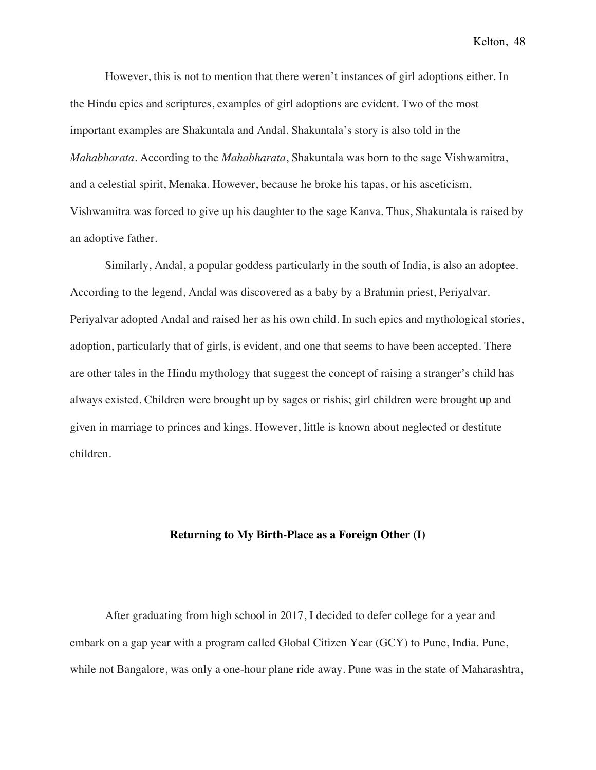However, this is not to mention that there weren't instances of girl adoptions either. In the Hindu epics and scriptures, examples of girl adoptions are evident. Two of the most important examples are Shakuntala and Andal. Shakuntala's story is also told in the *Mahabharata*. According to the *Mahabharata*, Shakuntala was born to the sage Vishwamitra, and a celestial spirit, Menaka. However, because he broke his tapas, or his asceticism, Vishwamitra was forced to give up his daughter to the sage Kanva. Thus, Shakuntala is raised by an adoptive father.

Similarly, Andal, a popular goddess particularly in the south of India, is also an adoptee. According to the legend, Andal was discovered as a baby by a Brahmin priest, Periyalvar. Periyalvar adopted Andal and raised her as his own child. In such epics and mythological stories, adoption, particularly that of girls, is evident, and one that seems to have been accepted. There are other tales in the Hindu mythology that suggest the concept of raising a stranger's child has always existed. Children were brought up by sages or rishis; girl children were brought up and given in marriage to princes and kings. However, little is known about neglected or destitute children.

## **Returning to My Birth-Place as a Foreign Other (I)**

After graduating from high school in 2017, I decided to defer college for a year and embark on a gap year with a program called Global Citizen Year (GCY) to Pune, India. Pune, while not Bangalore, was only a one-hour plane ride away. Pune was in the state of Maharashtra,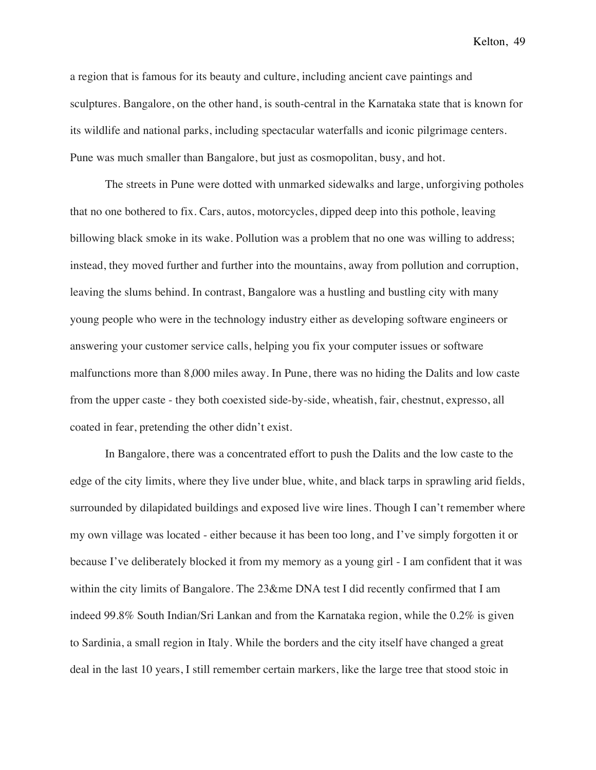a region that is famous for its beauty and culture, including ancient cave paintings and sculptures. Bangalore, on the other hand, is south-central in the Karnataka state that is known for its wildlife and national parks, including spectacular waterfalls and iconic pilgrimage centers. Pune was much smaller than Bangalore, but just as cosmopolitan, busy, and hot.

The streets in Pune were dotted with unmarked sidewalks and large, unforgiving potholes that no one bothered to fix. Cars, autos, motorcycles, dipped deep into this pothole, leaving billowing black smoke in its wake. Pollution was a problem that no one was willing to address; instead, they moved further and further into the mountains, away from pollution and corruption, leaving the slums behind. In contrast, Bangalore was a hustling and bustling city with many young people who were in the technology industry either as developing software engineers or answering your customer service calls, helping you fix your computer issues or software malfunctions more than 8,000 miles away. In Pune, there was no hiding the Dalits and low caste from the upper caste - they both coexisted side-by-side, wheatish, fair, chestnut, expresso, all coated in fear, pretending the other didn't exist.

In Bangalore, there was a concentrated effort to push the Dalits and the low caste to the edge of the city limits, where they live under blue, white, and black tarps in sprawling arid fields, surrounded by dilapidated buildings and exposed live wire lines. Though I can't remember where my own village was located - either because it has been too long, and I've simply forgotten it or because I've deliberately blocked it from my memory as a young girl - I am confident that it was within the city limits of Bangalore. The 23&me DNA test I did recently confirmed that I am indeed 99.8% South Indian/Sri Lankan and from the Karnataka region, while the 0.2% is given to Sardinia, a small region in Italy. While the borders and the city itself have changed a great deal in the last 10 years, I still remember certain markers, like the large tree that stood stoic in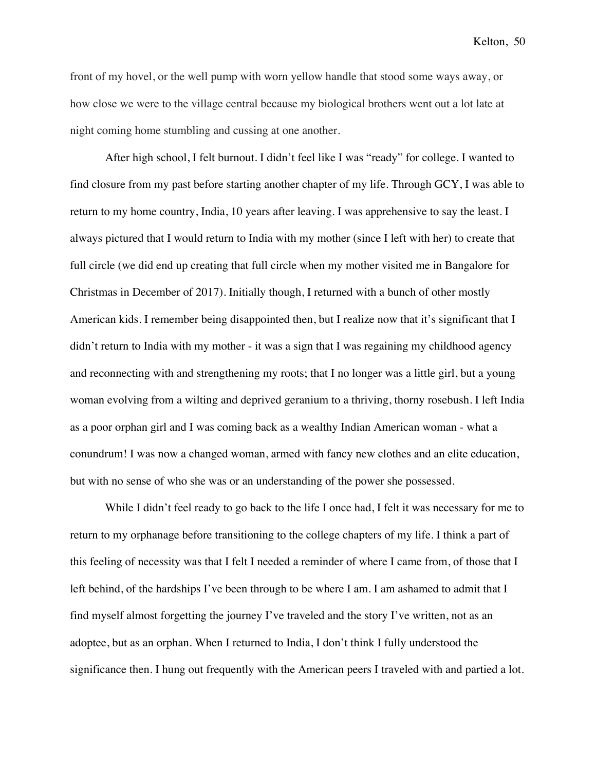front of my hovel, or the well pump with worn yellow handle that stood some ways away, or how close we were to the village central because my biological brothers went out a lot late at night coming home stumbling and cussing at one another.

After high school, I felt burnout. I didn't feel like I was "ready" for college. I wanted to find closure from my past before starting another chapter of my life. Through GCY, I was able to return to my home country, India, 10 years after leaving. I was apprehensive to say the least. I always pictured that I would return to India with my mother (since I left with her) to create that full circle (we did end up creating that full circle when my mother visited me in Bangalore for Christmas in December of 2017). Initially though, I returned with a bunch of other mostly American kids. I remember being disappointed then, but I realize now that it's significant that I didn't return to India with my mother - it was a sign that I was regaining my childhood agency and reconnecting with and strengthening my roots; that I no longer was a little girl, but a young woman evolving from a wilting and deprived geranium to a thriving, thorny rosebush. I left India as a poor orphan girl and I was coming back as a wealthy Indian American woman - what a conundrum! I was now a changed woman, armed with fancy new clothes and an elite education, but with no sense of who she was or an understanding of the power she possessed.

While I didn't feel ready to go back to the life I once had, I felt it was necessary for me to return to my orphanage before transitioning to the college chapters of my life. I think a part of this feeling of necessity was that I felt I needed a reminder of where I came from, of those that I left behind, of the hardships I've been through to be where I am. I am ashamed to admit that I find myself almost forgetting the journey I've traveled and the story I've written, not as an adoptee, but as an orphan. When I returned to India, I don't think I fully understood the significance then. I hung out frequently with the American peers I traveled with and partied a lot.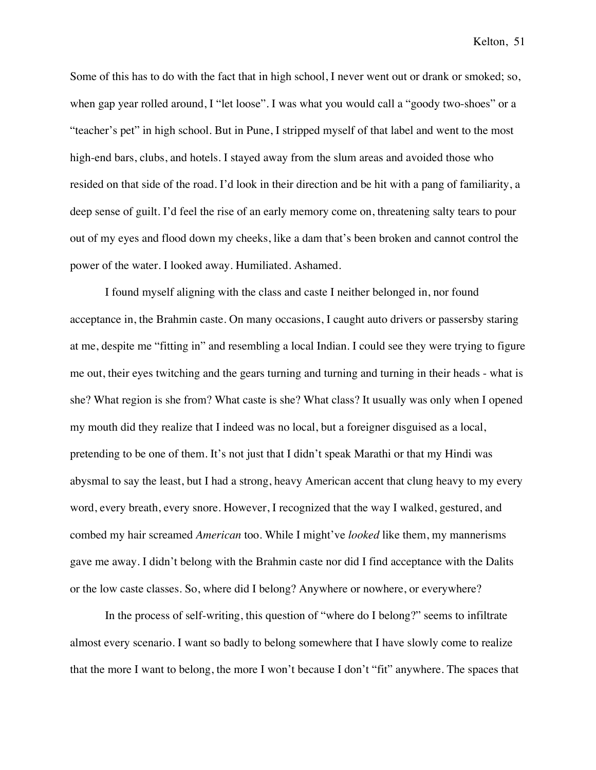Some of this has to do with the fact that in high school, I never went out or drank or smoked; so, when gap year rolled around, I "let loose". I was what you would call a "goody two-shoes" or a "teacher's pet" in high school. But in Pune, I stripped myself of that label and went to the most high-end bars, clubs, and hotels. I stayed away from the slum areas and avoided those who resided on that side of the road. I'd look in their direction and be hit with a pang of familiarity, a deep sense of guilt. I'd feel the rise of an early memory come on, threatening salty tears to pour out of my eyes and flood down my cheeks, like a dam that's been broken and cannot control the power of the water. I looked away. Humiliated. Ashamed.

I found myself aligning with the class and caste I neither belonged in, nor found acceptance in, the Brahmin caste. On many occasions, I caught auto drivers or passersby staring at me, despite me "fitting in" and resembling a local Indian. I could see they were trying to figure me out, their eyes twitching and the gears turning and turning and turning in their heads - what is she? What region is she from? What caste is she? What class? It usually was only when I opened my mouth did they realize that I indeed was no local, but a foreigner disguised as a local, pretending to be one of them. It's not just that I didn't speak Marathi or that my Hindi was abysmal to say the least, but I had a strong, heavy American accent that clung heavy to my every word, every breath, every snore. However, I recognized that the way I walked, gestured, and combed my hair screamed *American* too. While I might've *looked* like them, my mannerisms gave me away. I didn't belong with the Brahmin caste nor did I find acceptance with the Dalits or the low caste classes. So, where did I belong? Anywhere or nowhere, or everywhere?

In the process of self-writing, this question of "where do I belong?" seems to infiltrate almost every scenario. I want so badly to belong somewhere that I have slowly come to realize that the more I want to belong, the more I won't because I don't "fit" anywhere. The spaces that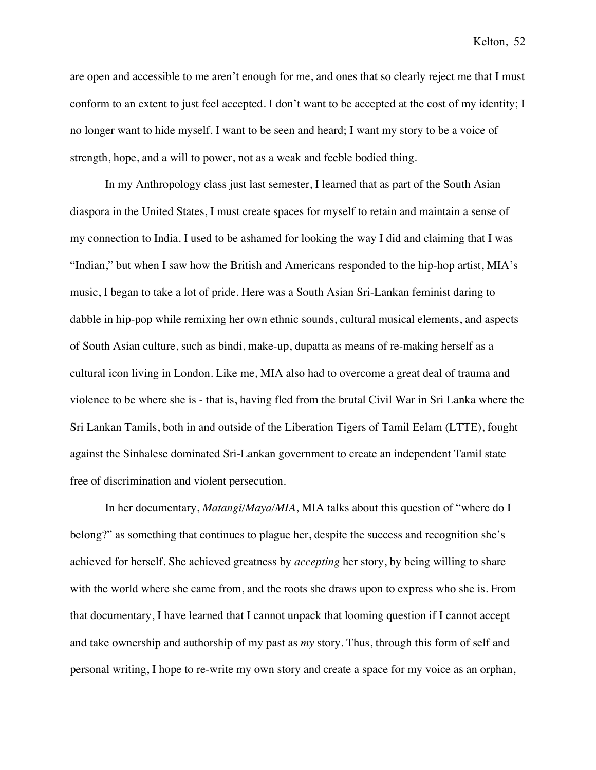are open and accessible to me aren't enough for me, and ones that so clearly reject me that I must conform to an extent to just feel accepted. I don't want to be accepted at the cost of my identity; I no longer want to hide myself. I want to be seen and heard; I want my story to be a voice of strength, hope, and a will to power, not as a weak and feeble bodied thing.

In my Anthropology class just last semester, I learned that as part of the South Asian diaspora in the United States, I must create spaces for myself to retain and maintain a sense of my connection to India. I used to be ashamed for looking the way I did and claiming that I was "Indian," but when I saw how the British and Americans responded to the hip-hop artist, MIA's music, I began to take a lot of pride. Here was a South Asian Sri-Lankan feminist daring to dabble in hip-pop while remixing her own ethnic sounds, cultural musical elements, and aspects of South Asian culture, such as bindi, make-up, dupatta as means of re-making herself as a cultural icon living in London. Like me, MIA also had to overcome a great deal of trauma and violence to be where she is - that is, having fled from the brutal Civil War in Sri Lanka where the Sri Lankan Tamils, both in and outside of the Liberation Tigers of Tamil Eelam (LTTE), fought against the Sinhalese dominated Sri-Lankan government to create an independent Tamil state free of discrimination and violent persecution.

In her documentary, *Matangi/Maya/MIA*, MIA talks about this question of "where do I belong?" as something that continues to plague her, despite the success and recognition she's achieved for herself. She achieved greatness by *accepting* her story, by being willing to share with the world where she came from, and the roots she draws upon to express who she is. From that documentary, I have learned that I cannot unpack that looming question if I cannot accept and take ownership and authorship of my past as *my* story. Thus, through this form of self and personal writing, I hope to re-write my own story and create a space for my voice as an orphan,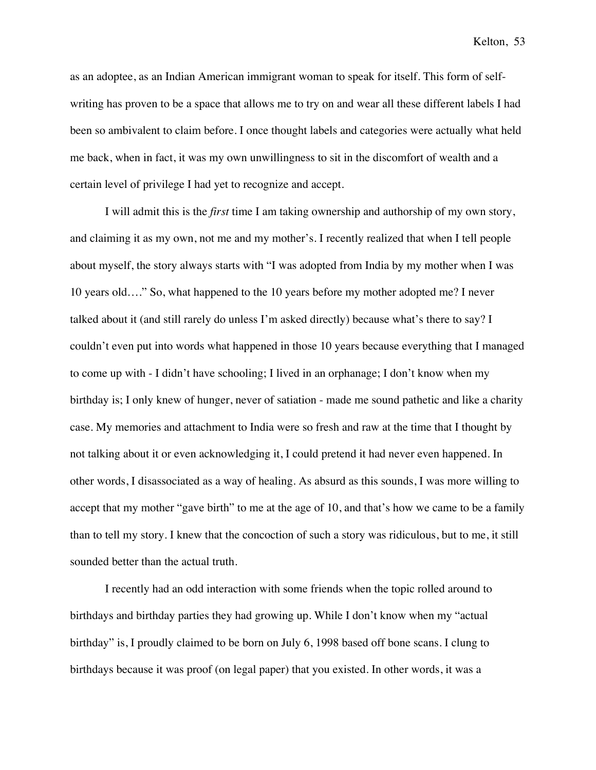as an adoptee, as an Indian American immigrant woman to speak for itself. This form of selfwriting has proven to be a space that allows me to try on and wear all these different labels I had been so ambivalent to claim before. I once thought labels and categories were actually what held me back, when in fact, it was my own unwillingness to sit in the discomfort of wealth and a certain level of privilege I had yet to recognize and accept.

I will admit this is the *first* time I am taking ownership and authorship of my own story, and claiming it as my own, not me and my mother's. I recently realized that when I tell people about myself, the story always starts with "I was adopted from India by my mother when I was 10 years old…." So, what happened to the 10 years before my mother adopted me? I never talked about it (and still rarely do unless I'm asked directly) because what's there to say? I couldn't even put into words what happened in those 10 years because everything that I managed to come up with - I didn't have schooling; I lived in an orphanage; I don't know when my birthday is; I only knew of hunger, never of satiation - made me sound pathetic and like a charity case. My memories and attachment to India were so fresh and raw at the time that I thought by not talking about it or even acknowledging it, I could pretend it had never even happened. In other words, I disassociated as a way of healing. As absurd as this sounds, I was more willing to accept that my mother "gave birth" to me at the age of 10, and that's how we came to be a family than to tell my story. I knew that the concoction of such a story was ridiculous, but to me, it still sounded better than the actual truth.

I recently had an odd interaction with some friends when the topic rolled around to birthdays and birthday parties they had growing up. While I don't know when my "actual birthday" is, I proudly claimed to be born on July 6, 1998 based off bone scans. I clung to birthdays because it was proof (on legal paper) that you existed. In other words, it was a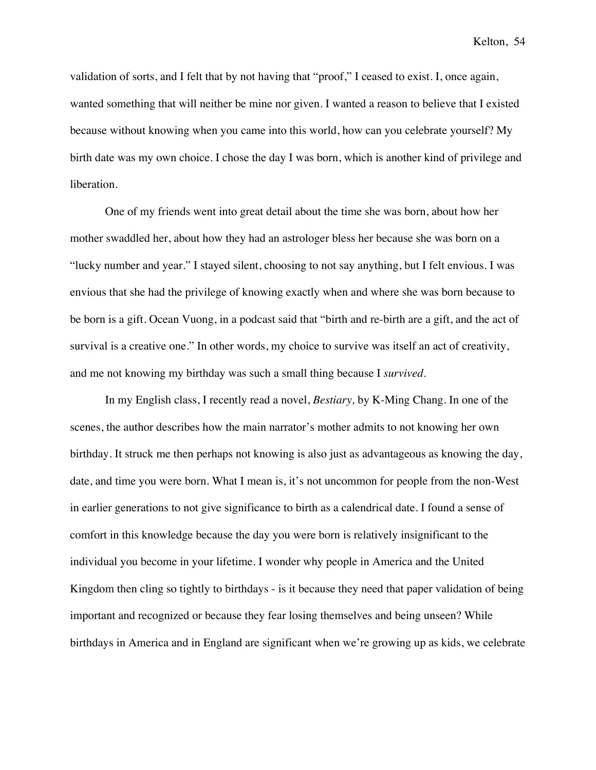validation of sorts, and I felt that by not having that "proof," I ceased to exist. I, once again, wanted something that will neither be mine nor given. I wanted a reason to believe that I existed because without knowing when you came into this world, how can you celebrate yourself? My birth date was my own choice. I chose the day I was born, which is another kind of privilege and liberation.

One of my friends went into great detail about the time she was born, about how her mother swaddled her, about how they had an astrologer bless her because she was born on a "lucky number and year." I stayed silent, choosing to not say anything, but I felt envious. I was envious that she had the privilege of knowing exactly when and where she was born because to be born is a gift. Ocean Vuong, in a podcast said that "birth and re-birth are a gift, and the act of survival is a creative one." In other words, my choice to survive was itself an act of creativity, and me not knowing my birthday was such a small thing because I *survived*.

In my English class, I recently read a novel, *Bestiary,* by K-Ming Chang. In one of the scenes, the author describes how the main narrator's mother admits to not knowing her own birthday. It struck me then perhaps not knowing is also just as advantageous as knowing the day, date, and time you were born. What I mean is, it's not uncommon for people from the non-West in earlier generations to not give significance to birth as a calendrical date. I found a sense of comfort in this knowledge because the day you were born is relatively insignificant to the individual you become in your lifetime. I wonder why people in America and the United Kingdom then cling so tightly to birthdays - is it because they need that paper validation of being important and recognized or because they fear losing themselves and being unseen? While birthdays in America and in England are significant when we're growing up as kids, we celebrate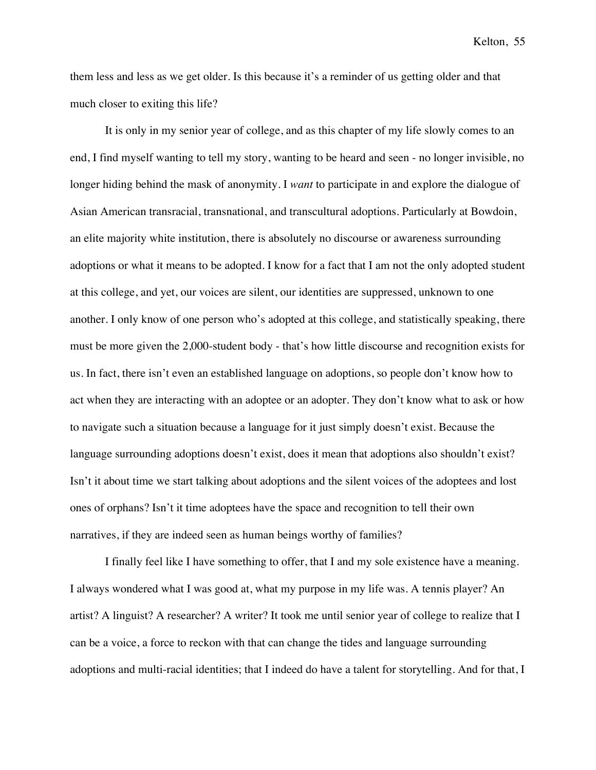them less and less as we get older. Is this because it's a reminder of us getting older and that much closer to exiting this life?

It is only in my senior year of college, and as this chapter of my life slowly comes to an end, I find myself wanting to tell my story, wanting to be heard and seen - no longer invisible, no longer hiding behind the mask of anonymity. I *want* to participate in and explore the dialogue of Asian American transracial, transnational, and transcultural adoptions. Particularly at Bowdoin, an elite majority white institution, there is absolutely no discourse or awareness surrounding adoptions or what it means to be adopted. I know for a fact that I am not the only adopted student at this college, and yet, our voices are silent, our identities are suppressed, unknown to one another. I only know of one person who's adopted at this college, and statistically speaking, there must be more given the 2,000-student body - that's how little discourse and recognition exists for us. In fact, there isn't even an established language on adoptions, so people don't know how to act when they are interacting with an adoptee or an adopter. They don't know what to ask or how to navigate such a situation because a language for it just simply doesn't exist. Because the language surrounding adoptions doesn't exist, does it mean that adoptions also shouldn't exist? Isn't it about time we start talking about adoptions and the silent voices of the adoptees and lost ones of orphans? Isn't it time adoptees have the space and recognition to tell their own narratives, if they are indeed seen as human beings worthy of families?

I finally feel like I have something to offer, that I and my sole existence have a meaning. I always wondered what I was good at, what my purpose in my life was. A tennis player? An artist? A linguist? A researcher? A writer? It took me until senior year of college to realize that I can be a voice, a force to reckon with that can change the tides and language surrounding adoptions and multi-racial identities; that I indeed do have a talent for storytelling. And for that, I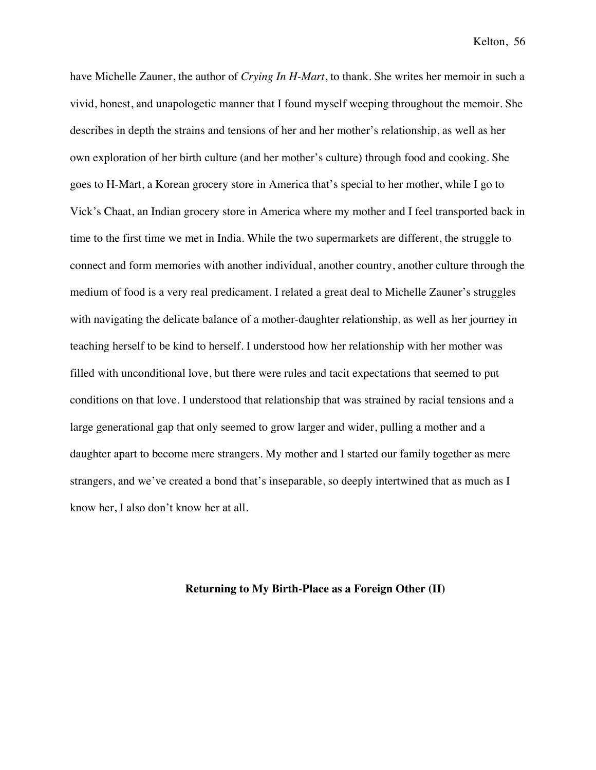have Michelle Zauner, the author of *Crying In H-Mart*, to thank. She writes her memoir in such a vivid, honest, and unapologetic manner that I found myself weeping throughout the memoir. She describes in depth the strains and tensions of her and her mother's relationship, as well as her own exploration of her birth culture (and her mother's culture) through food and cooking. She goes to H-Mart, a Korean grocery store in America that's special to her mother, while I go to Vick's Chaat, an Indian grocery store in America where my mother and I feel transported back in time to the first time we met in India. While the two supermarkets are different, the struggle to connect and form memories with another individual, another country, another culture through the medium of food is a very real predicament. I related a great deal to Michelle Zauner's struggles with navigating the delicate balance of a mother-daughter relationship, as well as her journey in teaching herself to be kind to herself. I understood how her relationship with her mother was filled with unconditional love, but there were rules and tacit expectations that seemed to put conditions on that love. I understood that relationship that was strained by racial tensions and a large generational gap that only seemed to grow larger and wider, pulling a mother and a daughter apart to become mere strangers. My mother and I started our family together as mere strangers, and we've created a bond that's inseparable, so deeply intertwined that as much as I know her, I also don't know her at all.

## **Returning to My Birth-Place as a Foreign Other (II)**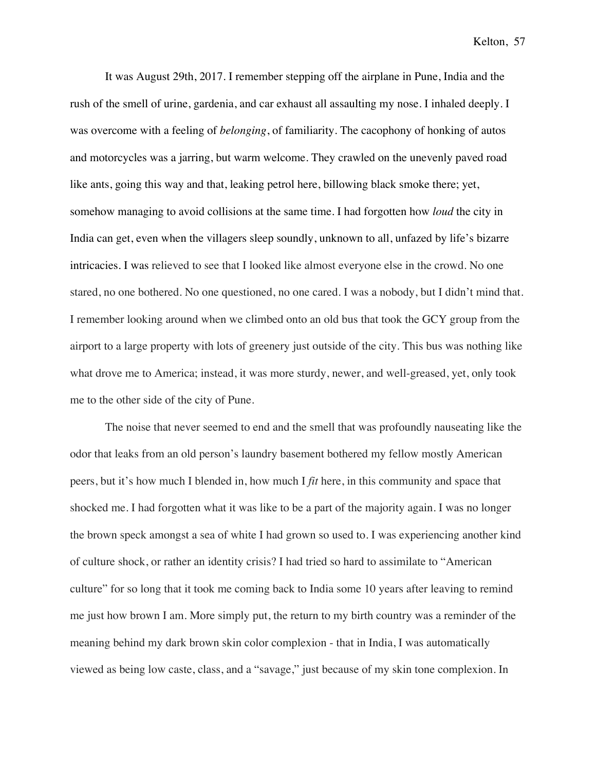It was August 29th, 2017. I remember stepping off the airplane in Pune, India and the rush of the smell of urine, gardenia, and car exhaust all assaulting my nose. I inhaled deeply. I was overcome with a feeling of *belonging*, of familiarity. The cacophony of honking of autos and motorcycles was a jarring, but warm welcome. They crawled on the unevenly paved road like ants, going this way and that, leaking petrol here, billowing black smoke there; yet, somehow managing to avoid collisions at the same time. I had forgotten how *loud* the city in India can get, even when the villagers sleep soundly, unknown to all, unfazed by life's bizarre intricacies. I was relieved to see that I looked like almost everyone else in the crowd. No one stared, no one bothered. No one questioned, no one cared. I was a nobody, but I didn't mind that. I remember looking around when we climbed onto an old bus that took the GCY group from the airport to a large property with lots of greenery just outside of the city. This bus was nothing like what drove me to America; instead, it was more sturdy, newer, and well-greased, yet, only took me to the other side of the city of Pune.

The noise that never seemed to end and the smell that was profoundly nauseating like the odor that leaks from an old person's laundry basement bothered my fellow mostly American peers, but it's how much I blended in, how much I *fit* here, in this community and space that shocked me. I had forgotten what it was like to be a part of the majority again. I was no longer the brown speck amongst a sea of white I had grown so used to. I was experiencing another kind of culture shock, or rather an identity crisis? I had tried so hard to assimilate to "American culture" for so long that it took me coming back to India some 10 years after leaving to remind me just how brown I am. More simply put, the return to my birth country was a reminder of the meaning behind my dark brown skin color complexion - that in India, I was automatically viewed as being low caste, class, and a "savage," just because of my skin tone complexion. In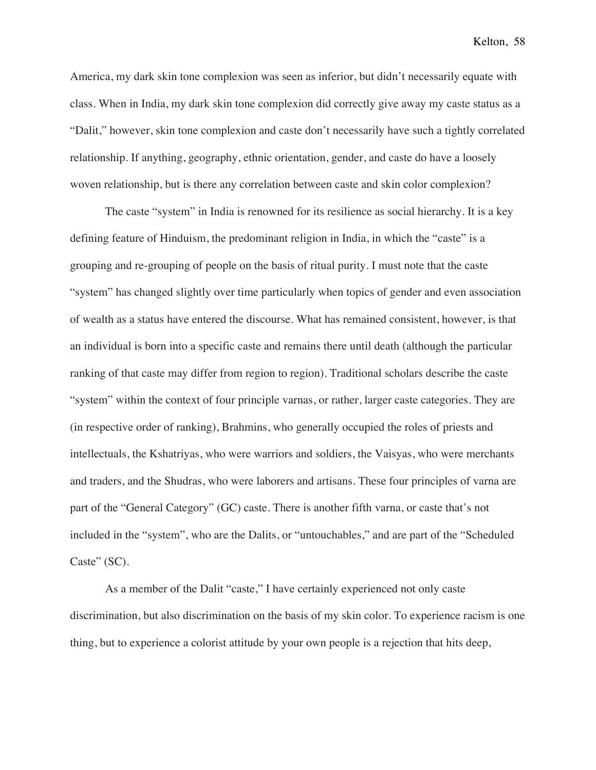America, my dark skin tone complexion was seen as inferior, but didn't necessarily equate with class. When in India, my dark skin tone complexion did correctly give away my caste status as a "Dalit," however, skin tone complexion and caste don't necessarily have such a tightly correlated relationship. If anything, geography, ethnic orientation, gender, and caste do have a loosely woven relationship, but is there any correlation between caste and skin color complexion?

The caste "system" in India is renowned for its resilience as social hierarchy. It is a key defining feature of Hinduism, the predominant religion in India, in which the "caste" is a grouping and re-grouping of people on the basis of ritual purity. I must note that the caste "system" has changed slightly over time particularly when topics of gender and even association of wealth as a status have entered the discourse. What has remained consistent, however, is that an individual is born into a specific caste and remains there until death (although the particular ranking of that caste may differ from region to region). Traditional scholars describe the caste "system" within the context of four principle varnas, or rather, larger caste categories. They are (in respective order of ranking), Brahmins, who generally occupied the roles of priests and intellectuals, the Kshatriyas, who were warriors and soldiers, the Vaisyas, who were merchants and traders, and the Shudras, who were laborers and artisans. These four principles of varna are part of the "General Category" (GC) caste. There is another fifth varna, or caste that's not included in the "system", who are the Dalits, or "untouchables," and are part of the "Scheduled Caste" (SC).

As a member of the Dalit "caste," I have certainly experienced not only caste discrimination, but also discrimination on the basis of my skin color. To experience racism is one thing, but to experience a colorist attitude by your own people is a rejection that hits deep,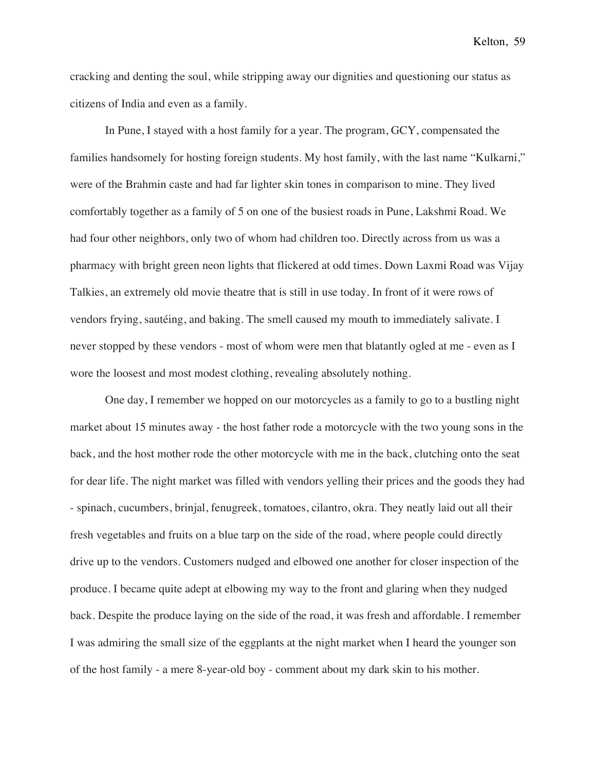cracking and denting the soul, while stripping away our dignities and questioning our status as citizens of India and even as a family.

In Pune, I stayed with a host family for a year. The program, GCY, compensated the families handsomely for hosting foreign students. My host family, with the last name "Kulkarni," were of the Brahmin caste and had far lighter skin tones in comparison to mine. They lived comfortably together as a family of 5 on one of the busiest roads in Pune, Lakshmi Road. We had four other neighbors, only two of whom had children too. Directly across from us was a pharmacy with bright green neon lights that flickered at odd times. Down Laxmi Road was Vijay Talkies, an extremely old movie theatre that is still in use today. In front of it were rows of vendors frying, sautéing, and baking. The smell caused my mouth to immediately salivate. I never stopped by these vendors - most of whom were men that blatantly ogled at me - even as I wore the loosest and most modest clothing, revealing absolutely nothing.

One day, I remember we hopped on our motorcycles as a family to go to a bustling night market about 15 minutes away - the host father rode a motorcycle with the two young sons in the back, and the host mother rode the other motorcycle with me in the back, clutching onto the seat for dear life. The night market was filled with vendors yelling their prices and the goods they had - spinach, cucumbers, brinjal, fenugreek, tomatoes, cilantro, okra. They neatly laid out all their fresh vegetables and fruits on a blue tarp on the side of the road, where people could directly drive up to the vendors. Customers nudged and elbowed one another for closer inspection of the produce. I became quite adept at elbowing my way to the front and glaring when they nudged back. Despite the produce laying on the side of the road, it was fresh and affordable. I remember I was admiring the small size of the eggplants at the night market when I heard the younger son of the host family - a mere 8-year-old boy - comment about my dark skin to his mother.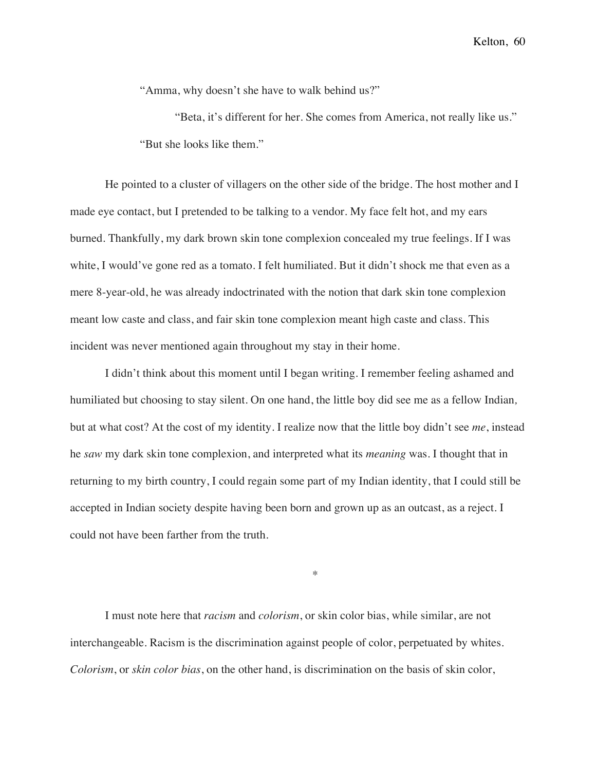"Amma, why doesn't she have to walk behind us?"

"Beta, it's different for her. She comes from America, not really like us." "But she looks like them."

He pointed to a cluster of villagers on the other side of the bridge. The host mother and I made eye contact, but I pretended to be talking to a vendor. My face felt hot, and my ears burned. Thankfully, my dark brown skin tone complexion concealed my true feelings. If I was white, I would've gone red as a tomato. I felt humiliated. But it didn't shock me that even as a mere 8-year-old, he was already indoctrinated with the notion that dark skin tone complexion meant low caste and class, and fair skin tone complexion meant high caste and class. This incident was never mentioned again throughout my stay in their home.

I didn't think about this moment until I began writing. I remember feeling ashamed and humiliated but choosing to stay silent. On one hand, the little boy did see me as a fellow Indian*,*  but at what cost? At the cost of my identity. I realize now that the little boy didn't see *me*, instead he *saw* my dark skin tone complexion, and interpreted what its *meaning* was. I thought that in returning to my birth country, I could regain some part of my Indian identity, that I could still be accepted in Indian society despite having been born and grown up as an outcast, as a reject. I could not have been farther from the truth.

\*

I must note here that *racism* and *colorism*, or skin color bias, while similar, are not interchangeable. Racism is the discrimination against people of color, perpetuated by whites. *Colorism*, or *skin color bias*, on the other hand, is discrimination on the basis of skin color,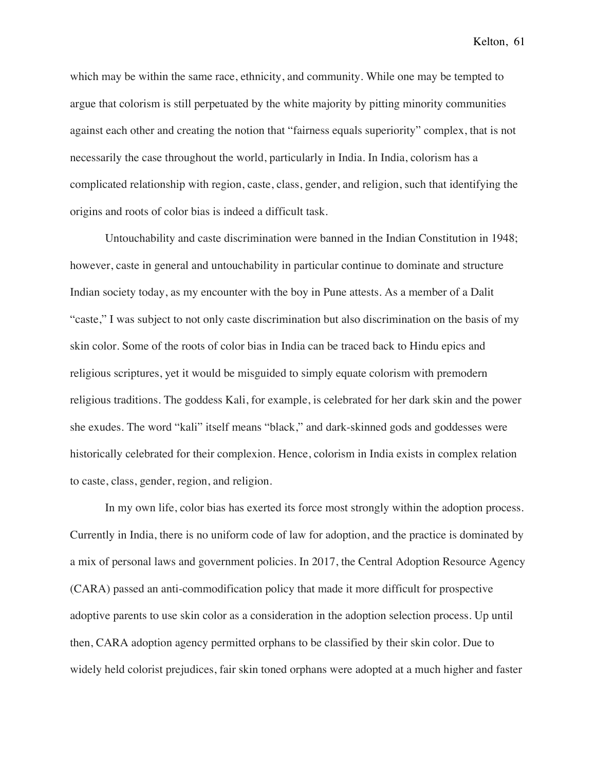which may be within the same race, ethnicity, and community. While one may be tempted to argue that colorism is still perpetuated by the white majority by pitting minority communities against each other and creating the notion that "fairness equals superiority" complex, that is not necessarily the case throughout the world, particularly in India. In India, colorism has a complicated relationship with region, caste, class, gender, and religion, such that identifying the origins and roots of color bias is indeed a difficult task.

Untouchability and caste discrimination were banned in the Indian Constitution in 1948; however, caste in general and untouchability in particular continue to dominate and structure Indian society today, as my encounter with the boy in Pune attests. As a member of a Dalit "caste," I was subject to not only caste discrimination but also discrimination on the basis of my skin color. Some of the roots of color bias in India can be traced back to Hindu epics and religious scriptures, yet it would be misguided to simply equate colorism with premodern religious traditions. The goddess Kali, for example, is celebrated for her dark skin and the power she exudes. The word "kali" itself means "black," and dark-skinned gods and goddesses were historically celebrated for their complexion. Hence, colorism in India exists in complex relation to caste, class, gender, region, and religion.

In my own life, color bias has exerted its force most strongly within the adoption process. Currently in India, there is no uniform code of law for adoption, and the practice is dominated by a mix of personal laws and government policies. In 2017, the Central Adoption Resource Agency (CARA) passed an anti-commodification policy that made it more difficult for prospective adoptive parents to use skin color as a consideration in the adoption selection process. Up until then, CARA adoption agency permitted orphans to be classified by their skin color. Due to widely held colorist prejudices, fair skin toned orphans were adopted at a much higher and faster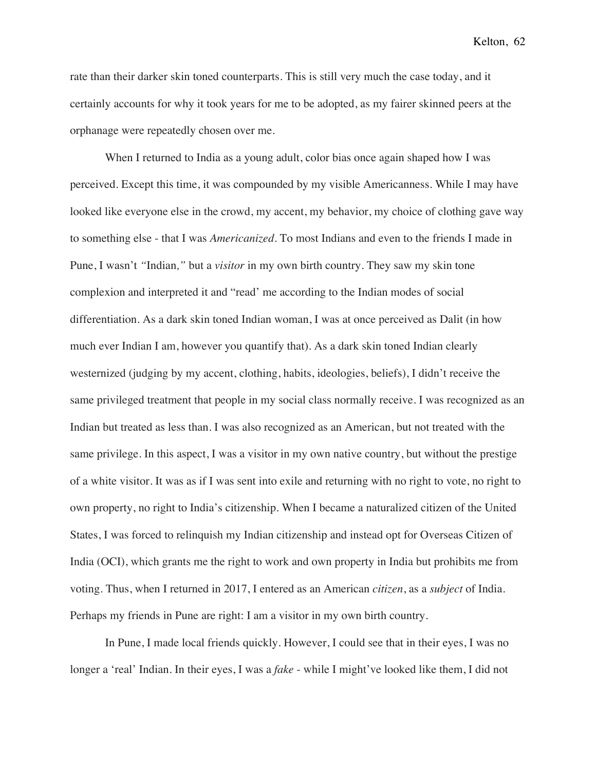rate than their darker skin toned counterparts. This is still very much the case today, and it certainly accounts for why it took years for me to be adopted, as my fairer skinned peers at the orphanage were repeatedly chosen over me.

When I returned to India as a young adult, color bias once again shaped how I was perceived. Except this time, it was compounded by my visible Americanness. While I may have looked like everyone else in the crowd, my accent, my behavior, my choice of clothing gave way to something else - that I was *Americanized*. To most Indians and even to the friends I made in Pune, I wasn't *"*Indian*,"* but a *visitor* in my own birth country. They saw my skin tone complexion and interpreted it and "read' me according to the Indian modes of social differentiation. As a dark skin toned Indian woman, I was at once perceived as Dalit (in how much ever Indian I am, however you quantify that). As a dark skin toned Indian clearly westernized (judging by my accent, clothing, habits, ideologies, beliefs), I didn't receive the same privileged treatment that people in my social class normally receive. I was recognized as an Indian but treated as less than. I was also recognized as an American, but not treated with the same privilege. In this aspect, I was a visitor in my own native country, but without the prestige of a white visitor. It was as if I was sent into exile and returning with no right to vote, no right to own property, no right to India's citizenship. When I became a naturalized citizen of the United States, I was forced to relinquish my Indian citizenship and instead opt for Overseas Citizen of India (OCI), which grants me the right to work and own property in India but prohibits me from voting. Thus, when I returned in 2017, I entered as an American *citizen*, as a *subject* of India. Perhaps my friends in Pune are right: I am a visitor in my own birth country.

In Pune, I made local friends quickly. However, I could see that in their eyes, I was no longer a 'real' Indian. In their eyes, I was a *fake* - while I might've looked like them, I did not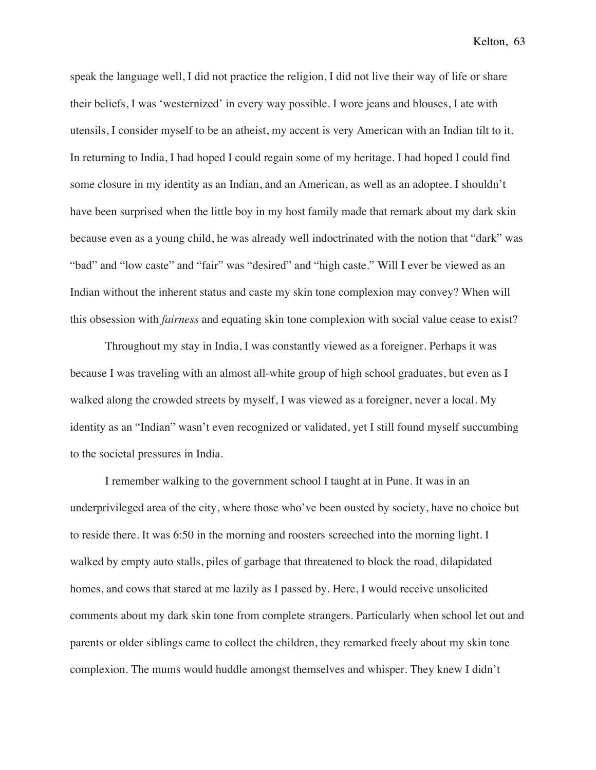speak the language well, I did not practice the religion, I did not live their way of life or share their beliefs, I was 'westernized' in every way possible. I wore jeans and blouses, I ate with utensils, I consider myself to be an atheist, my accent is very American with an Indian tilt to it. In returning to India, I had hoped I could regain some of my heritage. I had hoped I could find some closure in my identity as an Indian, and an American, as well as an adoptee. I shouldn't have been surprised when the little boy in my host family made that remark about my dark skin because even as a young child, he was already well indoctrinated with the notion that "dark" was "bad" and "low caste" and "fair" was "desired" and "high caste." Will I ever be viewed as an Indian without the inherent status and caste my skin tone complexion may convey? When will this obsession with *fairness* and equating skin tone complexion with social value cease to exist?

Throughout my stay in India, I was constantly viewed as a foreigner. Perhaps it was because I was traveling with an almost all-white group of high school graduates, but even as I walked along the crowded streets by myself, I was viewed as a foreigner, never a local. My identity as an "Indian" wasn't even recognized or validated, yet I still found myself succumbing to the societal pressures in India.

I remember walking to the government school I taught at in Pune. It was in an underprivileged area of the city, where those who've been ousted by society, have no choice but to reside there. It was 6:50 in the morning and roosters screeched into the morning light. I walked by empty auto stalls, piles of garbage that threatened to block the road, dilapidated homes, and cows that stared at me lazily as I passed by. Here, I would receive unsolicited comments about my dark skin tone from complete strangers. Particularly when school let out and parents or older siblings came to collect the children, they remarked freely about my skin tone complexion. The mums would huddle amongst themselves and whisper. They knew I didn't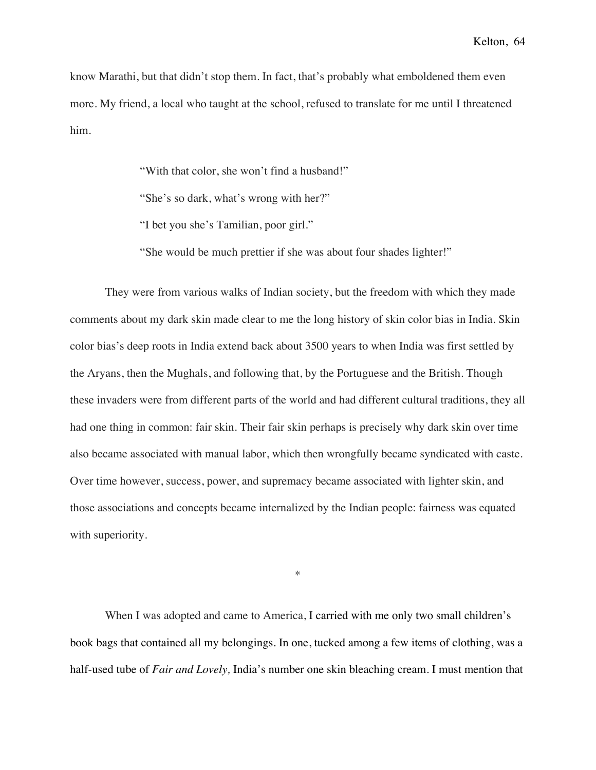know Marathi, but that didn't stop them. In fact, that's probably what emboldened them even more. My friend, a local who taught at the school, refused to translate for me until I threatened him.

"With that color, she won't find a husband!"

"She's so dark, what's wrong with her?"

"I bet you she's Tamilian, poor girl."

"She would be much prettier if she was about four shades lighter!"

They were from various walks of Indian society, but the freedom with which they made comments about my dark skin made clear to me the long history of skin color bias in India. Skin color bias's deep roots in India extend back about 3500 years to when India was first settled by the Aryans, then the Mughals, and following that, by the Portuguese and the British. Though these invaders were from different parts of the world and had different cultural traditions, they all had one thing in common: fair skin. Their fair skin perhaps is precisely why dark skin over time also became associated with manual labor, which then wrongfully became syndicated with caste. Over time however, success, power, and supremacy became associated with lighter skin, and those associations and concepts became internalized by the Indian people: fairness was equated with superiority.

\*

When I was adopted and came to America, I carried with me only two small children's book bags that contained all my belongings. In one, tucked among a few items of clothing, was a half-used tube of *Fair and Lovely,* India's number one skin bleaching cream. I must mention that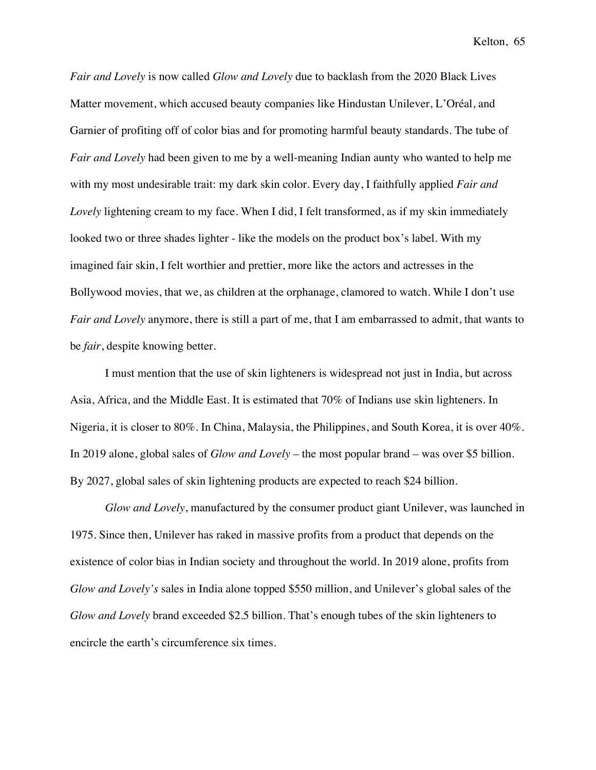*Fair and Lovely* is now called *Glow and Lovely* due to backlash from the 2020 Black Lives Matter movement, which accused beauty companies like Hindustan Unilever, L'Oréal, and Garnier of profiting off of color bias and for promoting harmful beauty standards. The tube of *Fair and Lovely* had been given to me by a well-meaning Indian aunty who wanted to help me with my most undesirable trait: my dark skin color. Every day, I faithfully applied *Fair and Lovely* lightening cream to my face. When I did, I felt transformed, as if my skin immediately looked two or three shades lighter - like the models on the product box's label. With my imagined fair skin, I felt worthier and prettier, more like the actors and actresses in the Bollywood movies, that we, as children at the orphanage, clamored to watch. While I don't use *Fair and Lovely* anymore, there is still a part of me, that I am embarrassed to admit, that wants to be *fair*, despite knowing better.

I must mention that the use of skin lighteners is widespread not just in India, but across Asia, Africa, and the Middle East. It is estimated that 70% of Indians use skin lighteners. In Nigeria, it is closer to 80%. In China, Malaysia, the Philippines, and South Korea, it is over 40%. In 2019 alone, global sales of *Glow and Lovely* – the most popular brand – was over \$5 billion. By 2027, global sales of skin lightening products are expected to reach \$24 billion.

*Glow and Lovely*, manufactured by the consumer product giant Unilever, was launched in 1975. Since then, Unilever has raked in massive profits from a product that depends on the existence of color bias in Indian society and throughout the world. In 2019 alone, profits from *Glow and Lovely's* sales in India alone topped \$550 million, and Unilever's global sales of the *Glow and Lovely* brand exceeded \$2.5 billion. That's enough tubes of the skin lighteners to encircle the earth's circumference six times.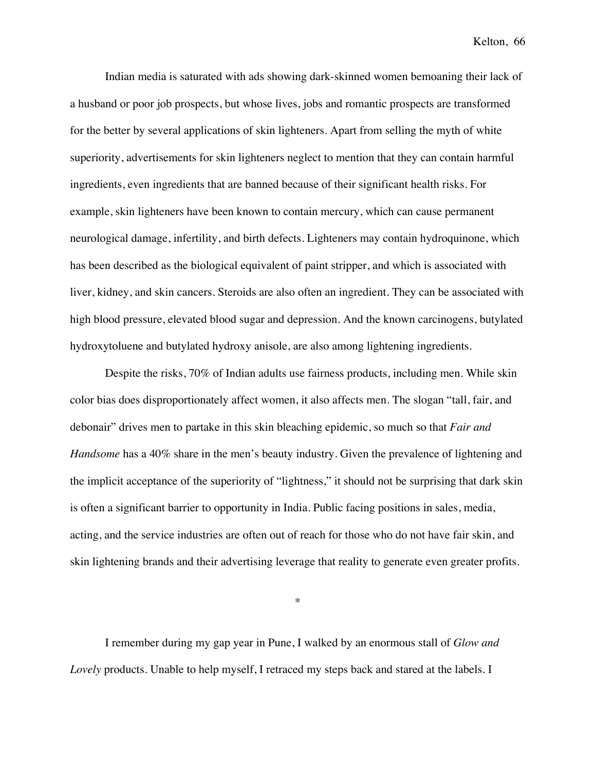Indian media is saturated with ads showing dark-skinned women bemoaning their lack of a husband or poor job prospects, but whose lives, jobs and romantic prospects are transformed for the better by several applications of skin lighteners. Apart from selling the myth of white superiority, advertisements for skin lighteners neglect to mention that they can contain harmful ingredients, even ingredients that are banned because of their significant health risks. For example, skin lighteners have been known to contain mercury, which can cause permanent neurological damage, infertility, and birth defects. Lighteners may contain hydroquinone, which has been described as the biological equivalent of paint stripper, and which is associated with liver, kidney, and skin cancers. Steroids are also often an ingredient. They can be associated with high blood pressure, elevated blood sugar and depression. And the known carcinogens, butylated hydroxytoluene and butylated hydroxy anisole, are also among lightening ingredients.

Despite the risks, 70% of Indian adults use fairness products, including men. While skin color bias does disproportionately affect women, it also affects men. The slogan "tall, fair, and debonair" drives men to partake in this skin bleaching epidemic, so much so that *Fair and Handsome* has a 40% share in the men's beauty industry. Given the prevalence of lightening and the implicit acceptance of the superiority of "lightness," it should not be surprising that dark skin is often a significant barrier to opportunity in India. Public facing positions in sales, media, acting, and the service industries are often out of reach for those who do not have fair skin, and skin lightening brands and their advertising leverage that reality to generate even greater profits.

\*

I remember during my gap year in Pune, I walked by an enormous stall of *Glow and Lovely* products. Unable to help myself, I retraced my steps back and stared at the labels. I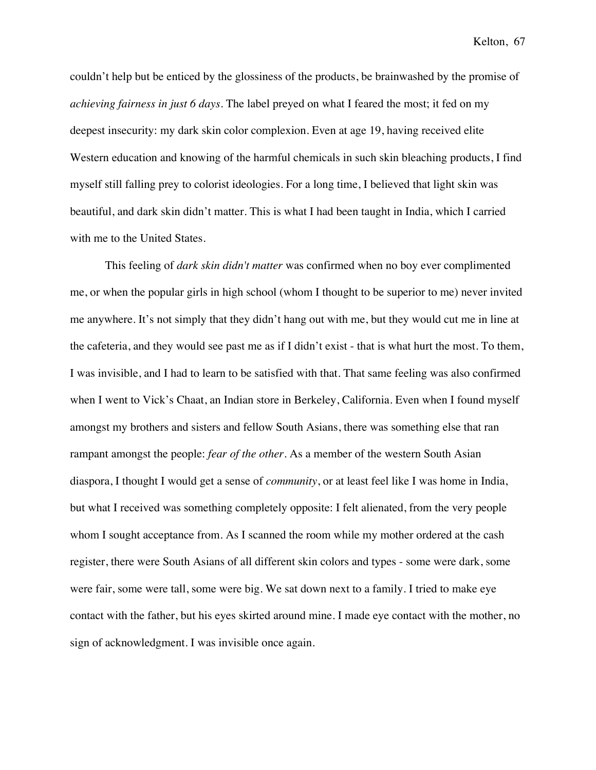couldn't help but be enticed by the glossiness of the products, be brainwashed by the promise of *achieving fairness in just 6 days*. The label preyed on what I feared the most; it fed on my deepest insecurity: my dark skin color complexion. Even at age 19, having received elite Western education and knowing of the harmful chemicals in such skin bleaching products, I find myself still falling prey to colorist ideologies. For a long time, I believed that light skin was beautiful, and dark skin didn't matter. This is what I had been taught in India, which I carried with me to the United States.

This feeling of *dark skin didn't matter* was confirmed when no boy ever complimented me, or when the popular girls in high school (whom I thought to be superior to me) never invited me anywhere. It's not simply that they didn't hang out with me, but they would cut me in line at the cafeteria, and they would see past me as if I didn't exist - that is what hurt the most. To them, I was invisible, and I had to learn to be satisfied with that. That same feeling was also confirmed when I went to Vick's Chaat, an Indian store in Berkeley, California. Even when I found myself amongst my brothers and sisters and fellow South Asians, there was something else that ran rampant amongst the people: *fear of the other*. As a member of the western South Asian diaspora, I thought I would get a sense of *community*, or at least feel like I was home in India, but what I received was something completely opposite: I felt alienated, from the very people whom I sought acceptance from. As I scanned the room while my mother ordered at the cash register, there were South Asians of all different skin colors and types - some were dark, some were fair, some were tall, some were big. We sat down next to a family. I tried to make eye contact with the father, but his eyes skirted around mine. I made eye contact with the mother, no sign of acknowledgment. I was invisible once again.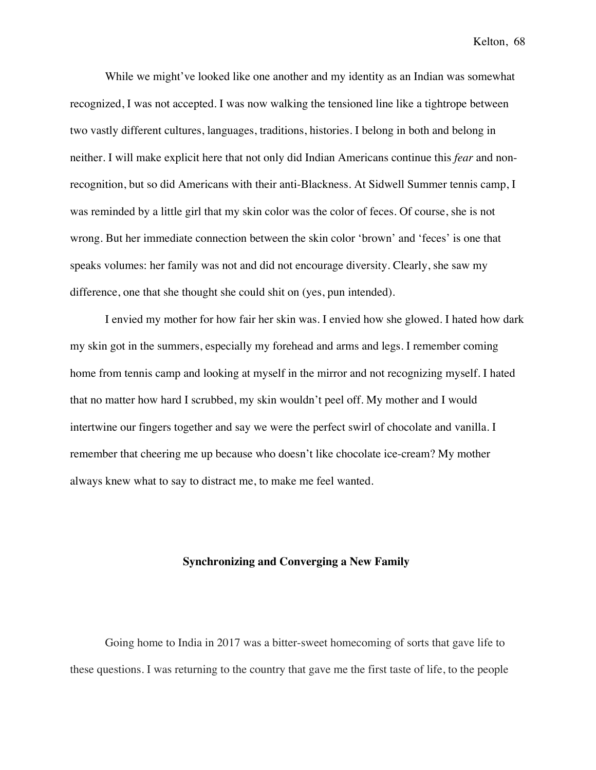While we might've looked like one another and my identity as an Indian was somewhat recognized, I was not accepted. I was now walking the tensioned line like a tightrope between two vastly different cultures, languages, traditions, histories. I belong in both and belong in neither. I will make explicit here that not only did Indian Americans continue this *fear* and nonrecognition, but so did Americans with their anti-Blackness. At Sidwell Summer tennis camp, I was reminded by a little girl that my skin color was the color of feces. Of course, she is not wrong. But her immediate connection between the skin color 'brown' and 'feces' is one that speaks volumes: her family was not and did not encourage diversity. Clearly, she saw my difference, one that she thought she could shit on (yes, pun intended).

I envied my mother for how fair her skin was. I envied how she glowed. I hated how dark my skin got in the summers, especially my forehead and arms and legs. I remember coming home from tennis camp and looking at myself in the mirror and not recognizing myself. I hated that no matter how hard I scrubbed, my skin wouldn't peel off. My mother and I would intertwine our fingers together and say we were the perfect swirl of chocolate and vanilla. I remember that cheering me up because who doesn't like chocolate ice-cream? My mother always knew what to say to distract me, to make me feel wanted.

## **Synchronizing and Converging a New Family**

Going home to India in 2017 was a bitter-sweet homecoming of sorts that gave life to these questions. I was returning to the country that gave me the first taste of life, to the people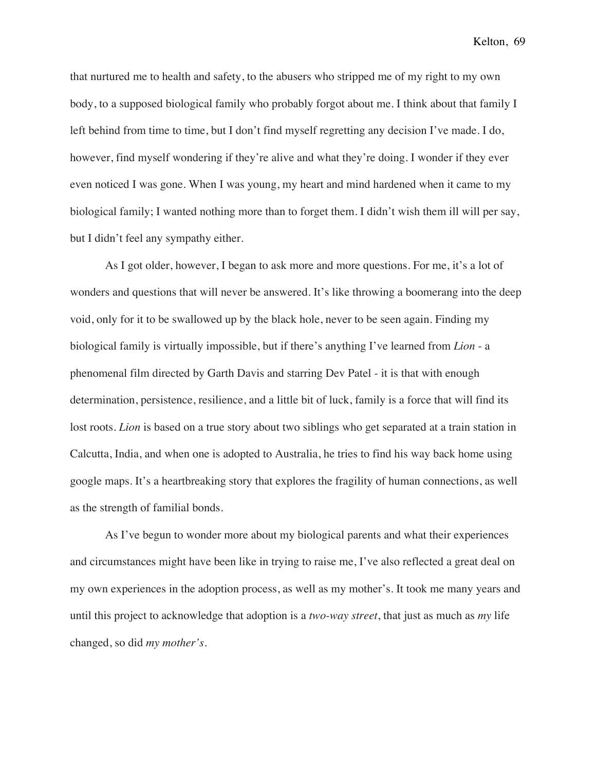that nurtured me to health and safety, to the abusers who stripped me of my right to my own body, to a supposed biological family who probably forgot about me. I think about that family I left behind from time to time, but I don't find myself regretting any decision I've made. I do, however, find myself wondering if they're alive and what they're doing. I wonder if they ever even noticed I was gone. When I was young, my heart and mind hardened when it came to my biological family; I wanted nothing more than to forget them. I didn't wish them ill will per say, but I didn't feel any sympathy either.

As I got older, however, I began to ask more and more questions. For me, it's a lot of wonders and questions that will never be answered. It's like throwing a boomerang into the deep void, only for it to be swallowed up by the black hole, never to be seen again. Finding my biological family is virtually impossible, but if there's anything I've learned from *Lion* - a phenomenal film directed by Garth Davis and starring Dev Patel - it is that with enough determination, persistence, resilience, and a little bit of luck, family is a force that will find its lost roots. *Lion* is based on a true story about two siblings who get separated at a train station in Calcutta, India, and when one is adopted to Australia, he tries to find his way back home using google maps. It's a heartbreaking story that explores the fragility of human connections, as well as the strength of familial bonds.

As I've begun to wonder more about my biological parents and what their experiences and circumstances might have been like in trying to raise me, I've also reflected a great deal on my own experiences in the adoption process, as well as my mother's. It took me many years and until this project to acknowledge that adoption is a *two-way street*, that just as much as *my* life changed, so did *my mother's.*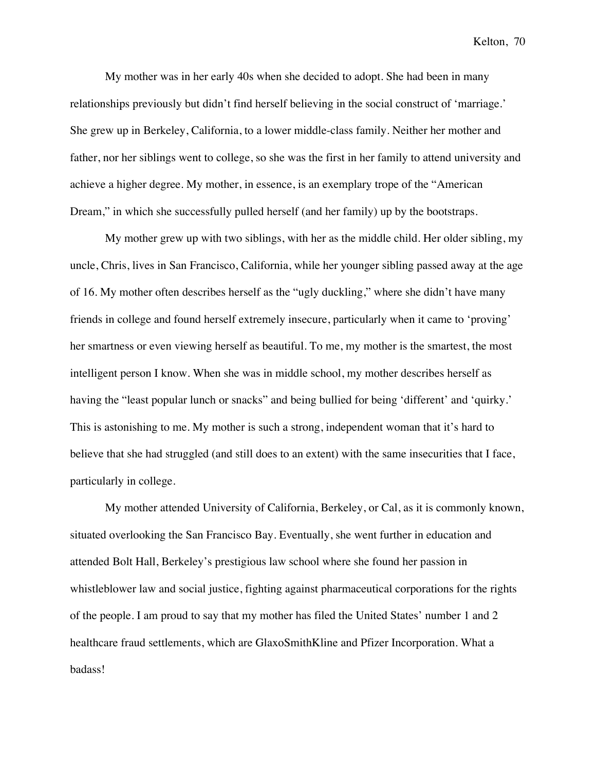My mother was in her early 40s when she decided to adopt. She had been in many relationships previously but didn't find herself believing in the social construct of 'marriage.' She grew up in Berkeley, California, to a lower middle-class family. Neither her mother and father, nor her siblings went to college, so she was the first in her family to attend university and achieve a higher degree. My mother, in essence, is an exemplary trope of the "American Dream," in which she successfully pulled herself (and her family) up by the bootstraps.

My mother grew up with two siblings, with her as the middle child. Her older sibling, my uncle, Chris, lives in San Francisco, California, while her younger sibling passed away at the age of 16. My mother often describes herself as the "ugly duckling," where she didn't have many friends in college and found herself extremely insecure, particularly when it came to 'proving' her smartness or even viewing herself as beautiful. To me, my mother is the smartest, the most intelligent person I know. When she was in middle school, my mother describes herself as having the "least popular lunch or snacks" and being bullied for being 'different' and 'quirky.' This is astonishing to me. My mother is such a strong, independent woman that it's hard to believe that she had struggled (and still does to an extent) with the same insecurities that I face, particularly in college.

My mother attended University of California, Berkeley, or Cal, as it is commonly known, situated overlooking the San Francisco Bay. Eventually, she went further in education and attended Bolt Hall, Berkeley's prestigious law school where she found her passion in whistleblower law and social justice, fighting against pharmaceutical corporations for the rights of the people. I am proud to say that my mother has filed the United States' number 1 and 2 healthcare fraud settlements, which are GlaxoSmithKline and Pfizer Incorporation. What a badass!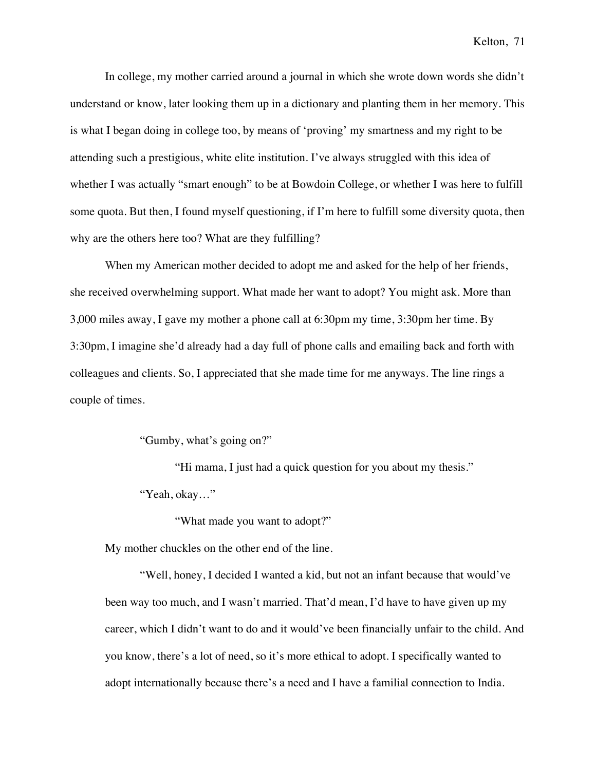In college, my mother carried around a journal in which she wrote down words she didn't understand or know, later looking them up in a dictionary and planting them in her memory. This is what I began doing in college too, by means of 'proving' my smartness and my right to be attending such a prestigious, white elite institution. I've always struggled with this idea of whether I was actually "smart enough" to be at Bowdoin College, or whether I was here to fulfill some quota. But then, I found myself questioning, if I'm here to fulfill some diversity quota, then why are the others here too? What are they fulfilling?

When my American mother decided to adopt me and asked for the help of her friends, she received overwhelming support. What made her want to adopt? You might ask. More than 3,000 miles away, I gave my mother a phone call at 6:30pm my time, 3:30pm her time. By 3:30pm, I imagine she'd already had a day full of phone calls and emailing back and forth with colleagues and clients. So, I appreciated that she made time for me anyways. The line rings a couple of times.

"Gumby, what's going on?"

"Hi mama, I just had a quick question for you about my thesis." "Yeah, okay…"

"What made you want to adopt?"

My mother chuckles on the other end of the line.

"Well, honey, I decided I wanted a kid, but not an infant because that would've been way too much, and I wasn't married. That'd mean, I'd have to have given up my career, which I didn't want to do and it would've been financially unfair to the child. And you know, there's a lot of need, so it's more ethical to adopt. I specifically wanted to adopt internationally because there's a need and I have a familial connection to India.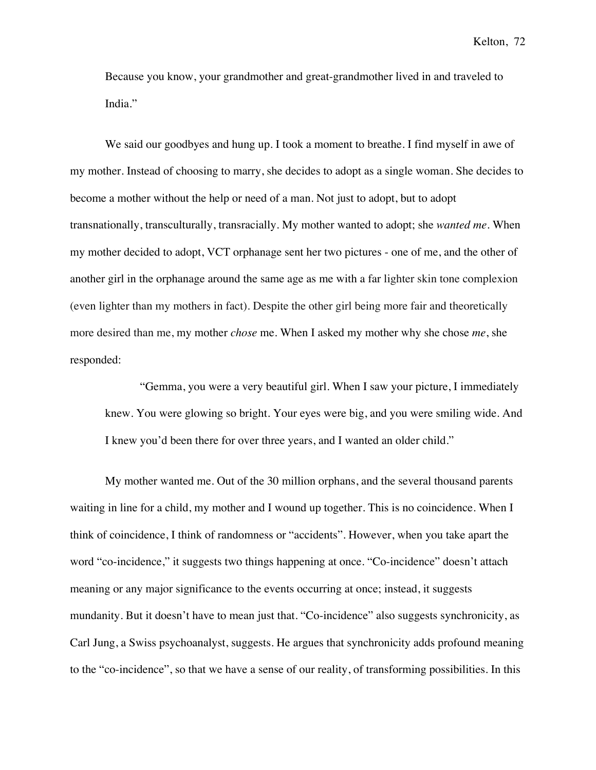Because you know, your grandmother and great-grandmother lived in and traveled to India."

We said our goodbyes and hung up. I took a moment to breathe. I find myself in awe of my mother. Instead of choosing to marry, she decides to adopt as a single woman. She decides to become a mother without the help or need of a man. Not just to adopt, but to adopt transnationally, transculturally, transracially. My mother wanted to adopt; she *wanted me*. When my mother decided to adopt, VCT orphanage sent her two pictures - one of me, and the other of another girl in the orphanage around the same age as me with a far lighter skin tone complexion (even lighter than my mothers in fact). Despite the other girl being more fair and theoretically more desired than me, my mother *chose* me. When I asked my mother why she chose *me*, she responded:

"Gemma, you were a very beautiful girl. When I saw your picture, I immediately knew. You were glowing so bright. Your eyes were big, and you were smiling wide. And I knew you'd been there for over three years, and I wanted an older child."

My mother wanted me. Out of the 30 million orphans, and the several thousand parents waiting in line for a child, my mother and I wound up together. This is no coincidence. When I think of coincidence, I think of randomness or "accidents". However, when you take apart the word "co-incidence," it suggests two things happening at once. "Co-incidence" doesn't attach meaning or any major significance to the events occurring at once; instead, it suggests mundanity. But it doesn't have to mean just that. "Co-incidence" also suggests synchronicity, as Carl Jung, a Swiss psychoanalyst, suggests. He argues that synchronicity adds profound meaning to the "co-incidence", so that we have a sense of our reality, of transforming possibilities. In this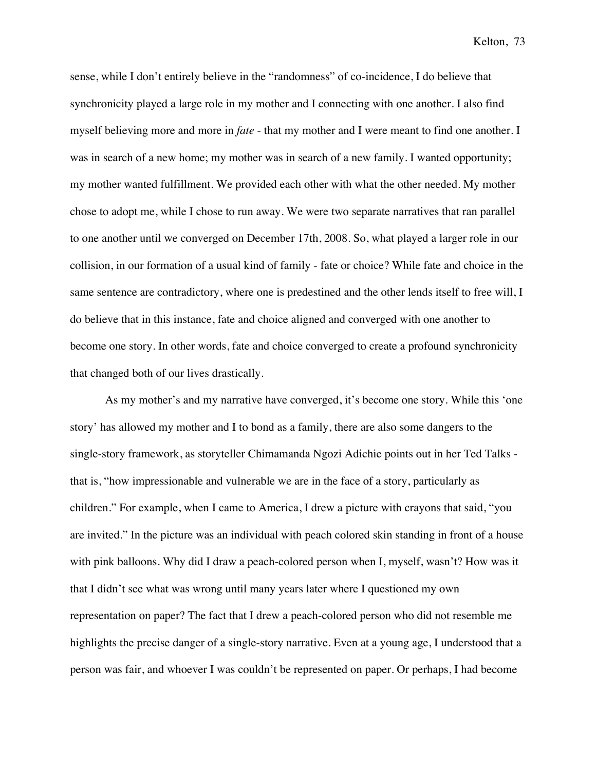sense, while I don't entirely believe in the "randomness" of co-incidence, I do believe that synchronicity played a large role in my mother and I connecting with one another. I also find myself believing more and more in *fate* - that my mother and I were meant to find one another. I was in search of a new home; my mother was in search of a new family. I wanted opportunity; my mother wanted fulfillment. We provided each other with what the other needed. My mother chose to adopt me, while I chose to run away. We were two separate narratives that ran parallel to one another until we converged on December 17th, 2008. So, what played a larger role in our collision, in our formation of a usual kind of family - fate or choice? While fate and choice in the same sentence are contradictory, where one is predestined and the other lends itself to free will, I do believe that in this instance, fate and choice aligned and converged with one another to become one story. In other words, fate and choice converged to create a profound synchronicity that changed both of our lives drastically.

As my mother's and my narrative have converged, it's become one story. While this 'one story' has allowed my mother and I to bond as a family, there are also some dangers to the single-story framework, as storyteller Chimamanda Ngozi Adichie points out in her Ted Talks that is, "how impressionable and vulnerable we are in the face of a story, particularly as children." For example, when I came to America, I drew a picture with crayons that said, "you are invited." In the picture was an individual with peach colored skin standing in front of a house with pink balloons. Why did I draw a peach-colored person when I, myself, wasn't? How was it that I didn't see what was wrong until many years later where I questioned my own representation on paper? The fact that I drew a peach-colored person who did not resemble me highlights the precise danger of a single-story narrative. Even at a young age, I understood that a person was fair, and whoever I was couldn't be represented on paper. Or perhaps, I had become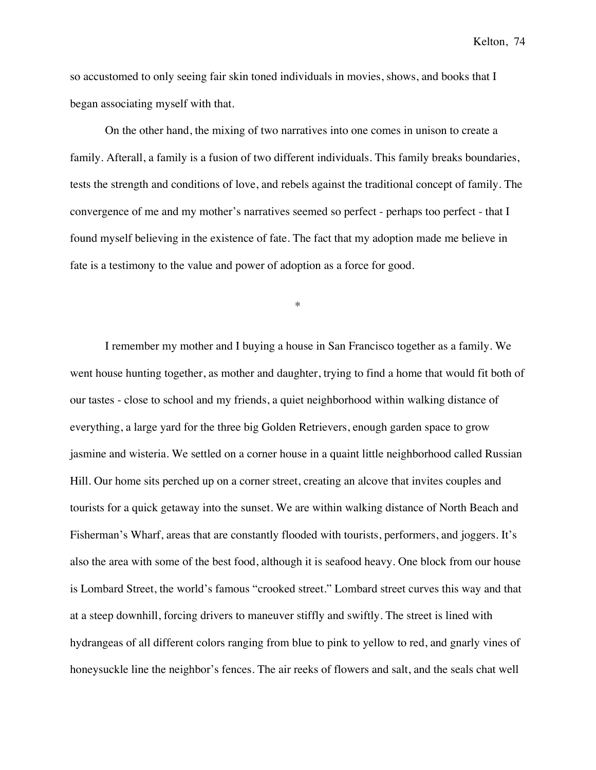so accustomed to only seeing fair skin toned individuals in movies, shows, and books that I began associating myself with that.

On the other hand, the mixing of two narratives into one comes in unison to create a family. Afterall, a family is a fusion of two different individuals. This family breaks boundaries, tests the strength and conditions of love, and rebels against the traditional concept of family. The convergence of me and my mother's narratives seemed so perfect - perhaps too perfect - that I found myself believing in the existence of fate. The fact that my adoption made me believe in fate is a testimony to the value and power of adoption as a force for good.

\*

I remember my mother and I buying a house in San Francisco together as a family. We went house hunting together, as mother and daughter, trying to find a home that would fit both of our tastes - close to school and my friends, a quiet neighborhood within walking distance of everything, a large yard for the three big Golden Retrievers, enough garden space to grow jasmine and wisteria. We settled on a corner house in a quaint little neighborhood called Russian Hill. Our home sits perched up on a corner street, creating an alcove that invites couples and tourists for a quick getaway into the sunset. We are within walking distance of North Beach and Fisherman's Wharf, areas that are constantly flooded with tourists, performers, and joggers. It's also the area with some of the best food, although it is seafood heavy. One block from our house is Lombard Street, the world's famous "crooked street." Lombard street curves this way and that at a steep downhill, forcing drivers to maneuver stiffly and swiftly. The street is lined with hydrangeas of all different colors ranging from blue to pink to yellow to red, and gnarly vines of honeysuckle line the neighbor's fences. The air reeks of flowers and salt, and the seals chat well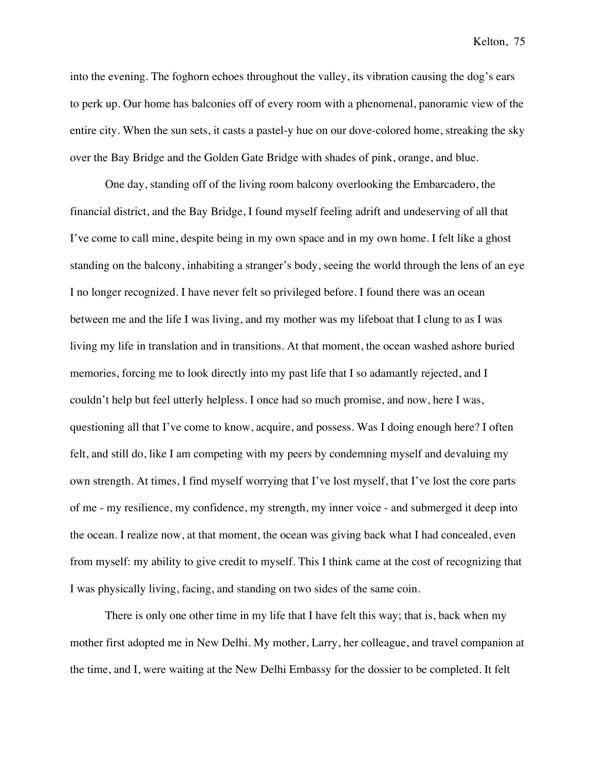into the evening. The foghorn echoes throughout the valley, its vibration causing the dog's ears to perk up. Our home has balconies off of every room with a phenomenal, panoramic view of the entire city. When the sun sets, it casts a pastel-y hue on our dove-colored home, streaking the sky over the Bay Bridge and the Golden Gate Bridge with shades of pink, orange, and blue.

One day, standing off of the living room balcony overlooking the Embarcadero, the financial district, and the Bay Bridge, I found myself feeling adrift and undeserving of all that I've come to call mine, despite being in my own space and in my own home. I felt like a ghost standing on the balcony, inhabiting a stranger's body, seeing the world through the lens of an eye I no longer recognized. I have never felt so privileged before. I found there was an ocean between me and the life I was living, and my mother was my lifeboat that I clung to as I was living my life in translation and in transitions. At that moment, the ocean washed ashore buried memories, forcing me to look directly into my past life that I so adamantly rejected, and I couldn't help but feel utterly helpless. I once had so much promise, and now, here I was, questioning all that I've come to know, acquire, and possess. Was I doing enough here? I often felt, and still do, like I am competing with my peers by condemning myself and devaluing my own strength. At times, I find myself worrying that I've lost myself, that I've lost the core parts of me - my resilience, my confidence, my strength, my inner voice - and submerged it deep into the ocean. I realize now, at that moment, the ocean was giving back what I had concealed, even from myself: my ability to give credit to myself. This I think came at the cost of recognizing that I was physically living, facing, and standing on two sides of the same coin.

There is only one other time in my life that I have felt this way; that is, back when my mother first adopted me in New Delhi. My mother, Larry, her colleague, and travel companion at the time, and I, were waiting at the New Delhi Embassy for the dossier to be completed. It felt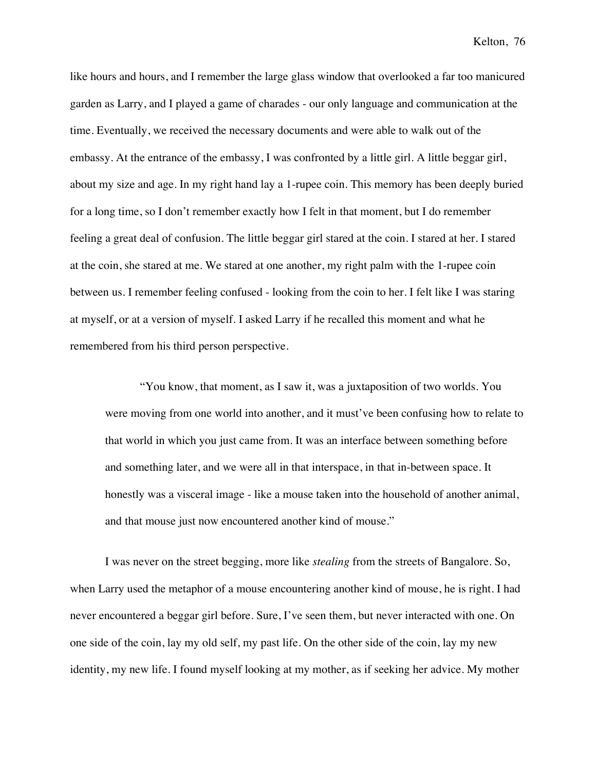like hours and hours, and I remember the large glass window that overlooked a far too manicured garden as Larry, and I played a game of charades - our only language and communication at the time. Eventually, we received the necessary documents and were able to walk out of the embassy. At the entrance of the embassy, I was confronted by a little girl. A little beggar girl, about my size and age. In my right hand lay a 1-rupee coin. This memory has been deeply buried for a long time, so I don't remember exactly how I felt in that moment, but I do remember feeling a great deal of confusion. The little beggar girl stared at the coin. I stared at her. I stared at the coin, she stared at me. We stared at one another, my right palm with the 1-rupee coin between us. I remember feeling confused - looking from the coin to her. I felt like I was staring at myself, or at a version of myself. I asked Larry if he recalled this moment and what he remembered from his third person perspective.

"You know, that moment, as I saw it, was a juxtaposition of two worlds. You were moving from one world into another, and it must've been confusing how to relate to that world in which you just came from. It was an interface between something before and something later, and we were all in that interspace, in that in-between space. It honestly was a visceral image - like a mouse taken into the household of another animal, and that mouse just now encountered another kind of mouse."

I was never on the street begging, more like *stealing* from the streets of Bangalore. So, when Larry used the metaphor of a mouse encountering another kind of mouse, he is right. I had never encountered a beggar girl before. Sure, I've seen them, but never interacted with one. On one side of the coin, lay my old self, my past life. On the other side of the coin, lay my new identity, my new life. I found myself looking at my mother, as if seeking her advice. My mother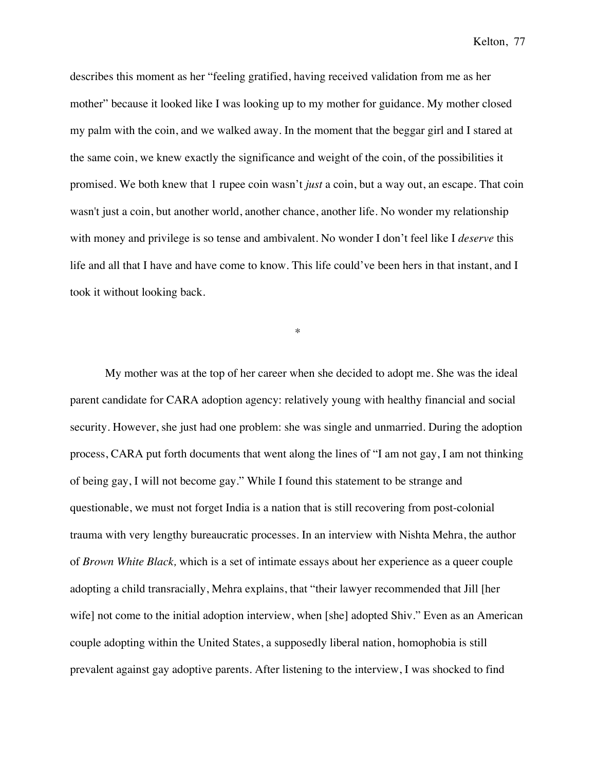describes this moment as her "feeling gratified, having received validation from me as her mother" because it looked like I was looking up to my mother for guidance. My mother closed my palm with the coin, and we walked away. In the moment that the beggar girl and I stared at the same coin, we knew exactly the significance and weight of the coin, of the possibilities it promised. We both knew that 1 rupee coin wasn't *just* a coin, but a way out, an escape. That coin wasn't just a coin, but another world, another chance, another life. No wonder my relationship with money and privilege is so tense and ambivalent. No wonder I don't feel like I *deserve* this life and all that I have and have come to know. This life could've been hers in that instant, and I took it without looking back.

\*

My mother was at the top of her career when she decided to adopt me. She was the ideal parent candidate for CARA adoption agency: relatively young with healthy financial and social security. However, she just had one problem: she was single and unmarried. During the adoption process, CARA put forth documents that went along the lines of "I am not gay, I am not thinking of being gay, I will not become gay." While I found this statement to be strange and questionable, we must not forget India is a nation that is still recovering from post-colonial trauma with very lengthy bureaucratic processes. In an interview with Nishta Mehra, the author of *Brown White Black,* which is a set of intimate essays about her experience as a queer couple adopting a child transracially, Mehra explains, that "their lawyer recommended that Jill [her wife] not come to the initial adoption interview, when [she] adopted Shiv." Even as an American couple adopting within the United States, a supposedly liberal nation, homophobia is still prevalent against gay adoptive parents. After listening to the interview, I was shocked to find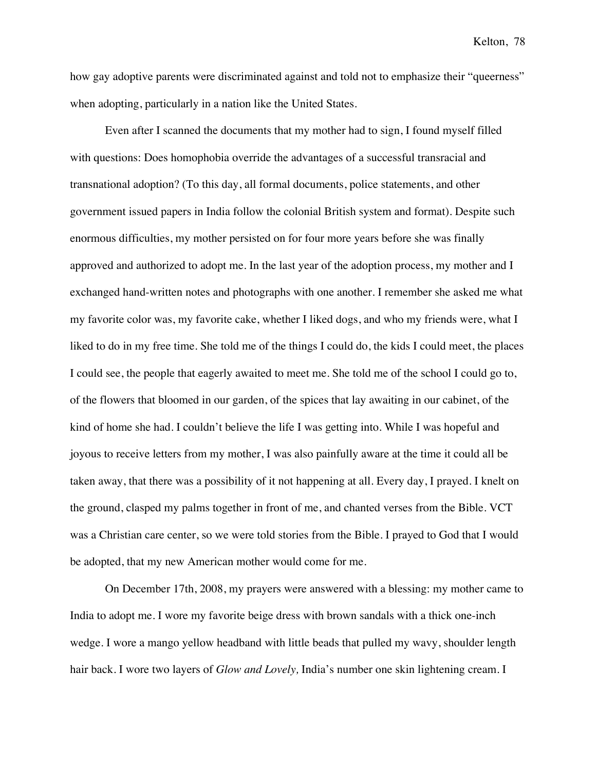how gay adoptive parents were discriminated against and told not to emphasize their "queerness" when adopting, particularly in a nation like the United States.

Even after I scanned the documents that my mother had to sign, I found myself filled with questions: Does homophobia override the advantages of a successful transracial and transnational adoption? (To this day, all formal documents, police statements, and other government issued papers in India follow the colonial British system and format). Despite such enormous difficulties, my mother persisted on for four more years before she was finally approved and authorized to adopt me. In the last year of the adoption process, my mother and I exchanged hand-written notes and photographs with one another. I remember she asked me what my favorite color was, my favorite cake, whether I liked dogs, and who my friends were, what I liked to do in my free time. She told me of the things I could do, the kids I could meet, the places I could see, the people that eagerly awaited to meet me. She told me of the school I could go to, of the flowers that bloomed in our garden, of the spices that lay awaiting in our cabinet, of the kind of home she had. I couldn't believe the life I was getting into. While I was hopeful and joyous to receive letters from my mother, I was also painfully aware at the time it could all be taken away, that there was a possibility of it not happening at all. Every day, I prayed. I knelt on the ground, clasped my palms together in front of me, and chanted verses from the Bible. VCT was a Christian care center, so we were told stories from the Bible. I prayed to God that I would be adopted, that my new American mother would come for me.

On December 17th, 2008, my prayers were answered with a blessing: my mother came to India to adopt me. I wore my favorite beige dress with brown sandals with a thick one-inch wedge. I wore a mango yellow headband with little beads that pulled my wavy, shoulder length hair back. I wore two layers of *Glow and Lovely,* India's number one skin lightening cream. I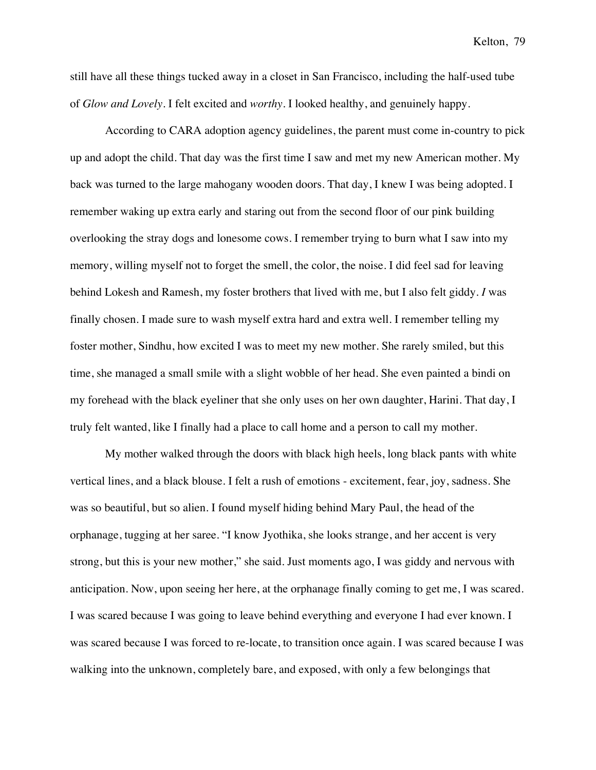still have all these things tucked away in a closet in San Francisco, including the half-used tube of *Glow and Lovely*. I felt excited and *worthy*. I looked healthy, and genuinely happy.

According to CARA adoption agency guidelines, the parent must come in-country to pick up and adopt the child. That day was the first time I saw and met my new American mother. My back was turned to the large mahogany wooden doors. That day, I knew I was being adopted. I remember waking up extra early and staring out from the second floor of our pink building overlooking the stray dogs and lonesome cows. I remember trying to burn what I saw into my memory, willing myself not to forget the smell, the color, the noise. I did feel sad for leaving behind Lokesh and Ramesh, my foster brothers that lived with me, but I also felt giddy. *I* was finally chosen. I made sure to wash myself extra hard and extra well. I remember telling my foster mother, Sindhu, how excited I was to meet my new mother. She rarely smiled, but this time, she managed a small smile with a slight wobble of her head. She even painted a bindi on my forehead with the black eyeliner that she only uses on her own daughter, Harini. That day, I truly felt wanted, like I finally had a place to call home and a person to call my mother.

My mother walked through the doors with black high heels, long black pants with white vertical lines, and a black blouse. I felt a rush of emotions - excitement, fear, joy, sadness. She was so beautiful, but so alien. I found myself hiding behind Mary Paul, the head of the orphanage, tugging at her saree. "I know Jyothika, she looks strange, and her accent is very strong, but this is your new mother," she said. Just moments ago, I was giddy and nervous with anticipation. Now, upon seeing her here, at the orphanage finally coming to get me, I was scared. I was scared because I was going to leave behind everything and everyone I had ever known. I was scared because I was forced to re-locate, to transition once again. I was scared because I was walking into the unknown, completely bare, and exposed, with only a few belongings that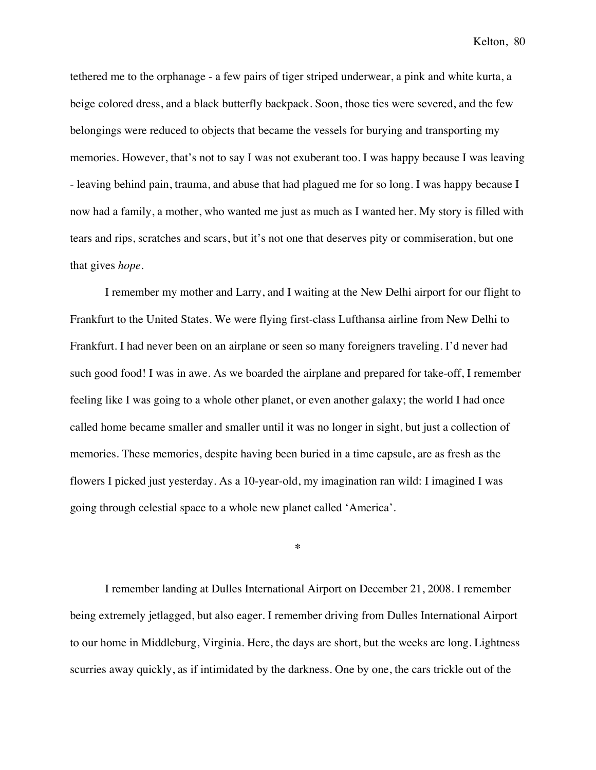tethered me to the orphanage - a few pairs of tiger striped underwear, a pink and white kurta, a beige colored dress, and a black butterfly backpack. Soon, those ties were severed, and the few belongings were reduced to objects that became the vessels for burying and transporting my memories. However, that's not to say I was not exuberant too. I was happy because I was leaving - leaving behind pain, trauma, and abuse that had plagued me for so long. I was happy because I now had a family, a mother, who wanted me just as much as I wanted her. My story is filled with tears and rips, scratches and scars, but it's not one that deserves pity or commiseration, but one that gives *hope*.

I remember my mother and Larry, and I waiting at the New Delhi airport for our flight to Frankfurt to the United States. We were flying first-class Lufthansa airline from New Delhi to Frankfurt. I had never been on an airplane or seen so many foreigners traveling. I'd never had such good food! I was in awe. As we boarded the airplane and prepared for take-off, I remember feeling like I was going to a whole other planet, or even another galaxy; the world I had once called home became smaller and smaller until it was no longer in sight, but just a collection of memories. These memories, despite having been buried in a time capsule, are as fresh as the flowers I picked just yesterday. As a 10-year-old, my imagination ran wild: I imagined I was going through celestial space to a whole new planet called 'America'.

**\***

I remember landing at Dulles International Airport on December 21, 2008. I remember being extremely jetlagged, but also eager. I remember driving from Dulles International Airport to our home in Middleburg, Virginia. Here, the days are short, but the weeks are long. Lightness scurries away quickly, as if intimidated by the darkness. One by one, the cars trickle out of the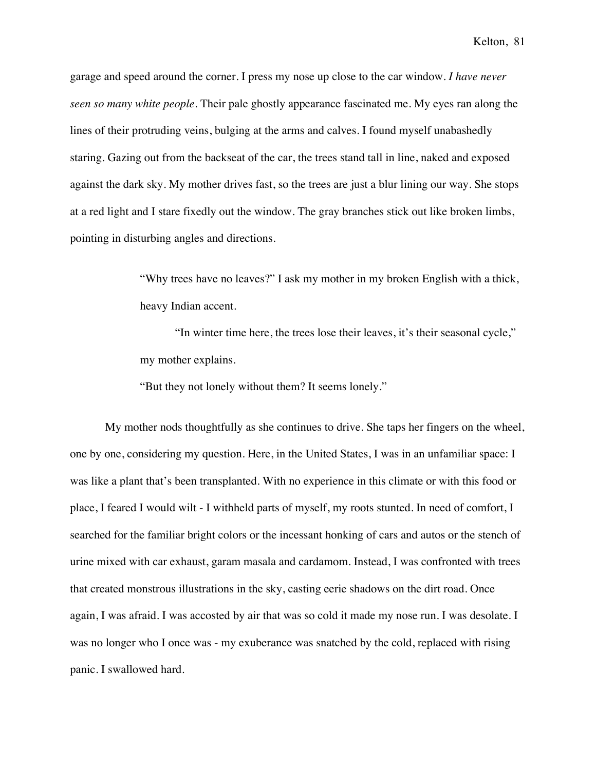garage and speed around the corner. I press my nose up close to the car window. *I have never seen so many white people*. Their pale ghostly appearance fascinated me. My eyes ran along the lines of their protruding veins, bulging at the arms and calves. I found myself unabashedly staring. Gazing out from the backseat of the car, the trees stand tall in line, naked and exposed against the dark sky. My mother drives fast, so the trees are just a blur lining our way. She stops at a red light and I stare fixedly out the window. The gray branches stick out like broken limbs, pointing in disturbing angles and directions.

> "Why trees have no leaves?" I ask my mother in my broken English with a thick, heavy Indian accent.

> "In winter time here, the trees lose their leaves, it's their seasonal cycle," my mother explains.

"But they not lonely without them? It seems lonely."

My mother nods thoughtfully as she continues to drive. She taps her fingers on the wheel, one by one, considering my question. Here, in the United States, I was in an unfamiliar space: I was like a plant that's been transplanted. With no experience in this climate or with this food or place, I feared I would wilt - I withheld parts of myself, my roots stunted. In need of comfort, I searched for the familiar bright colors or the incessant honking of cars and autos or the stench of urine mixed with car exhaust, garam masala and cardamom. Instead, I was confronted with trees that created monstrous illustrations in the sky, casting eerie shadows on the dirt road. Once again, I was afraid. I was accosted by air that was so cold it made my nose run. I was desolate. I was no longer who I once was - my exuberance was snatched by the cold, replaced with rising panic. I swallowed hard.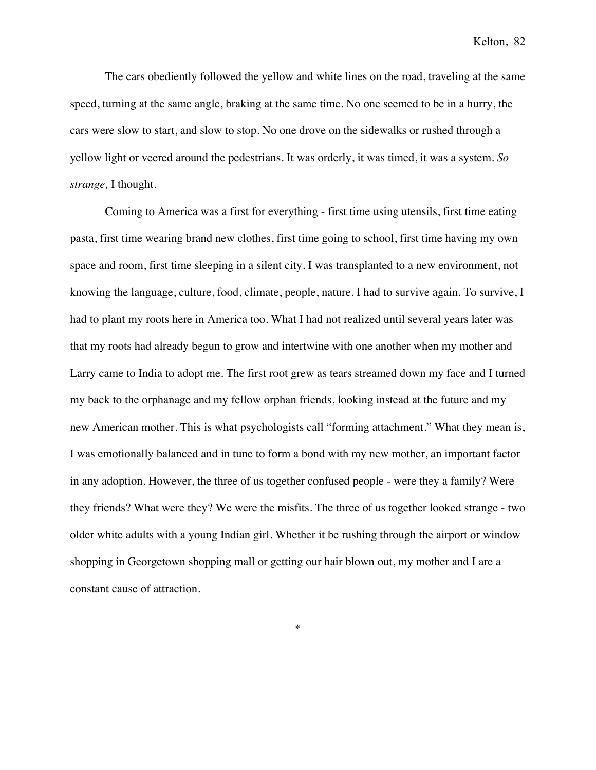The cars obediently followed the yellow and white lines on the road, traveling at the same speed, turning at the same angle, braking at the same time. No one seemed to be in a hurry, the cars were slow to start, and slow to stop. No one drove on the sidewalks or rushed through a yellow light or veered around the pedestrians. It was orderly, it was timed, it was a system. *So strange,* I thought.

Coming to America was a first for everything - first time using utensils, first time eating pasta, first time wearing brand new clothes, first time going to school, first time having my own space and room, first time sleeping in a silent city. I was transplanted to a new environment, not knowing the language, culture, food, climate, people, nature. I had to survive again. To survive, I had to plant my roots here in America too. What I had not realized until several years later was that my roots had already begun to grow and intertwine with one another when my mother and Larry came to India to adopt me. The first root grew as tears streamed down my face and I turned my back to the orphanage and my fellow orphan friends, looking instead at the future and my new American mother. This is what psychologists call "forming attachment." What they mean is, I was emotionally balanced and in tune to form a bond with my new mother, an important factor in any adoption. However, the three of us together confused people - were they a family? Were they friends? What were they? We were the misfits. The three of us together looked strange - two older white adults with a young Indian girl. Whether it be rushing through the airport or window shopping in Georgetown shopping mall or getting our hair blown out, my mother and I are a constant cause of attraction.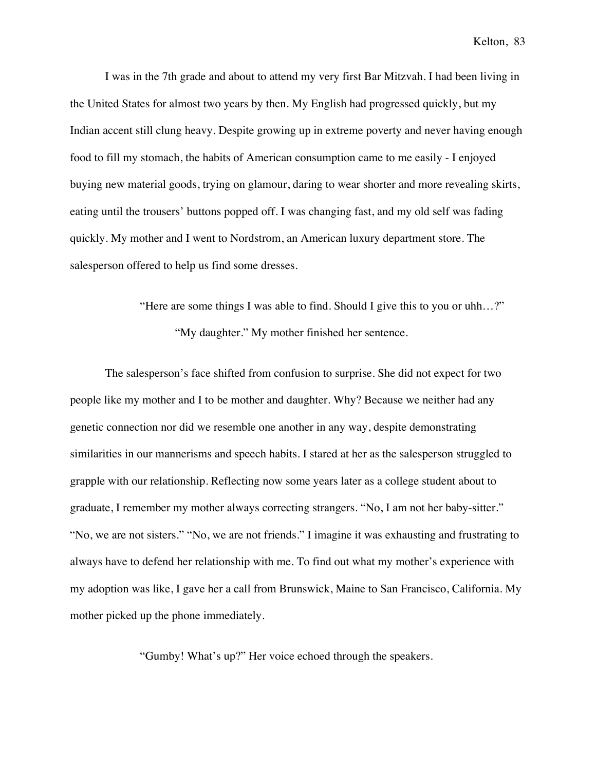I was in the 7th grade and about to attend my very first Bar Mitzvah. I had been living in the United States for almost two years by then. My English had progressed quickly, but my Indian accent still clung heavy. Despite growing up in extreme poverty and never having enough food to fill my stomach, the habits of American consumption came to me easily - I enjoyed buying new material goods, trying on glamour, daring to wear shorter and more revealing skirts, eating until the trousers' buttons popped off. I was changing fast, and my old self was fading quickly. My mother and I went to Nordstrom, an American luxury department store. The salesperson offered to help us find some dresses.

> "Here are some things I was able to find. Should I give this to you or uhh…?" "My daughter." My mother finished her sentence.

The salesperson's face shifted from confusion to surprise. She did not expect for two people like my mother and I to be mother and daughter. Why? Because we neither had any genetic connection nor did we resemble one another in any way, despite demonstrating similarities in our mannerisms and speech habits. I stared at her as the salesperson struggled to grapple with our relationship. Reflecting now some years later as a college student about to graduate, I remember my mother always correcting strangers. "No, I am not her baby-sitter." "No, we are not sisters." "No, we are not friends." I imagine it was exhausting and frustrating to always have to defend her relationship with me. To find out what my mother's experience with my adoption was like, I gave her a call from Brunswick, Maine to San Francisco, California. My mother picked up the phone immediately.

"Gumby! What's up?" Her voice echoed through the speakers.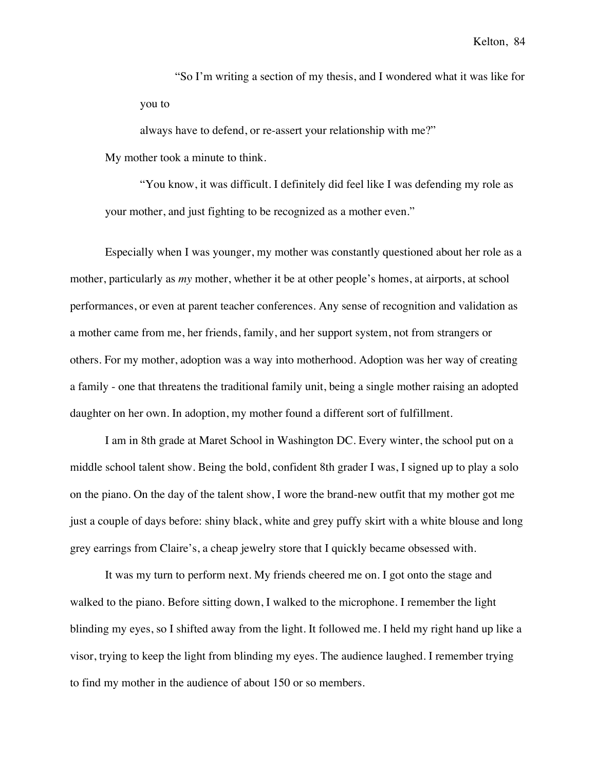"So I'm writing a section of my thesis, and I wondered what it was like for you to

always have to defend, or re-assert your relationship with me?" My mother took a minute to think.

"You know, it was difficult. I definitely did feel like I was defending my role as your mother, and just fighting to be recognized as a mother even."

Especially when I was younger, my mother was constantly questioned about her role as a mother, particularly as *my* mother, whether it be at other people's homes, at airports, at school performances, or even at parent teacher conferences. Any sense of recognition and validation as a mother came from me, her friends, family, and her support system, not from strangers or others. For my mother, adoption was a way into motherhood. Adoption was her way of creating a family - one that threatens the traditional family unit, being a single mother raising an adopted daughter on her own. In adoption, my mother found a different sort of fulfillment.

I am in 8th grade at Maret School in Washington DC. Every winter, the school put on a middle school talent show. Being the bold, confident 8th grader I was, I signed up to play a solo on the piano. On the day of the talent show, I wore the brand-new outfit that my mother got me just a couple of days before: shiny black, white and grey puffy skirt with a white blouse and long grey earrings from Claire's, a cheap jewelry store that I quickly became obsessed with.

It was my turn to perform next. My friends cheered me on. I got onto the stage and walked to the piano. Before sitting down, I walked to the microphone. I remember the light blinding my eyes, so I shifted away from the light. It followed me. I held my right hand up like a visor, trying to keep the light from blinding my eyes. The audience laughed. I remember trying to find my mother in the audience of about 150 or so members.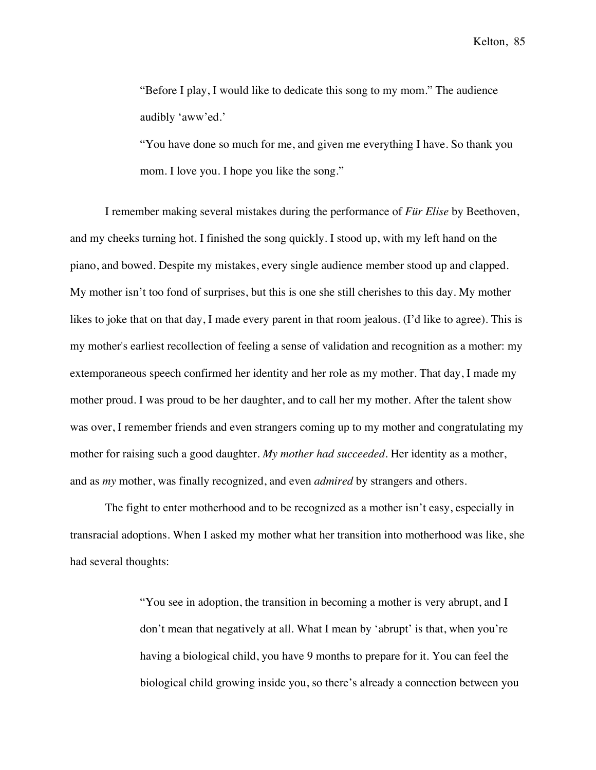"Before I play, I would like to dedicate this song to my mom." The audience audibly 'aww'ed.'

"You have done so much for me, and given me everything I have. So thank you mom. I love you. I hope you like the song."

I remember making several mistakes during the performance of *Für Elise* by Beethoven, and my cheeks turning hot. I finished the song quickly. I stood up, with my left hand on the piano, and bowed. Despite my mistakes, every single audience member stood up and clapped. My mother isn't too fond of surprises, but this is one she still cherishes to this day. My mother likes to joke that on that day, I made every parent in that room jealous. (I'd like to agree). This is my mother's earliest recollection of feeling a sense of validation and recognition as a mother: my extemporaneous speech confirmed her identity and her role as my mother. That day, I made my mother proud. I was proud to be her daughter, and to call her my mother. After the talent show was over, I remember friends and even strangers coming up to my mother and congratulating my mother for raising such a good daughter. *My mother had succeeded*. Her identity as a mother, and as *my* mother, was finally recognized, and even *admired* by strangers and others.

The fight to enter motherhood and to be recognized as a mother isn't easy, especially in transracial adoptions. When I asked my mother what her transition into motherhood was like, she had several thoughts:

> "You see in adoption, the transition in becoming a mother is very abrupt, and I don't mean that negatively at all. What I mean by 'abrupt' is that, when you're having a biological child, you have 9 months to prepare for it. You can feel the biological child growing inside you, so there's already a connection between you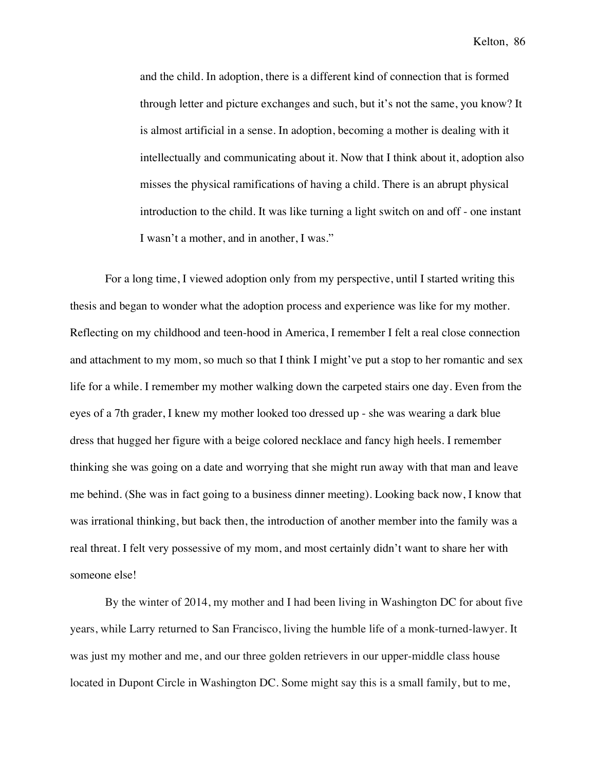and the child. In adoption, there is a different kind of connection that is formed through letter and picture exchanges and such, but it's not the same, you know? It is almost artificial in a sense. In adoption, becoming a mother is dealing with it intellectually and communicating about it. Now that I think about it, adoption also misses the physical ramifications of having a child. There is an abrupt physical introduction to the child. It was like turning a light switch on and off - one instant I wasn't a mother, and in another, I was."

For a long time, I viewed adoption only from my perspective, until I started writing this thesis and began to wonder what the adoption process and experience was like for my mother. Reflecting on my childhood and teen-hood in America, I remember I felt a real close connection and attachment to my mom, so much so that I think I might've put a stop to her romantic and sex life for a while. I remember my mother walking down the carpeted stairs one day. Even from the eyes of a 7th grader, I knew my mother looked too dressed up - she was wearing a dark blue dress that hugged her figure with a beige colored necklace and fancy high heels. I remember thinking she was going on a date and worrying that she might run away with that man and leave me behind. (She was in fact going to a business dinner meeting). Looking back now, I know that was irrational thinking, but back then, the introduction of another member into the family was a real threat. I felt very possessive of my mom, and most certainly didn't want to share her with someone else!

By the winter of 2014, my mother and I had been living in Washington DC for about five years, while Larry returned to San Francisco, living the humble life of a monk-turned-lawyer. It was just my mother and me, and our three golden retrievers in our upper-middle class house located in Dupont Circle in Washington DC. Some might say this is a small family, but to me,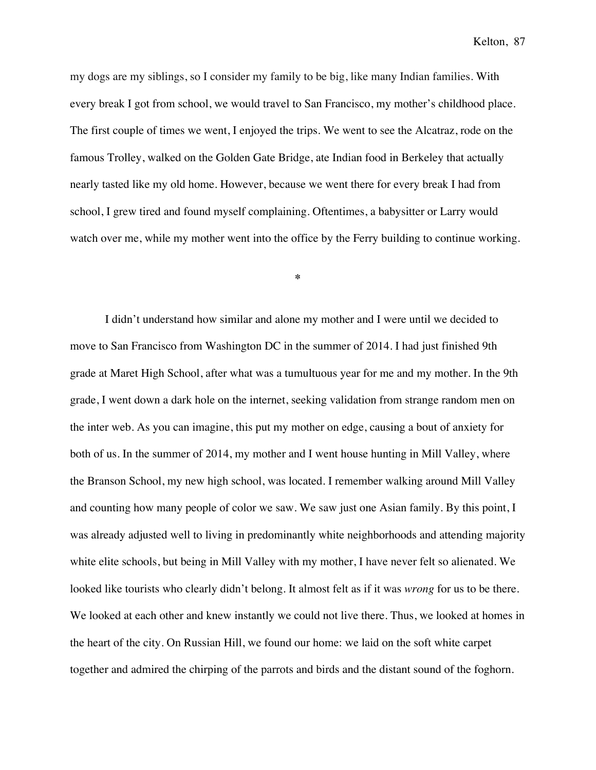my dogs are my siblings, so I consider my family to be big, like many Indian families. With every break I got from school, we would travel to San Francisco, my mother's childhood place. The first couple of times we went, I enjoyed the trips. We went to see the Alcatraz, rode on the famous Trolley, walked on the Golden Gate Bridge, ate Indian food in Berkeley that actually nearly tasted like my old home. However, because we went there for every break I had from school, I grew tired and found myself complaining. Oftentimes, a babysitter or Larry would watch over me, while my mother went into the office by the Ferry building to continue working.

**\***

I didn't understand how similar and alone my mother and I were until we decided to move to San Francisco from Washington DC in the summer of 2014. I had just finished 9th grade at Maret High School, after what was a tumultuous year for me and my mother. In the 9th grade, I went down a dark hole on the internet, seeking validation from strange random men on the inter web. As you can imagine, this put my mother on edge, causing a bout of anxiety for both of us. In the summer of 2014, my mother and I went house hunting in Mill Valley, where the Branson School, my new high school, was located. I remember walking around Mill Valley and counting how many people of color we saw. We saw just one Asian family. By this point, I was already adjusted well to living in predominantly white neighborhoods and attending majority white elite schools, but being in Mill Valley with my mother, I have never felt so alienated. We looked like tourists who clearly didn't belong. It almost felt as if it was *wrong* for us to be there. We looked at each other and knew instantly we could not live there. Thus, we looked at homes in the heart of the city. On Russian Hill, we found our home: we laid on the soft white carpet together and admired the chirping of the parrots and birds and the distant sound of the foghorn.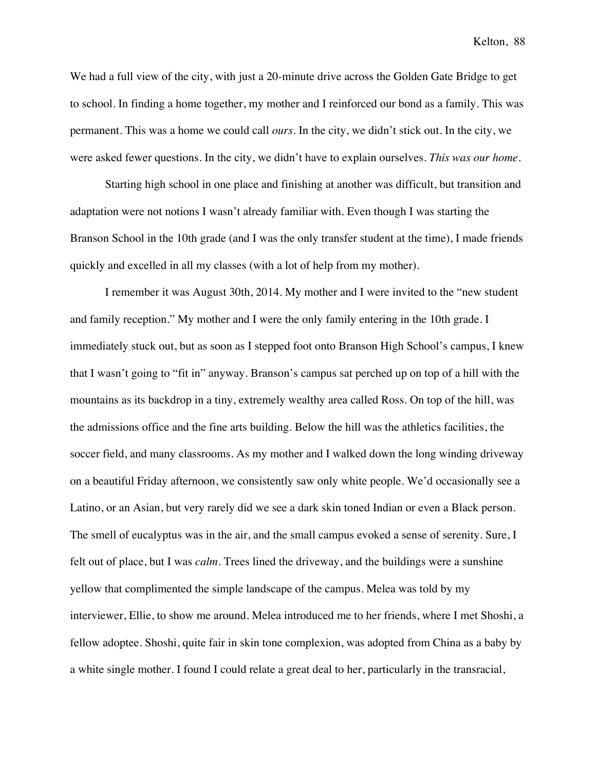We had a full view of the city, with just a 20-minute drive across the Golden Gate Bridge to get to school. In finding a home together, my mother and I reinforced our bond as a family. This was permanent. This was a home we could call *ours*. In the city, we didn't stick out. In the city, we were asked fewer questions. In the city, we didn't have to explain ourselves. *This was our home*.

Starting high school in one place and finishing at another was difficult, but transition and adaptation were not notions I wasn't already familiar with. Even though I was starting the Branson School in the 10th grade (and I was the only transfer student at the time), I made friends quickly and excelled in all my classes (with a lot of help from my mother).

I remember it was August 30th, 2014. My mother and I were invited to the "new student and family reception." My mother and I were the only family entering in the 10th grade. I immediately stuck out, but as soon as I stepped foot onto Branson High School's campus, I knew that I wasn't going to "fit in" anyway. Branson's campus sat perched up on top of a hill with the mountains as its backdrop in a tiny, extremely wealthy area called Ross. On top of the hill, was the admissions office and the fine arts building. Below the hill was the athletics facilities, the soccer field, and many classrooms. As my mother and I walked down the long winding driveway on a beautiful Friday afternoon, we consistently saw only white people. We'd occasionally see a Latino, or an Asian, but very rarely did we see a dark skin toned Indian or even a Black person. The smell of eucalyptus was in the air, and the small campus evoked a sense of serenity. Sure, I felt out of place, but I was *calm*. Trees lined the driveway, and the buildings were a sunshine yellow that complimented the simple landscape of the campus. Melea was told by my interviewer, Ellie, to show me around. Melea introduced me to her friends, where I met Shoshi, a fellow adoptee. Shoshi, quite fair in skin tone complexion, was adopted from China as a baby by a white single mother. I found I could relate a great deal to her, particularly in the transracial,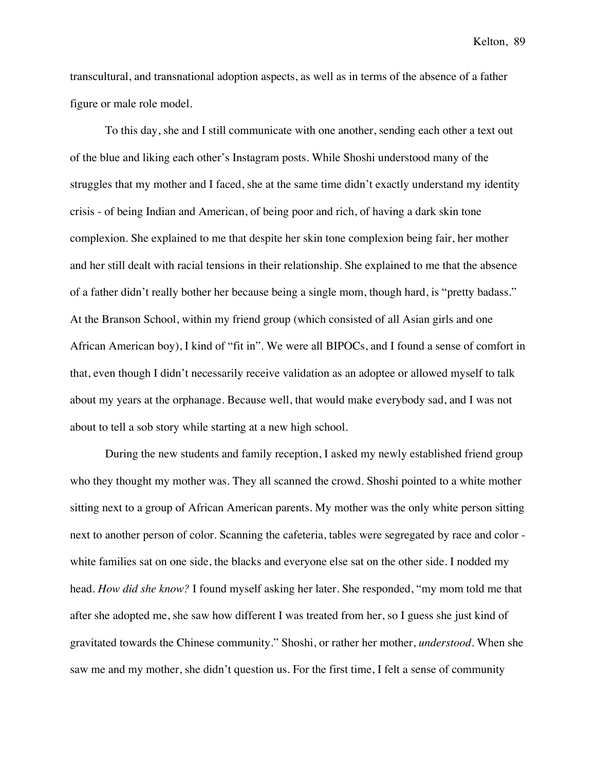transcultural, and transnational adoption aspects, as well as in terms of the absence of a father figure or male role model.

To this day, she and I still communicate with one another, sending each other a text out of the blue and liking each other's Instagram posts. While Shoshi understood many of the struggles that my mother and I faced, she at the same time didn't exactly understand my identity crisis - of being Indian and American, of being poor and rich, of having a dark skin tone complexion. She explained to me that despite her skin tone complexion being fair, her mother and her still dealt with racial tensions in their relationship. She explained to me that the absence of a father didn't really bother her because being a single mom, though hard, is "pretty badass." At the Branson School, within my friend group (which consisted of all Asian girls and one African American boy), I kind of "fit in". We were all BIPOCs, and I found a sense of comfort in that, even though I didn't necessarily receive validation as an adoptee or allowed myself to talk about my years at the orphanage. Because well, that would make everybody sad, and I was not about to tell a sob story while starting at a new high school.

During the new students and family reception, I asked my newly established friend group who they thought my mother was. They all scanned the crowd. Shoshi pointed to a white mother sitting next to a group of African American parents. My mother was the only white person sitting next to another person of color. Scanning the cafeteria, tables were segregated by race and color white families sat on one side, the blacks and everyone else sat on the other side. I nodded my head. *How did she know?* I found myself asking her later. She responded, "my mom told me that after she adopted me, she saw how different I was treated from her, so I guess she just kind of gravitated towards the Chinese community." Shoshi, or rather her mother, *understood*. When she saw me and my mother, she didn't question us. For the first time, I felt a sense of community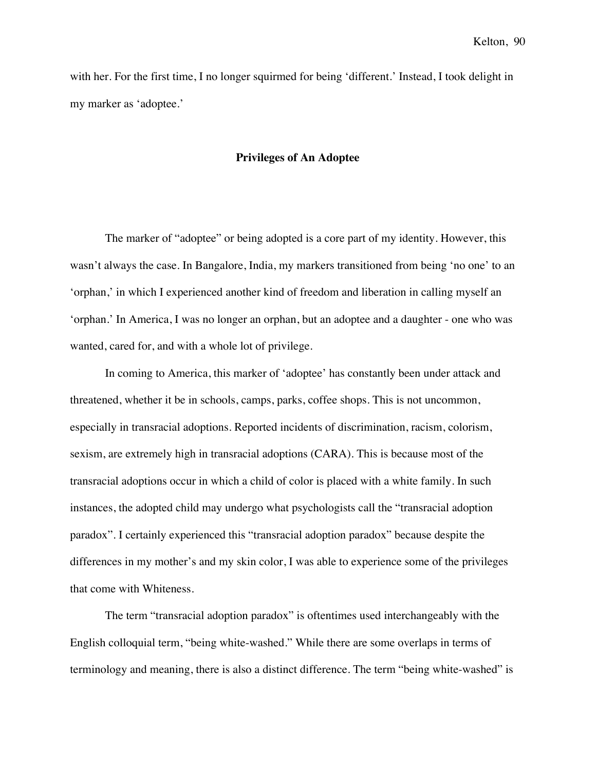with her. For the first time, I no longer squirmed for being 'different.' Instead, I took delight in my marker as 'adoptee.'

## **Privileges of An Adoptee**

The marker of "adoptee" or being adopted is a core part of my identity. However, this wasn't always the case. In Bangalore, India, my markers transitioned from being 'no one' to an 'orphan,' in which I experienced another kind of freedom and liberation in calling myself an 'orphan.' In America, I was no longer an orphan, but an adoptee and a daughter - one who was wanted, cared for, and with a whole lot of privilege.

In coming to America, this marker of 'adoptee' has constantly been under attack and threatened, whether it be in schools, camps, parks, coffee shops. This is not uncommon, especially in transracial adoptions. Reported incidents of discrimination, racism, colorism, sexism, are extremely high in transracial adoptions (CARA). This is because most of the transracial adoptions occur in which a child of color is placed with a white family. In such instances, the adopted child may undergo what psychologists call the "transracial adoption paradox". I certainly experienced this "transracial adoption paradox" because despite the differences in my mother's and my skin color, I was able to experience some of the privileges that come with Whiteness.

The term "transracial adoption paradox" is oftentimes used interchangeably with the English colloquial term, "being white-washed." While there are some overlaps in terms of terminology and meaning, there is also a distinct difference. The term "being white-washed" is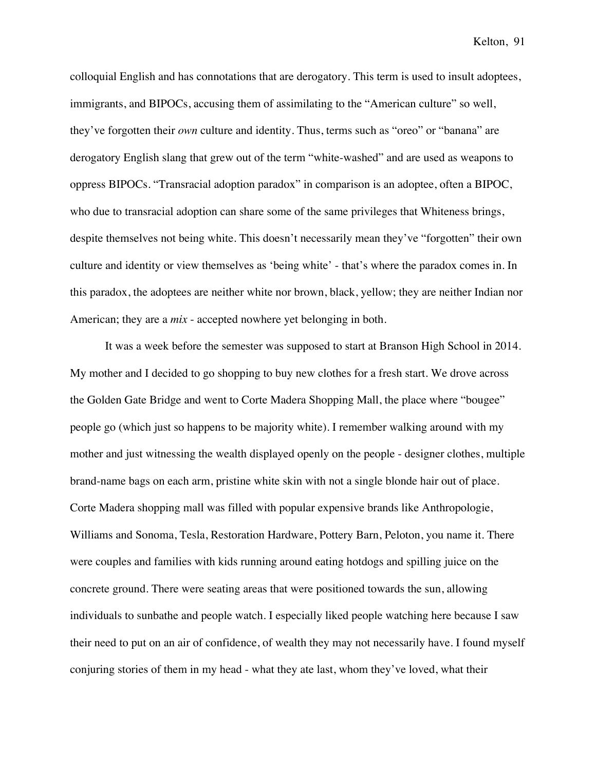colloquial English and has connotations that are derogatory. This term is used to insult adoptees, immigrants, and BIPOCs, accusing them of assimilating to the "American culture" so well, they've forgotten their *own* culture and identity. Thus, terms such as "oreo" or "banana" are derogatory English slang that grew out of the term "white-washed" and are used as weapons to oppress BIPOCs. "Transracial adoption paradox" in comparison is an adoptee, often a BIPOC, who due to transracial adoption can share some of the same privileges that Whiteness brings, despite themselves not being white. This doesn't necessarily mean they've "forgotten" their own culture and identity or view themselves as 'being white' - that's where the paradox comes in. In this paradox, the adoptees are neither white nor brown, black, yellow; they are neither Indian nor American; they are a *mix* - accepted nowhere yet belonging in both.

It was a week before the semester was supposed to start at Branson High School in 2014. My mother and I decided to go shopping to buy new clothes for a fresh start. We drove across the Golden Gate Bridge and went to Corte Madera Shopping Mall, the place where "bougee" people go (which just so happens to be majority white). I remember walking around with my mother and just witnessing the wealth displayed openly on the people - designer clothes, multiple brand-name bags on each arm, pristine white skin with not a single blonde hair out of place. Corte Madera shopping mall was filled with popular expensive brands like Anthropologie, Williams and Sonoma, Tesla, Restoration Hardware, Pottery Barn, Peloton, you name it. There were couples and families with kids running around eating hotdogs and spilling juice on the concrete ground. There were seating areas that were positioned towards the sun, allowing individuals to sunbathe and people watch. I especially liked people watching here because I saw their need to put on an air of confidence, of wealth they may not necessarily have. I found myself conjuring stories of them in my head - what they ate last, whom they've loved, what their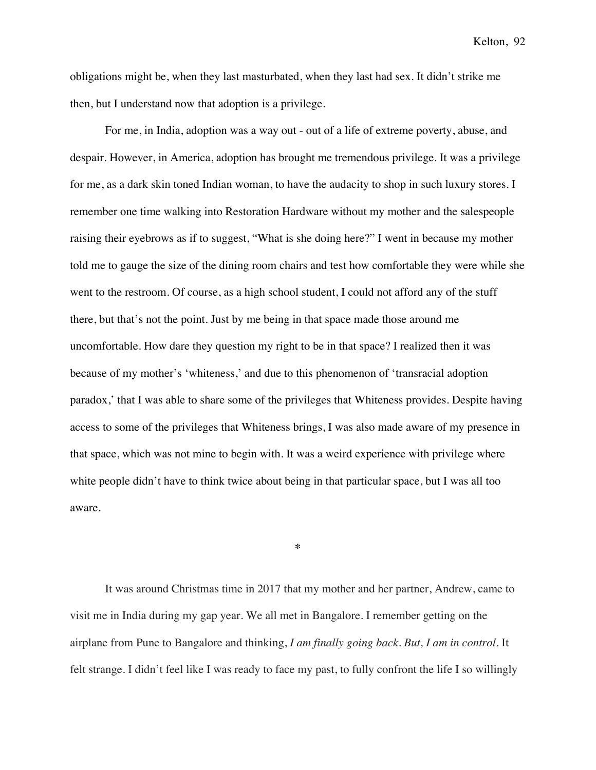obligations might be, when they last masturbated, when they last had sex. It didn't strike me then, but I understand now that adoption is a privilege.

For me, in India, adoption was a way out - out of a life of extreme poverty, abuse, and despair. However, in America, adoption has brought me tremendous privilege. It was a privilege for me, as a dark skin toned Indian woman, to have the audacity to shop in such luxury stores. I remember one time walking into Restoration Hardware without my mother and the salespeople raising their eyebrows as if to suggest, "What is she doing here?" I went in because my mother told me to gauge the size of the dining room chairs and test how comfortable they were while she went to the restroom. Of course, as a high school student, I could not afford any of the stuff there, but that's not the point. Just by me being in that space made those around me uncomfortable. How dare they question my right to be in that space? I realized then it was because of my mother's 'whiteness,' and due to this phenomenon of 'transracial adoption paradox,' that I was able to share some of the privileges that Whiteness provides. Despite having access to some of the privileges that Whiteness brings, I was also made aware of my presence in that space, which was not mine to begin with. It was a weird experience with privilege where white people didn't have to think twice about being in that particular space, but I was all too aware.

It was around Christmas time in 2017 that my mother and her partner, Andrew, came to visit me in India during my gap year. We all met in Bangalore. I remember getting on the airplane from Pune to Bangalore and thinking, *I am finally going back. But, I am in control*. It felt strange. I didn't feel like I was ready to face my past, to fully confront the life I so willingly

**\***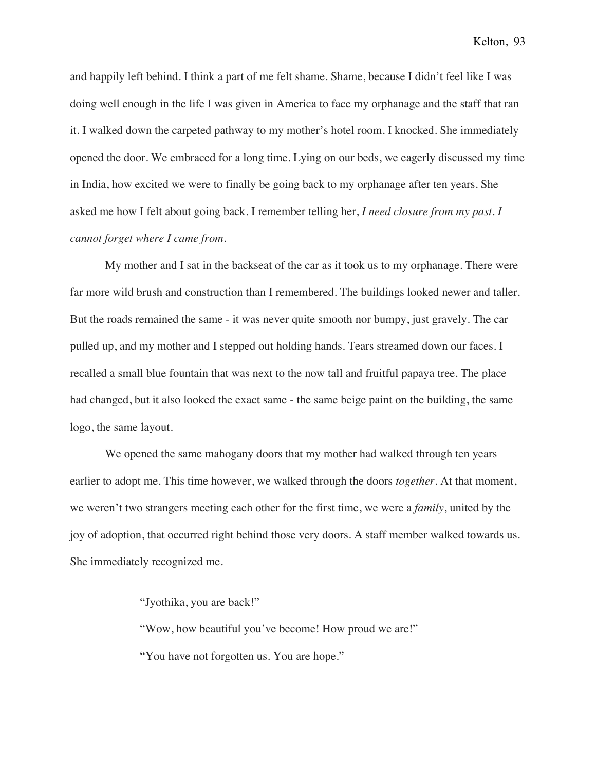and happily left behind. I think a part of me felt shame. Shame, because I didn't feel like I was doing well enough in the life I was given in America to face my orphanage and the staff that ran it. I walked down the carpeted pathway to my mother's hotel room. I knocked. She immediately opened the door. We embraced for a long time. Lying on our beds, we eagerly discussed my time in India, how excited we were to finally be going back to my orphanage after ten years. She asked me how I felt about going back. I remember telling her, *I need closure from my past. I cannot forget where I came from*.

My mother and I sat in the backseat of the car as it took us to my orphanage. There were far more wild brush and construction than I remembered. The buildings looked newer and taller. But the roads remained the same - it was never quite smooth nor bumpy, just gravely. The car pulled up, and my mother and I stepped out holding hands. Tears streamed down our faces. I recalled a small blue fountain that was next to the now tall and fruitful papaya tree. The place had changed, but it also looked the exact same - the same beige paint on the building, the same logo, the same layout.

We opened the same mahogany doors that my mother had walked through ten years earlier to adopt me. This time however, we walked through the doors *together*. At that moment, we weren't two strangers meeting each other for the first time, we were a *family*, united by the joy of adoption, that occurred right behind those very doors. A staff member walked towards us. She immediately recognized me.

"Jyothika, you are back!"

"Wow, how beautiful you've become! How proud we are!"

"You have not forgotten us. You are hope."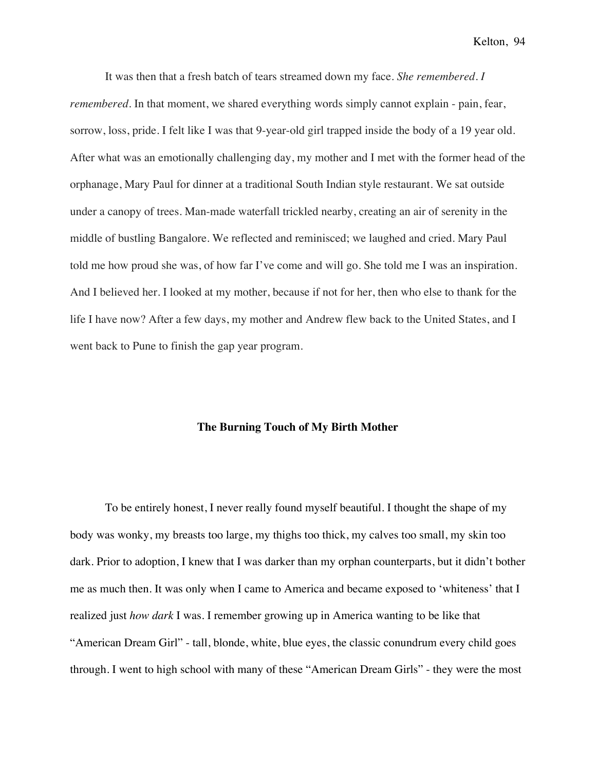It was then that a fresh batch of tears streamed down my face. *She remembered*. *I remembered*. In that moment, we shared everything words simply cannot explain - pain, fear, sorrow, loss, pride. I felt like I was that 9-year-old girl trapped inside the body of a 19 year old. After what was an emotionally challenging day, my mother and I met with the former head of the orphanage, Mary Paul for dinner at a traditional South Indian style restaurant. We sat outside under a canopy of trees. Man-made waterfall trickled nearby, creating an air of serenity in the middle of bustling Bangalore. We reflected and reminisced; we laughed and cried. Mary Paul told me how proud she was, of how far I've come and will go. She told me I was an inspiration. And I believed her. I looked at my mother, because if not for her, then who else to thank for the life I have now? After a few days, my mother and Andrew flew back to the United States, and I went back to Pune to finish the gap year program.

## **The Burning Touch of My Birth Mother**

To be entirely honest, I never really found myself beautiful. I thought the shape of my body was wonky, my breasts too large, my thighs too thick, my calves too small, my skin too dark. Prior to adoption, I knew that I was darker than my orphan counterparts, but it didn't bother me as much then. It was only when I came to America and became exposed to 'whiteness' that I realized just *how dark* I was. I remember growing up in America wanting to be like that "American Dream Girl" - tall, blonde, white, blue eyes, the classic conundrum every child goes through. I went to high school with many of these "American Dream Girls" - they were the most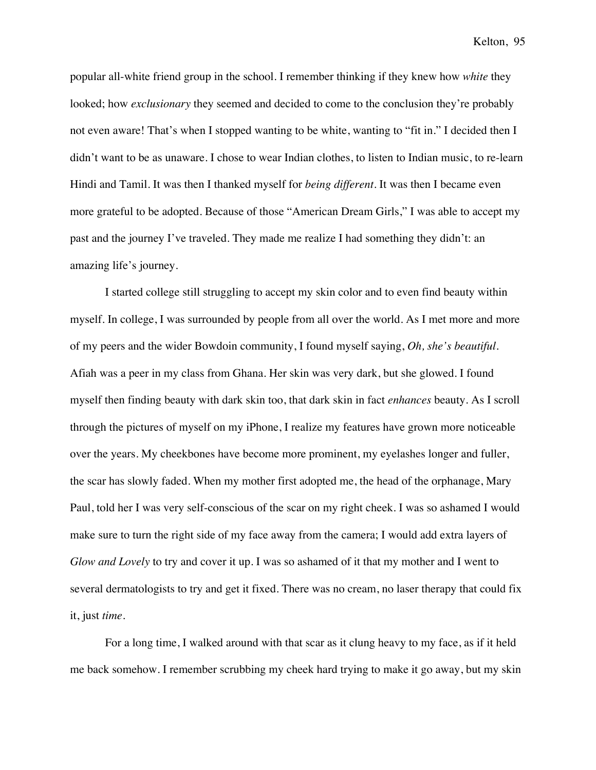popular all-white friend group in the school. I remember thinking if they knew how *white* they looked; how *exclusionary* they seemed and decided to come to the conclusion they're probably not even aware! That's when I stopped wanting to be white, wanting to "fit in." I decided then I didn't want to be as unaware. I chose to wear Indian clothes, to listen to Indian music, to re-learn Hindi and Tamil. It was then I thanked myself for *being different*. It was then I became even more grateful to be adopted. Because of those "American Dream Girls," I was able to accept my past and the journey I've traveled. They made me realize I had something they didn't: an amazing life's journey.

I started college still struggling to accept my skin color and to even find beauty within myself. In college, I was surrounded by people from all over the world. As I met more and more of my peers and the wider Bowdoin community, I found myself saying, *Oh, she's beautiful*. Afiah was a peer in my class from Ghana. Her skin was very dark, but she glowed. I found myself then finding beauty with dark skin too, that dark skin in fact *enhances* beauty. As I scroll through the pictures of myself on my iPhone, I realize my features have grown more noticeable over the years. My cheekbones have become more prominent, my eyelashes longer and fuller, the scar has slowly faded. When my mother first adopted me, the head of the orphanage, Mary Paul, told her I was very self-conscious of the scar on my right cheek. I was so ashamed I would make sure to turn the right side of my face away from the camera; I would add extra layers of *Glow and Lovely* to try and cover it up. I was so ashamed of it that my mother and I went to several dermatologists to try and get it fixed. There was no cream, no laser therapy that could fix it, just *time*.

For a long time, I walked around with that scar as it clung heavy to my face, as if it held me back somehow. I remember scrubbing my cheek hard trying to make it go away, but my skin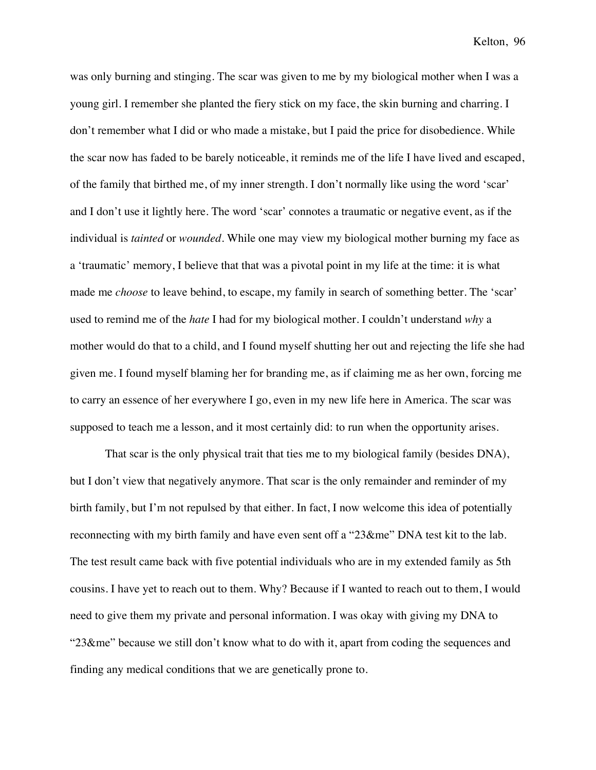was only burning and stinging. The scar was given to me by my biological mother when I was a young girl. I remember she planted the fiery stick on my face, the skin burning and charring. I don't remember what I did or who made a mistake, but I paid the price for disobedience. While the scar now has faded to be barely noticeable, it reminds me of the life I have lived and escaped, of the family that birthed me, of my inner strength. I don't normally like using the word 'scar' and I don't use it lightly here. The word 'scar' connotes a traumatic or negative event, as if the individual is *tainted* or *wounded*. While one may view my biological mother burning my face as a 'traumatic' memory, I believe that that was a pivotal point in my life at the time: it is what made me *choose* to leave behind, to escape, my family in search of something better. The 'scar' used to remind me of the *hate* I had for my biological mother. I couldn't understand *why* a mother would do that to a child, and I found myself shutting her out and rejecting the life she had given me. I found myself blaming her for branding me, as if claiming me as her own, forcing me to carry an essence of her everywhere I go, even in my new life here in America. The scar was supposed to teach me a lesson, and it most certainly did: to run when the opportunity arises.

That scar is the only physical trait that ties me to my biological family (besides DNA), but I don't view that negatively anymore. That scar is the only remainder and reminder of my birth family, but I'm not repulsed by that either. In fact, I now welcome this idea of potentially reconnecting with my birth family and have even sent off a "23&me" DNA test kit to the lab. The test result came back with five potential individuals who are in my extended family as 5th cousins. I have yet to reach out to them. Why? Because if I wanted to reach out to them, I would need to give them my private and personal information. I was okay with giving my DNA to "23&me" because we still don't know what to do with it, apart from coding the sequences and finding any medical conditions that we are genetically prone to.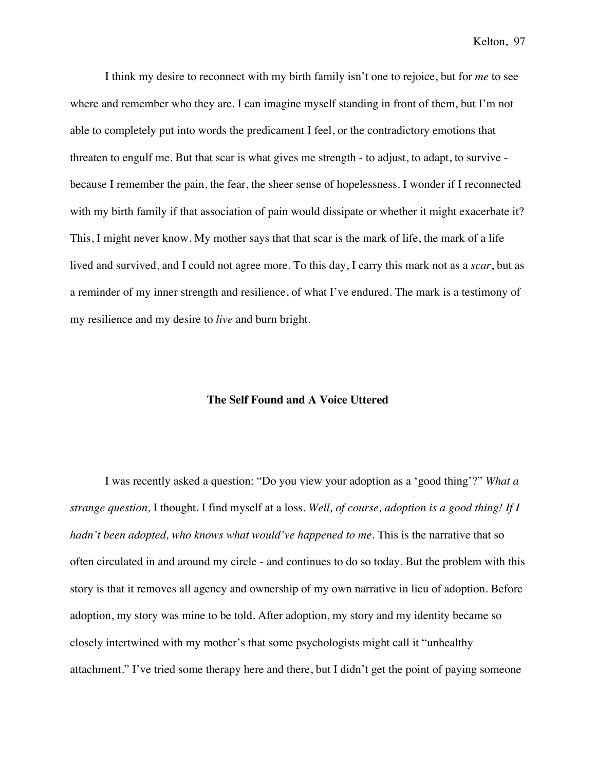I think my desire to reconnect with my birth family isn't one to rejoice, but for *me* to see where and remember who they are. I can imagine myself standing in front of them, but I'm not able to completely put into words the predicament I feel, or the contradictory emotions that threaten to engulf me. But that scar is what gives me strength - to adjust, to adapt, to survive because I remember the pain, the fear, the sheer sense of hopelessness. I wonder if I reconnected with my birth family if that association of pain would dissipate or whether it might exacerbate it? This, I might never know. My mother says that that scar is the mark of life, the mark of a life lived and survived, and I could not agree more. To this day, I carry this mark not as a *scar*, but as a reminder of my inner strength and resilience, of what I've endured. The mark is a testimony of my resilience and my desire to *live* and burn bright.

## **The Self Found and A Voice Uttered**

I was recently asked a question: "Do you view your adoption as a 'good thing'?" *What a strange question,* I thought. I find myself at a loss. *Well, of course, adoption is a good thing! If I hadn't been adopted, who knows what would've happened to me.* This is the narrative that so often circulated in and around my circle - and continues to do so today. But the problem with this story is that it removes all agency and ownership of my own narrative in lieu of adoption. Before adoption, my story was mine to be told. After adoption, my story and my identity became so closely intertwined with my mother's that some psychologists might call it "unhealthy attachment." I've tried some therapy here and there, but I didn't get the point of paying someone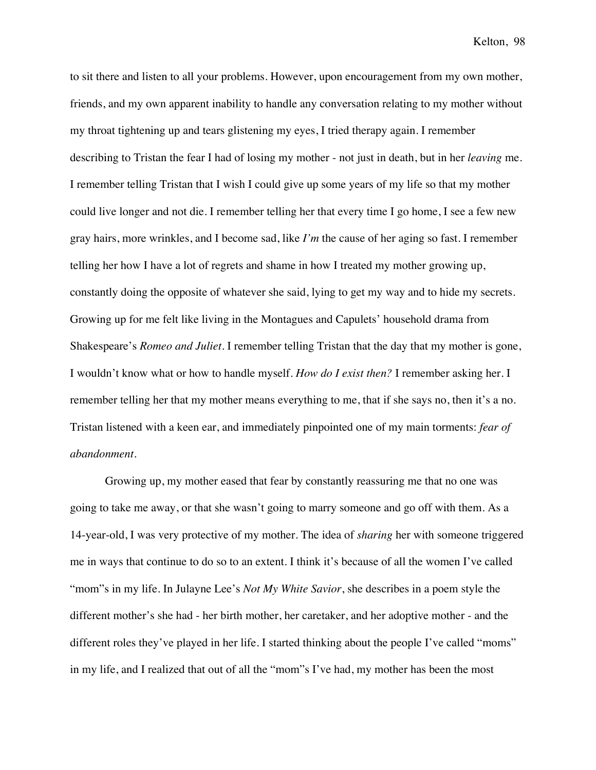to sit there and listen to all your problems. However, upon encouragement from my own mother, friends, and my own apparent inability to handle any conversation relating to my mother without my throat tightening up and tears glistening my eyes, I tried therapy again. I remember describing to Tristan the fear I had of losing my mother - not just in death, but in her *leaving* me. I remember telling Tristan that I wish I could give up some years of my life so that my mother could live longer and not die. I remember telling her that every time I go home, I see a few new gray hairs, more wrinkles, and I become sad, like *I'm* the cause of her aging so fast. I remember telling her how I have a lot of regrets and shame in how I treated my mother growing up, constantly doing the opposite of whatever she said, lying to get my way and to hide my secrets. Growing up for me felt like living in the Montagues and Capulets' household drama from Shakespeare's *Romeo and Juliet.* I remember telling Tristan that the day that my mother is gone, I wouldn't know what or how to handle myself. *How do I exist then?* I remember asking her. I remember telling her that my mother means everything to me, that if she says no, then it's a no. Tristan listened with a keen ear, and immediately pinpointed one of my main torments: *fear of abandonment*.

Growing up, my mother eased that fear by constantly reassuring me that no one was going to take me away, or that she wasn't going to marry someone and go off with them. As a 14-year-old, I was very protective of my mother. The idea of *sharing* her with someone triggered me in ways that continue to do so to an extent. I think it's because of all the women I've called "mom"s in my life. In Julayne Lee's *Not My White Savior*, she describes in a poem style the different mother's she had - her birth mother, her caretaker, and her adoptive mother - and the different roles they've played in her life. I started thinking about the people I've called "moms" in my life, and I realized that out of all the "mom"s I've had, my mother has been the most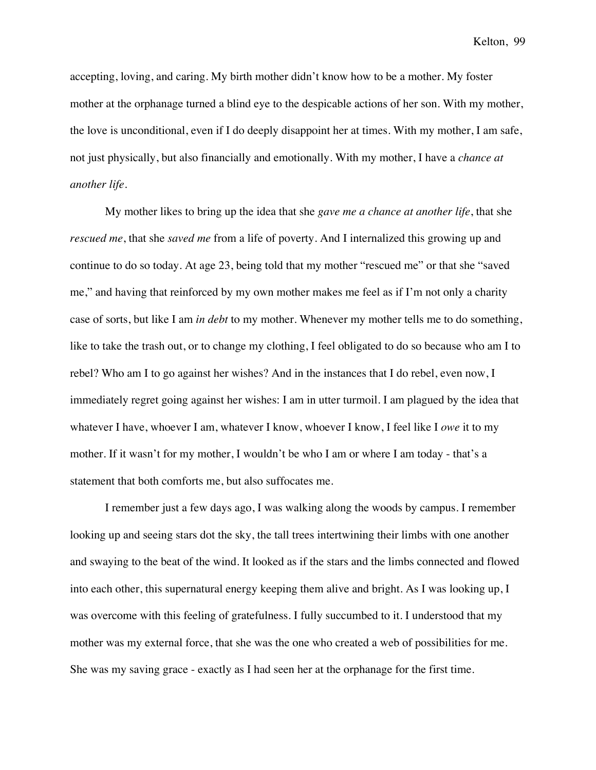accepting, loving, and caring. My birth mother didn't know how to be a mother. My foster mother at the orphanage turned a blind eye to the despicable actions of her son. With my mother, the love is unconditional, even if I do deeply disappoint her at times. With my mother, I am safe, not just physically, but also financially and emotionally. With my mother, I have a *chance at another life*.

My mother likes to bring up the idea that she *gave me a chance at another life*, that she *rescued me*, that she *saved me* from a life of poverty. And I internalized this growing up and continue to do so today. At age 23, being told that my mother "rescued me" or that she "saved me," and having that reinforced by my own mother makes me feel as if I'm not only a charity case of sorts, but like I am *in debt* to my mother. Whenever my mother tells me to do something, like to take the trash out, or to change my clothing, I feel obligated to do so because who am I to rebel? Who am I to go against her wishes? And in the instances that I do rebel, even now, I immediately regret going against her wishes: I am in utter turmoil. I am plagued by the idea that whatever I have, whoever I am, whatever I know, whoever I know, I feel like I *owe* it to my mother. If it wasn't for my mother, I wouldn't be who I am or where I am today - that's a statement that both comforts me, but also suffocates me.

I remember just a few days ago, I was walking along the woods by campus. I remember looking up and seeing stars dot the sky, the tall trees intertwining their limbs with one another and swaying to the beat of the wind. It looked as if the stars and the limbs connected and flowed into each other, this supernatural energy keeping them alive and bright. As I was looking up, I was overcome with this feeling of gratefulness. I fully succumbed to it. I understood that my mother was my external force, that she was the one who created a web of possibilities for me. She was my saving grace - exactly as I had seen her at the orphanage for the first time.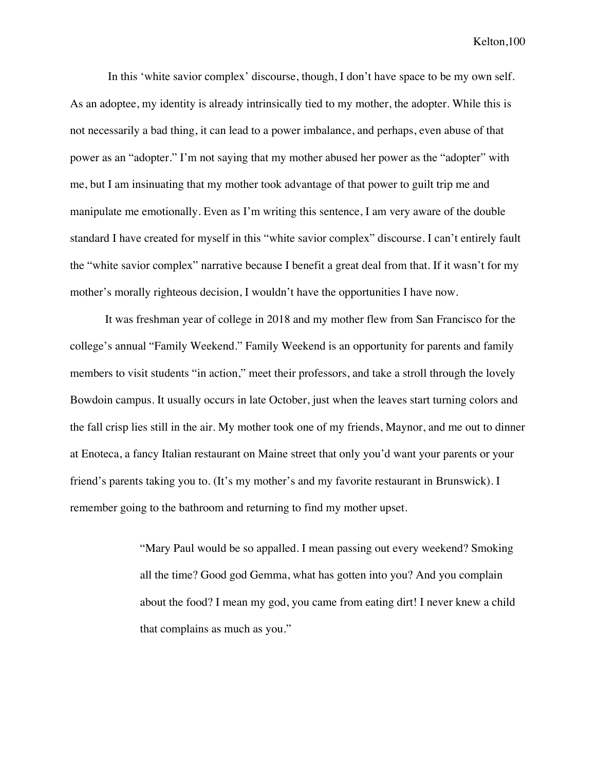In this 'white savior complex' discourse, though, I don't have space to be my own self. As an adoptee, my identity is already intrinsically tied to my mother, the adopter. While this is not necessarily a bad thing, it can lead to a power imbalance, and perhaps, even abuse of that power as an "adopter." I'm not saying that my mother abused her power as the "adopter" with me, but I am insinuating that my mother took advantage of that power to guilt trip me and manipulate me emotionally. Even as I'm writing this sentence, I am very aware of the double standard I have created for myself in this "white savior complex" discourse. I can't entirely fault the "white savior complex" narrative because I benefit a great deal from that. If it wasn't for my mother's morally righteous decision, I wouldn't have the opportunities I have now.

It was freshman year of college in 2018 and my mother flew from San Francisco for the college's annual "Family Weekend." Family Weekend is an opportunity for parents and family members to visit students "in action," meet their professors, and take a stroll through the lovely Bowdoin campus. It usually occurs in late October, just when the leaves start turning colors and the fall crisp lies still in the air. My mother took one of my friends, Maynor, and me out to dinner at Enoteca, a fancy Italian restaurant on Maine street that only you'd want your parents or your friend's parents taking you to. (It's my mother's and my favorite restaurant in Brunswick). I remember going to the bathroom and returning to find my mother upset.

> "Mary Paul would be so appalled. I mean passing out every weekend? Smoking all the time? Good god Gemma, what has gotten into you? And you complain about the food? I mean my god, you came from eating dirt! I never knew a child that complains as much as you."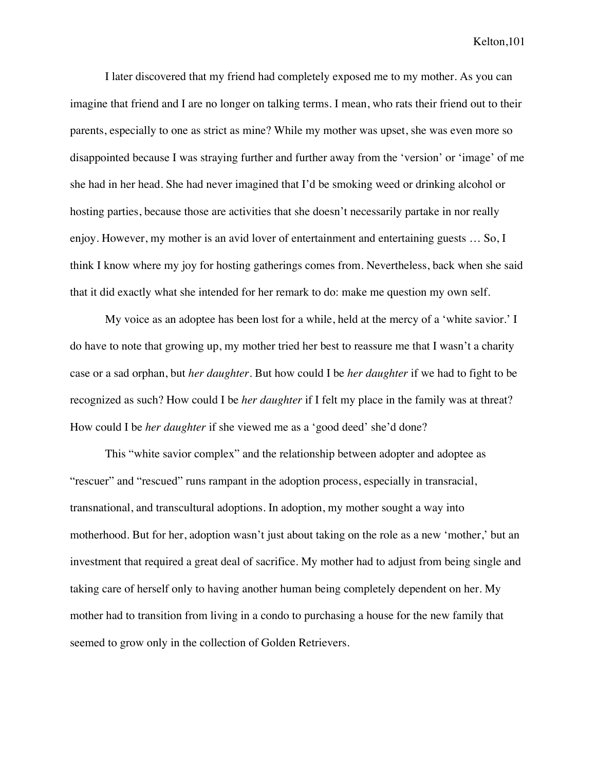I later discovered that my friend had completely exposed me to my mother. As you can imagine that friend and I are no longer on talking terms. I mean, who rats their friend out to their parents, especially to one as strict as mine? While my mother was upset, she was even more so disappointed because I was straying further and further away from the 'version' or 'image' of me she had in her head. She had never imagined that I'd be smoking weed or drinking alcohol or hosting parties, because those are activities that she doesn't necessarily partake in nor really enjoy. However, my mother is an avid lover of entertainment and entertaining guests … So, I think I know where my joy for hosting gatherings comes from. Nevertheless, back when she said that it did exactly what she intended for her remark to do: make me question my own self.

My voice as an adoptee has been lost for a while, held at the mercy of a 'white savior.' I do have to note that growing up, my mother tried her best to reassure me that I wasn't a charity case or a sad orphan, but *her daughter*. But how could I be *her daughter* if we had to fight to be recognized as such? How could I be *her daughter* if I felt my place in the family was at threat? How could I be *her daughter* if she viewed me as a 'good deed' she'd done?

This "white savior complex" and the relationship between adopter and adoptee as "rescuer" and "rescued" runs rampant in the adoption process, especially in transracial, transnational, and transcultural adoptions. In adoption, my mother sought a way into motherhood. But for her, adoption wasn't just about taking on the role as a new 'mother,' but an investment that required a great deal of sacrifice. My mother had to adjust from being single and taking care of herself only to having another human being completely dependent on her. My mother had to transition from living in a condo to purchasing a house for the new family that seemed to grow only in the collection of Golden Retrievers.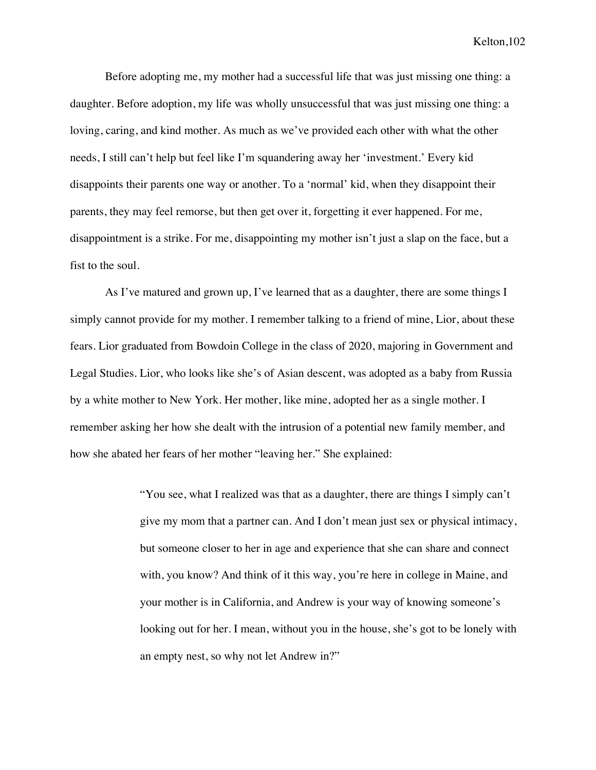Before adopting me, my mother had a successful life that was just missing one thing: a daughter. Before adoption, my life was wholly unsuccessful that was just missing one thing: a loving, caring, and kind mother. As much as we've provided each other with what the other needs, I still can't help but feel like I'm squandering away her 'investment.' Every kid disappoints their parents one way or another. To a 'normal' kid, when they disappoint their parents, they may feel remorse, but then get over it, forgetting it ever happened. For me, disappointment is a strike. For me, disappointing my mother isn't just a slap on the face, but a fist to the soul.

As I've matured and grown up, I've learned that as a daughter, there are some things I simply cannot provide for my mother. I remember talking to a friend of mine, Lior, about these fears. Lior graduated from Bowdoin College in the class of 2020, majoring in Government and Legal Studies. Lior, who looks like she's of Asian descent, was adopted as a baby from Russia by a white mother to New York. Her mother, like mine, adopted her as a single mother. I remember asking her how she dealt with the intrusion of a potential new family member, and how she abated her fears of her mother "leaving her." She explained:

> "You see, what I realized was that as a daughter, there are things I simply can't give my mom that a partner can. And I don't mean just sex or physical intimacy, but someone closer to her in age and experience that she can share and connect with, you know? And think of it this way, you're here in college in Maine, and your mother is in California, and Andrew is your way of knowing someone's looking out for her. I mean, without you in the house, she's got to be lonely with an empty nest, so why not let Andrew in?"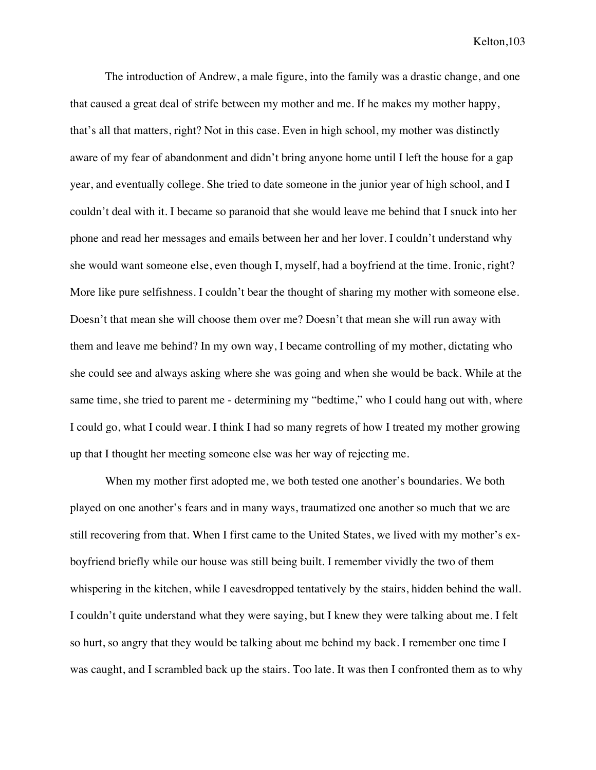The introduction of Andrew, a male figure, into the family was a drastic change, and one that caused a great deal of strife between my mother and me. If he makes my mother happy, that's all that matters, right? Not in this case. Even in high school, my mother was distinctly aware of my fear of abandonment and didn't bring anyone home until I left the house for a gap year, and eventually college. She tried to date someone in the junior year of high school, and I couldn't deal with it. I became so paranoid that she would leave me behind that I snuck into her phone and read her messages and emails between her and her lover. I couldn't understand why she would want someone else, even though I, myself, had a boyfriend at the time. Ironic, right? More like pure selfishness. I couldn't bear the thought of sharing my mother with someone else. Doesn't that mean she will choose them over me? Doesn't that mean she will run away with them and leave me behind? In my own way, I became controlling of my mother, dictating who she could see and always asking where she was going and when she would be back. While at the same time, she tried to parent me - determining my "bedtime," who I could hang out with, where I could go, what I could wear. I think I had so many regrets of how I treated my mother growing up that I thought her meeting someone else was her way of rejecting me.

When my mother first adopted me, we both tested one another's boundaries. We both played on one another's fears and in many ways, traumatized one another so much that we are still recovering from that. When I first came to the United States, we lived with my mother's exboyfriend briefly while our house was still being built. I remember vividly the two of them whispering in the kitchen, while I eavesdropped tentatively by the stairs, hidden behind the wall. I couldn't quite understand what they were saying, but I knew they were talking about me. I felt so hurt, so angry that they would be talking about me behind my back. I remember one time I was caught, and I scrambled back up the stairs. Too late. It was then I confronted them as to why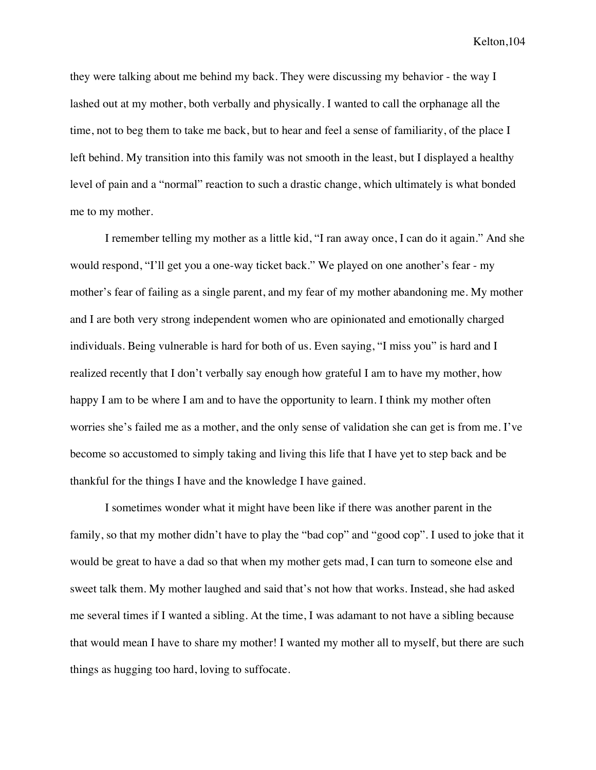they were talking about me behind my back. They were discussing my behavior - the way I lashed out at my mother, both verbally and physically. I wanted to call the orphanage all the time, not to beg them to take me back, but to hear and feel a sense of familiarity, of the place I left behind. My transition into this family was not smooth in the least, but I displayed a healthy level of pain and a "normal" reaction to such a drastic change, which ultimately is what bonded me to my mother.

I remember telling my mother as a little kid, "I ran away once, I can do it again." And she would respond, "I'll get you a one-way ticket back." We played on one another's fear - my mother's fear of failing as a single parent, and my fear of my mother abandoning me. My mother and I are both very strong independent women who are opinionated and emotionally charged individuals. Being vulnerable is hard for both of us. Even saying, "I miss you" is hard and I realized recently that I don't verbally say enough how grateful I am to have my mother, how happy I am to be where I am and to have the opportunity to learn. I think my mother often worries she's failed me as a mother, and the only sense of validation she can get is from me. I've become so accustomed to simply taking and living this life that I have yet to step back and be thankful for the things I have and the knowledge I have gained.

I sometimes wonder what it might have been like if there was another parent in the family, so that my mother didn't have to play the "bad cop" and "good cop". I used to joke that it would be great to have a dad so that when my mother gets mad, I can turn to someone else and sweet talk them. My mother laughed and said that's not how that works. Instead, she had asked me several times if I wanted a sibling. At the time, I was adamant to not have a sibling because that would mean I have to share my mother! I wanted my mother all to myself, but there are such things as hugging too hard, loving to suffocate.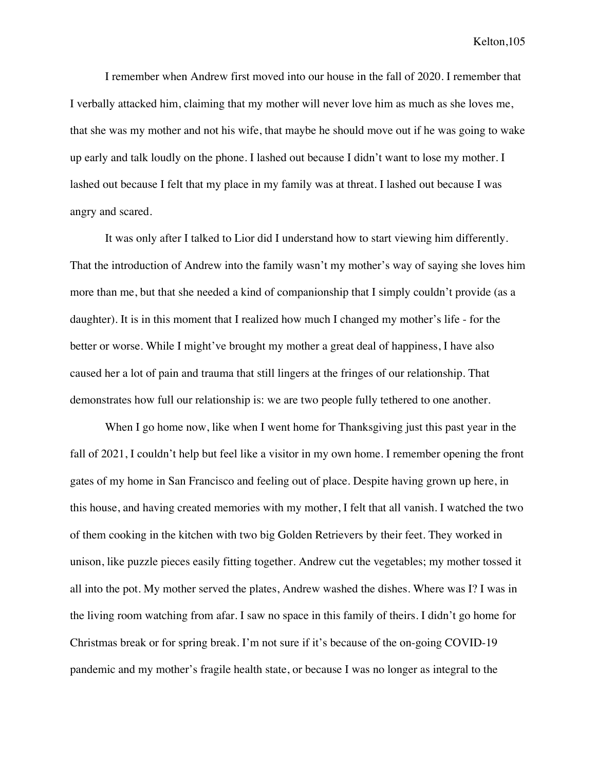I remember when Andrew first moved into our house in the fall of 2020. I remember that I verbally attacked him, claiming that my mother will never love him as much as she loves me, that she was my mother and not his wife, that maybe he should move out if he was going to wake up early and talk loudly on the phone. I lashed out because I didn't want to lose my mother. I lashed out because I felt that my place in my family was at threat. I lashed out because I was angry and scared.

It was only after I talked to Lior did I understand how to start viewing him differently. That the introduction of Andrew into the family wasn't my mother's way of saying she loves him more than me, but that she needed a kind of companionship that I simply couldn't provide (as a daughter). It is in this moment that I realized how much I changed my mother's life - for the better or worse. While I might've brought my mother a great deal of happiness, I have also caused her a lot of pain and trauma that still lingers at the fringes of our relationship. That demonstrates how full our relationship is: we are two people fully tethered to one another.

When I go home now, like when I went home for Thanksgiving just this past year in the fall of 2021, I couldn't help but feel like a visitor in my own home. I remember opening the front gates of my home in San Francisco and feeling out of place. Despite having grown up here, in this house, and having created memories with my mother, I felt that all vanish. I watched the two of them cooking in the kitchen with two big Golden Retrievers by their feet. They worked in unison, like puzzle pieces easily fitting together. Andrew cut the vegetables; my mother tossed it all into the pot. My mother served the plates, Andrew washed the dishes. Where was I? I was in the living room watching from afar. I saw no space in this family of theirs. I didn't go home for Christmas break or for spring break. I'm not sure if it's because of the on-going COVID-19 pandemic and my mother's fragile health state, or because I was no longer as integral to the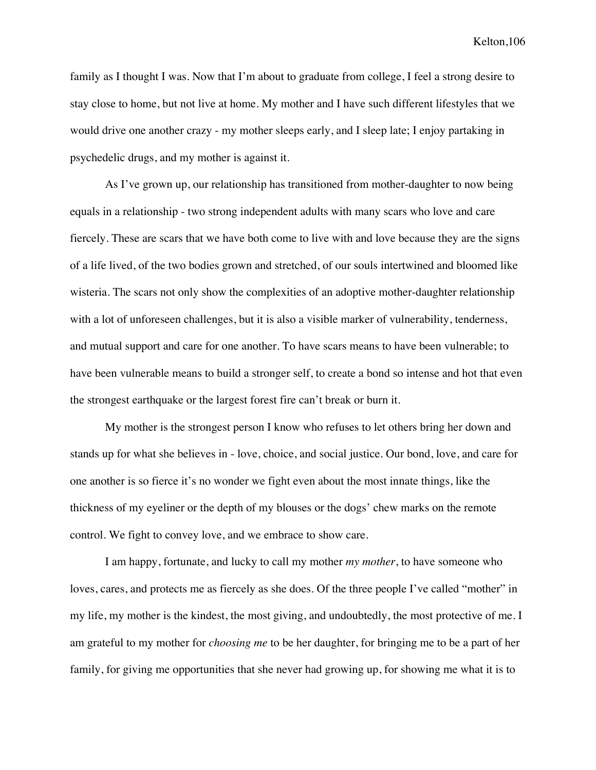family as I thought I was. Now that I'm about to graduate from college, I feel a strong desire to stay close to home, but not live at home. My mother and I have such different lifestyles that we would drive one another crazy - my mother sleeps early, and I sleep late; I enjoy partaking in psychedelic drugs, and my mother is against it.

As I've grown up, our relationship has transitioned from mother-daughter to now being equals in a relationship - two strong independent adults with many scars who love and care fiercely. These are scars that we have both come to live with and love because they are the signs of a life lived, of the two bodies grown and stretched, of our souls intertwined and bloomed like wisteria. The scars not only show the complexities of an adoptive mother-daughter relationship with a lot of unforeseen challenges, but it is also a visible marker of vulnerability, tenderness, and mutual support and care for one another. To have scars means to have been vulnerable; to have been vulnerable means to build a stronger self, to create a bond so intense and hot that even the strongest earthquake or the largest forest fire can't break or burn it.

My mother is the strongest person I know who refuses to let others bring her down and stands up for what she believes in - love, choice, and social justice. Our bond, love, and care for one another is so fierce it's no wonder we fight even about the most innate things, like the thickness of my eyeliner or the depth of my blouses or the dogs' chew marks on the remote control. We fight to convey love, and we embrace to show care.

I am happy, fortunate, and lucky to call my mother *my mother*, to have someone who loves, cares, and protects me as fiercely as she does. Of the three people I've called "mother" in my life, my mother is the kindest, the most giving, and undoubtedly, the most protective of me. I am grateful to my mother for *choosing me* to be her daughter, for bringing me to be a part of her family, for giving me opportunities that she never had growing up, for showing me what it is to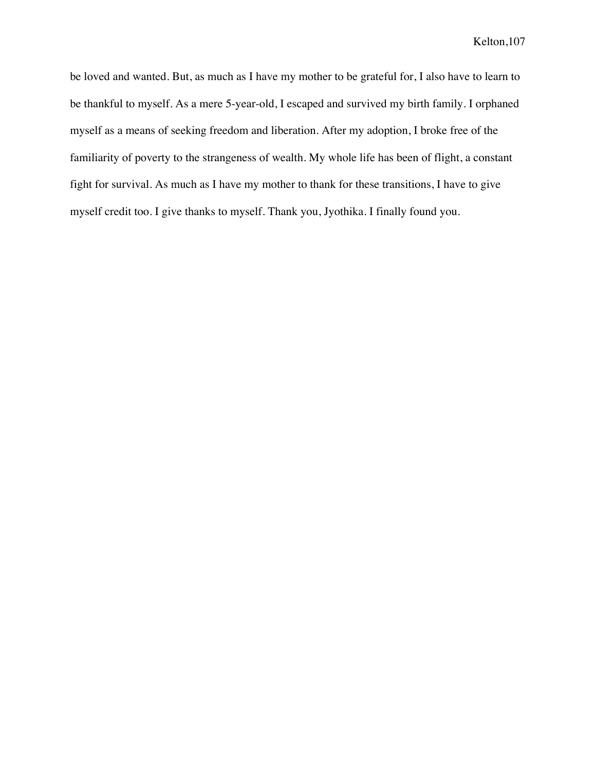be loved and wanted. But, as much as I have my mother to be grateful for, I also have to learn to be thankful to myself. As a mere 5-year-old, I escaped and survived my birth family. I orphaned myself as a means of seeking freedom and liberation. After my adoption, I broke free of the familiarity of poverty to the strangeness of wealth. My whole life has been of flight, a constant fight for survival. As much as I have my mother to thank for these transitions, I have to give myself credit too. I give thanks to myself. Thank you, Jyothika. I finally found you.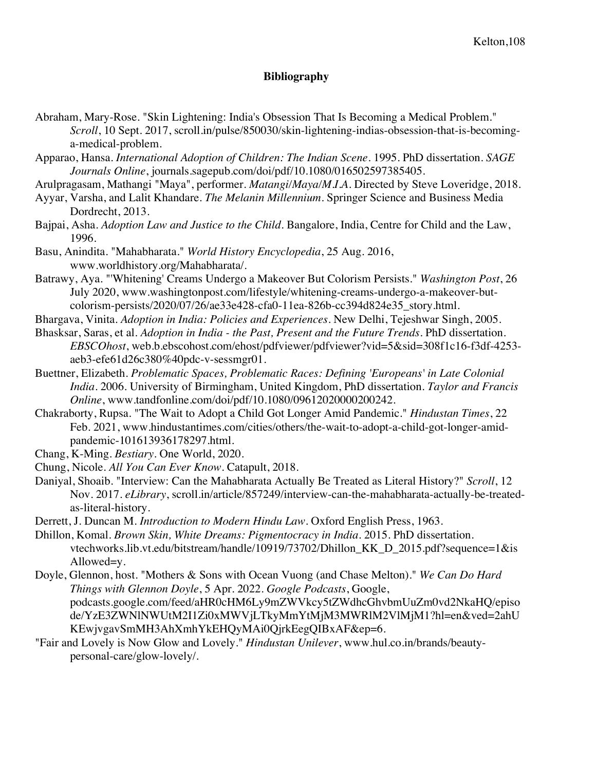## **Bibliography**

- Abraham, Mary-Rose. "Skin Lightening: India's Obsession That Is Becoming a Medical Problem." *Scroll*, 10 Sept. 2017, scroll.in/pulse/850030/skin-lightening-indias-obsession-that-is-becominga-medical-problem.
- Apparao, Hansa. *International Adoption of Children: The Indian Scene*. 1995. PhD dissertation. *SAGE Journals Online*, journals.sagepub.com/doi/pdf/10.1080/016502597385405.
- Arulpragasam, Mathangi "Maya", performer. *Matangi/Maya/M.I.A*. Directed by Steve Loveridge, 2018.
- Ayyar, Varsha, and Lalit Khandare. *The Melanin Millennium*. Springer Science and Business Media Dordrecht, 2013.
- Bajpai, Asha. *Adoption Law and Justice to the Child*. Bangalore, India, Centre for Child and the Law, 1996.
- Basu, Anindita. "Mahabharata." *World History Encyclopedia*, 25 Aug. 2016, www.worldhistory.org/Mahabharata/.
- Batrawy, Aya. "'Whitening' Creams Undergo a Makeover But Colorism Persists." *Washington Post*, 26 July 2020, www.washingtonpost.com/lifestyle/whitening-creams-undergo-a-makeover-butcolorism-persists/2020/07/26/ae33e428-cfa0-11ea-826b-cc394d824e35\_story.html.
- Bhargava, Vinita. *Adoption in India: Policies and Experiences*. New Delhi, Tejeshwar Singh, 2005.
- Bhasksar, Saras, et al. *Adoption in India - the Past, Present and the Future Trends*. PhD dissertation. *EBSCOhost*, web.b.ebscohost.com/ehost/pdfviewer/pdfviewer?vid=5&sid=308f1c16-f3df-4253 aeb3-efe61d26c380%40pdc-v-sessmgr01.
- Buettner, Elizabeth. *Problematic Spaces, Problematic Races: Defining 'Europeans' in Late Colonial India*. 2006. University of Birmingham, United Kingdom, PhD dissertation. *Taylor and Francis Online*, www.tandfonline.com/doi/pdf/10.1080/09612020000200242.
- Chakraborty, Rupsa. "The Wait to Adopt a Child Got Longer Amid Pandemic." *Hindustan Times*, 22 Feb. 2021, www.hindustantimes.com/cities/others/the-wait-to-adopt-a-child-got-longer-amidpandemic-101613936178297.html.
- Chang, K-Ming. *Bestiary*. One World, 2020.
- Chung, Nicole. *All You Can Ever Know*. Catapult, 2018.
- Daniyal, Shoaib. "Interview: Can the Mahabharata Actually Be Treated as Literal History?" *Scroll*, 12 Nov. 2017. *eLibrary*, scroll.in/article/857249/interview-can-the-mahabharata-actually-be-treatedas-literal-history.
- Derrett, J. Duncan M. *Introduction to Modern Hindu Law*. Oxford English Press, 1963.
- Dhillon, Komal. *Brown Skin, White Dreams: Pigmentocracy in India*. 2015. PhD dissertation. vtechworks.lib.vt.edu/bitstream/handle/10919/73702/Dhillon\_KK\_D\_2015.pdf?sequence=1&is Allowed=y.
- Doyle, Glennon, host. "Mothers & Sons with Ocean Vuong (and Chase Melton)." *We Can Do Hard Things with Glennon Doyle*, 5 Apr. 2022. *Google Podcasts*, Google, podcasts.google.com/feed/aHR0cHM6Ly9mZWVkcy5tZWdhcGhvbmUuZm0vd2NkaHQ/episo de/YzE3ZWNlNWUtM2I1Zi0xMWVjLTkyMmYtMjM3MWRlM2VlMjM1?hl=en&ved=2ahU KEwjvgavSmMH3AhXmhYkEHQyMAi0QjrkEegQIBxAF&ep=6.
- "Fair and Lovely is Now Glow and Lovely." *Hindustan Unilever*, www.hul.co.in/brands/beautypersonal-care/glow-lovely/.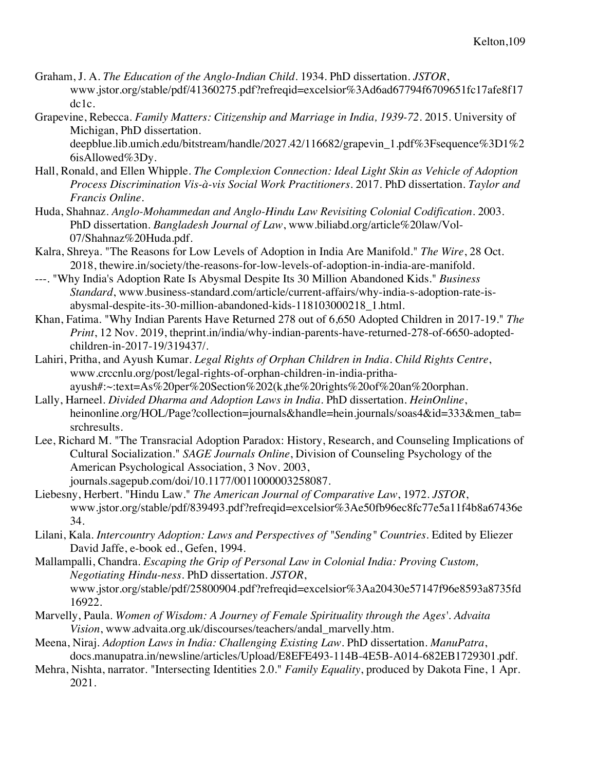- Graham, J. A. *The Education of the Anglo-Indian Child*. 1934. PhD dissertation. *JSTOR*, www.jstor.org/stable/pdf/41360275.pdf?refreqid=excelsior%3Ad6ad67794f6709651fc17afe8f17 dc1c.
- Grapevine, Rebecca. *Family Matters: Citizenship and Marriage in India, 1939-72*. 2015. University of Michigan, PhD dissertation.

deepblue.lib.umich.edu/bitstream/handle/2027.42/116682/grapevin\_1.pdf%3Fsequence%3D1%2 6isAllowed%3Dy.

- Hall, Ronald, and Ellen Whipple. *The Complexion Connection: Ideal Light Skin as Vehicle of Adoption Process Discrimination Vis-à-vis Social Work Practitioners*. 2017. PhD dissertation. *Taylor and Francis Online*.
- Huda, Shahnaz. *Anglo-Mohammedan and Anglo-Hindu Law Revisiting Colonial Codification*. 2003. PhD dissertation. *Bangladesh Journal of Law*, www.biliabd.org/article%20law/Vol-07/Shahnaz%20Huda.pdf.
- Kalra, Shreya. "The Reasons for Low Levels of Adoption in India Are Manifold." *The Wire*, 28 Oct. 2018, thewire.in/society/the-reasons-for-low-levels-of-adoption-in-india-are-manifold.
- ---. "Why India's Adoption Rate Is Abysmal Despite Its 30 Million Abandoned Kids." *Business Standard*, www.business-standard.com/article/current-affairs/why-india-s-adoption-rate-isabysmal-despite-its-30-million-abandoned-kids-118103000218\_1.html.
- Khan, Fatima. "Why Indian Parents Have Returned 278 out of 6,650 Adopted Children in 2017-19." *The Print*, 12 Nov. 2019, theprint.in/india/why-indian-parents-have-returned-278-of-6650-adoptedchildren-in-2017-19/319437/.
- Lahiri, Pritha, and Ayush Kumar. *Legal Rights of Orphan Children in India*. *Child Rights Centre*, www.crccnlu.org/post/legal-rights-of-orphan-children-in-india-prithaayush#:~:text=As%20per%20Section%202(k,the%20rights%20of%20an%20orphan.
- Lally, Harneel. *Divided Dharma and Adoption Laws in India*. PhD dissertation. *HeinOnline*, heinonline.org/HOL/Page?collection=journals&handle=hein.journals/soas4&id=333&men\_tab= srchresults.
- Lee, Richard M. "The Transracial Adoption Paradox: History, Research, and Counseling Implications of Cultural Socialization." *SAGE Journals Online*, Division of Counseling Psychology of the American Psychological Association, 3 Nov. 2003, journals.sagepub.com/doi/10.1177/0011000003258087.
- Liebesny, Herbert. "Hindu Law." *The American Journal of Comparative Law*, 1972. *JSTOR*, www.jstor.org/stable/pdf/839493.pdf?refreqid=excelsior%3Ae50fb96ec8fc77e5a11f4b8a67436e 34.
- Lilani, Kala. *Intercountry Adoption: Laws and Perspectives of "Sending" Countries*. Edited by Eliezer David Jaffe, e-book ed., Gefen, 1994.
- Mallampalli, Chandra. *Escaping the Grip of Personal Law in Colonial India: Proving Custom, Negotiating Hindu-ness*. PhD dissertation. *JSTOR*, www.jstor.org/stable/pdf/25800904.pdf?refreqid=excelsior%3Aa20430e57147f96e8593a8735fd 16922.
- Marvelly, Paula. *Women of Wisdom: A Journey of Female Spirituality through the Ages'. Advaita Vision*, www.advaita.org.uk/discourses/teachers/andal\_marvelly.htm.
- Meena, Niraj. *Adoption Laws in India: Challenging Existing Law*. PhD dissertation. *ManuPatra*, docs.manupatra.in/newsline/articles/Upload/E8EFE493-114B-4E5B-A014-682EB1729301.pdf.
- Mehra, Nishta, narrator. "Intersecting Identities 2.0." *Family Equality*, produced by Dakota Fine, 1 Apr. 2021.